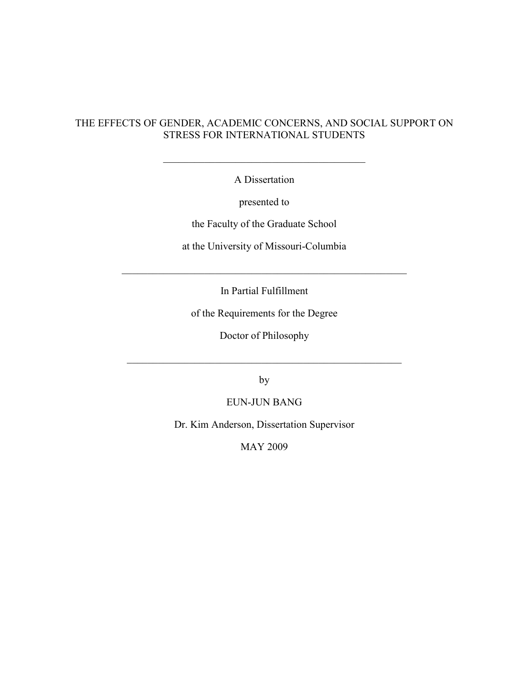## THE EFFECTS OF GENDER, ACADEMIC CONCERNS, AND SOCIAL SUPPORT ON STRESS FOR INTERNATIONAL STUDENTS

A Dissertation

 $\_$  . The contribution of the contribution of  $\mathcal{L}_\mathbf{z}$ 

presented to

the Faculty of the Graduate School

at the University of Missouri-Columbia

In Partial Fulfillment

 $\_$  , and the set of the set of the set of the set of the set of the set of the set of the set of the set of the set of the set of the set of the set of the set of the set of the set of the set of the set of the set of th

of the Requirements for the Degree

Doctor of Philosophy

 $\_$  , and the set of the set of the set of the set of the set of the set of the set of the set of the set of the set of the set of the set of the set of the set of the set of the set of the set of the set of the set of th

by

EUN-JUN BANG

Dr. Kim Anderson, Dissertation Supervisor

MAY 2009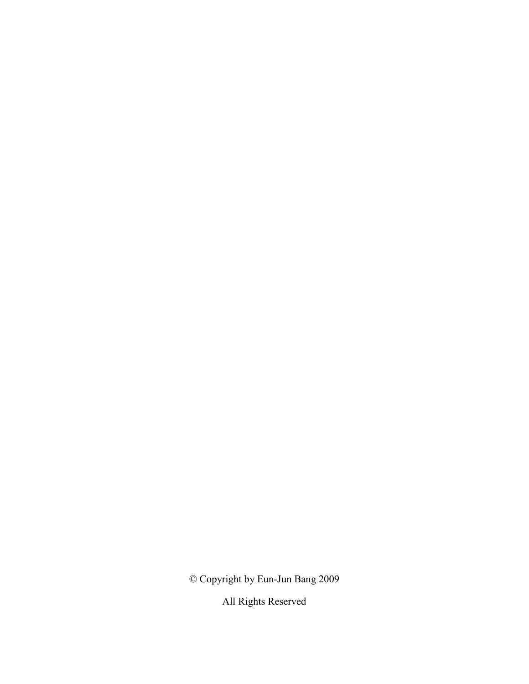© Copyright by Eun-Jun Bang 2009

All Rights Reserved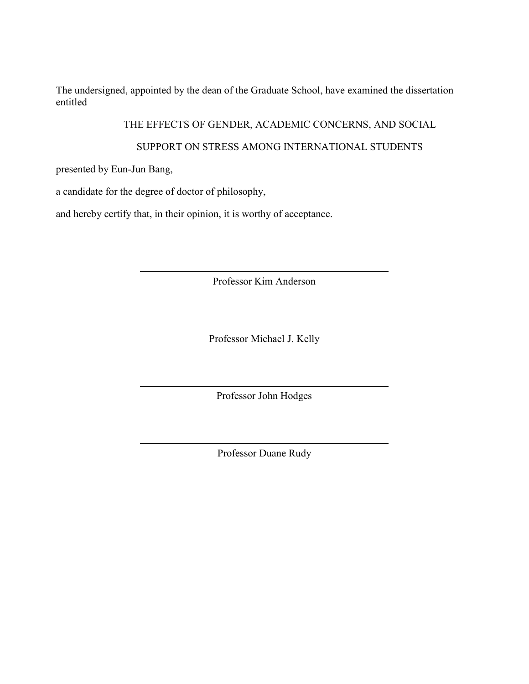The undersigned, appointed by the dean of the Graduate School, have examined the dissertation entitled

THE EFFECTS OF GENDER, ACADEMIC CONCERNS, AND SOCIAL

## SUPPORT ON STRESS AMONG INTERNATIONAL STUDENTS

presented by Eun-Jun Bang,

a candidate for the degree of doctor of philosophy,

and hereby certify that, in their opinion, it is worthy of acceptance.

Professor Kim Anderson

Professor Michael J. Kelly

Professor John Hodges

Professor Duane Rudy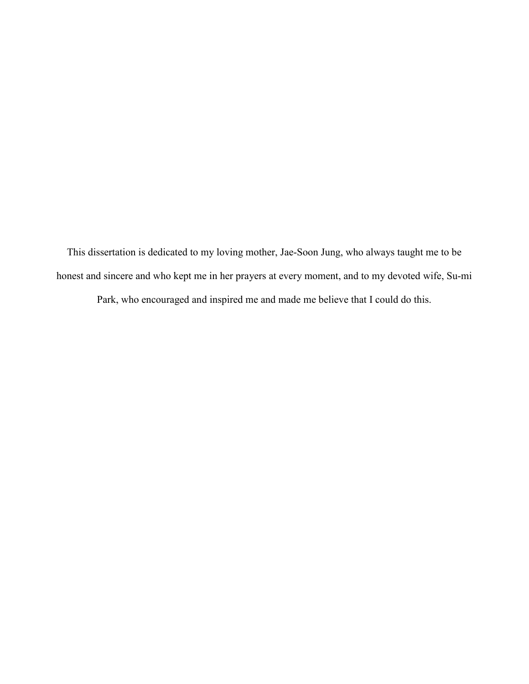This dissertation is dedicated to my loving mother, Jae-Soon Jung, who always taught me to be honest and sincere and who kept me in her prayers at every moment, and to my devoted wife, Su-mi

Park, who encouraged and inspired me and made me believe that I could do this.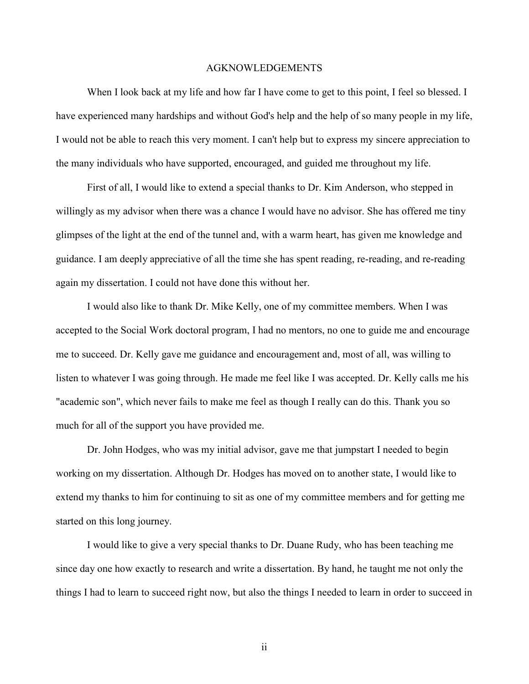#### AGKNOWLEDGEMENTS

When I look back at my life and how far I have come to get to this point, I feel so blessed. I have experienced many hardships and without God's help and the help of so many people in my life, I would not be able to reach this very moment. I can't help but to express my sincere appreciation to the many individuals who have supported, encouraged, and guided me throughout my life.

 First of all, I would like to extend a special thanks to Dr. Kim Anderson, who stepped in willingly as my advisor when there was a chance I would have no advisor. She has offered me tiny glimpses of the light at the end of the tunnel and, with a warm heart, has given me knowledge and guidance. I am deeply appreciative of all the time she has spent reading, re-reading, and re-reading again my dissertation. I could not have done this without her.

 I would also like to thank Dr. Mike Kelly, one of my committee members. When I was accepted to the Social Work doctoral program, I had no mentors, no one to guide me and encourage me to succeed. Dr. Kelly gave me guidance and encouragement and, most of all, was willing to listen to whatever I was going through. He made me feel like I was accepted. Dr. Kelly calls me his "academic son", which never fails to make me feel as though I really can do this. Thank you so much for all of the support you have provided me.

 Dr. John Hodges, who was my initial advisor, gave me that jumpstart I needed to begin working on my dissertation. Although Dr. Hodges has moved on to another state, I would like to extend my thanks to him for continuing to sit as one of my committee members and for getting me started on this long journey.

 I would like to give a very special thanks to Dr. Duane Rudy, who has been teaching me since day one how exactly to research and write a dissertation. By hand, he taught me not only the things I had to learn to succeed right now, but also the things I needed to learn in order to succeed in

ii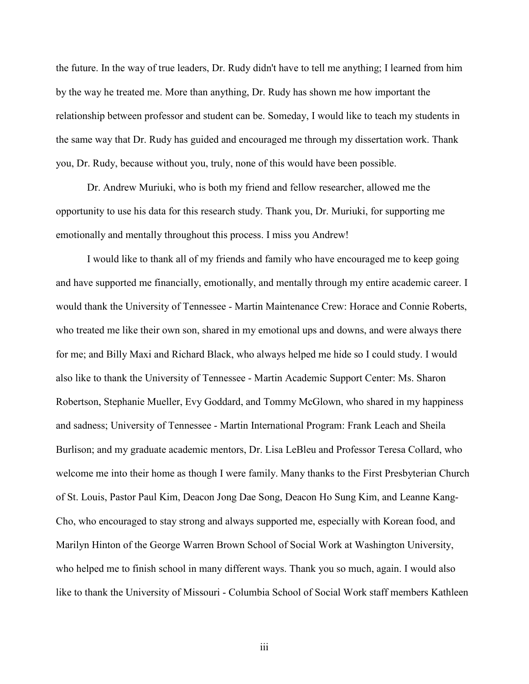the future. In the way of true leaders, Dr. Rudy didn't have to tell me anything; I learned from him by the way he treated me. More than anything, Dr. Rudy has shown me how important the relationship between professor and student can be. Someday, I would like to teach my students in the same way that Dr. Rudy has guided and encouraged me through my dissertation work. Thank you, Dr. Rudy, because without you, truly, none of this would have been possible.

 Dr. Andrew Muriuki, who is both my friend and fellow researcher, allowed me the opportunity to use his data for this research study. Thank you, Dr. Muriuki, for supporting me emotionally and mentally throughout this process. I miss you Andrew!

 I would like to thank all of my friends and family who have encouraged me to keep going and have supported me financially, emotionally, and mentally through my entire academic career. I would thank the University of Tennessee - Martin Maintenance Crew: Horace and Connie Roberts, who treated me like their own son, shared in my emotional ups and downs, and were always there for me; and Billy Maxi and Richard Black, who always helped me hide so I could study. I would also like to thank the University of Tennessee - Martin Academic Support Center: Ms. Sharon Robertson, Stephanie Mueller, Evy Goddard, and Tommy McGlown, who shared in my happiness and sadness; University of Tennessee - Martin International Program: Frank Leach and Sheila Burlison; and my graduate academic mentors, Dr. Lisa LeBleu and Professor Teresa Collard, who welcome me into their home as though I were family. Many thanks to the First Presbyterian Church of St. Louis, Pastor Paul Kim, Deacon Jong Dae Song, Deacon Ho Sung Kim, and Leanne Kang-Cho, who encouraged to stay strong and always supported me, especially with Korean food, and Marilyn Hinton of the George Warren Brown School of Social Work at Washington University, who helped me to finish school in many different ways. Thank you so much, again. I would also like to thank the University of Missouri - Columbia School of Social Work staff members Kathleen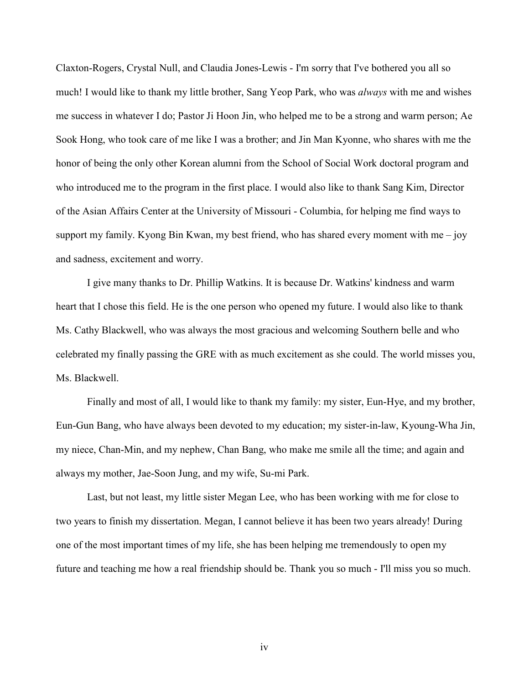Claxton-Rogers, Crystal Null, and Claudia Jones-Lewis - I'm sorry that I've bothered you all so much! I would like to thank my little brother, Sang Yeop Park, who was *always* with me and wishes me success in whatever I do; Pastor Ji Hoon Jin, who helped me to be a strong and warm person; Ae Sook Hong, who took care of me like I was a brother; and Jin Man Kyonne, who shares with me the honor of being the only other Korean alumni from the School of Social Work doctoral program and who introduced me to the program in the first place. I would also like to thank Sang Kim, Director of the Asian Affairs Center at the University of Missouri - Columbia, for helping me find ways to support my family. Kyong Bin Kwan, my best friend, who has shared every moment with me  $-$  joy and sadness, excitement and worry.

I give many thanks to Dr. Phillip Watkins. It is because Dr. Watkins' kindness and warm heart that I chose this field. He is the one person who opened my future. I would also like to thank Ms. Cathy Blackwell, who was always the most gracious and welcoming Southern belle and who celebrated my finally passing the GRE with as much excitement as she could. The world misses you, Ms. Blackwell.

Finally and most of all, I would like to thank my family: my sister, Eun-Hye, and my brother, Eun-Gun Bang, who have always been devoted to my education; my sister-in-law, Kyoung-Wha Jin, my niece, Chan-Min, and my nephew, Chan Bang, who make me smile all the time; and again and always my mother, Jae-Soon Jung, and my wife, Su-mi Park.

Last, but not least, my little sister Megan Lee, who has been working with me for close to two years to finish my dissertation. Megan, I cannot believe it has been two years already! During one of the most important times of my life, she has been helping me tremendously to open my future and teaching me how a real friendship should be. Thank you so much - I'll miss you so much.

iv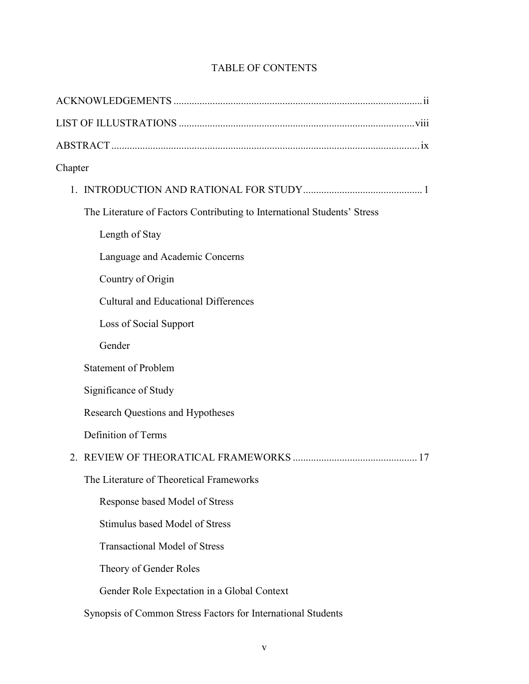| Chapter                                                                  |  |
|--------------------------------------------------------------------------|--|
|                                                                          |  |
| The Literature of Factors Contributing to International Students' Stress |  |
| Length of Stay                                                           |  |
| Language and Academic Concerns                                           |  |
| Country of Origin                                                        |  |
| <b>Cultural and Educational Differences</b>                              |  |
| Loss of Social Support                                                   |  |
| Gender                                                                   |  |
| <b>Statement of Problem</b>                                              |  |
| Significance of Study                                                    |  |
| <b>Research Questions and Hypotheses</b>                                 |  |
| Definition of Terms                                                      |  |
|                                                                          |  |
| The Literature of Theoretical Frameworks                                 |  |
| Response based Model of Stress                                           |  |
| Stimulus based Model of Stress                                           |  |
| <b>Transactional Model of Stress</b>                                     |  |
| Theory of Gender Roles                                                   |  |
| Gender Role Expectation in a Global Context                              |  |
| Synopsis of Common Stress Factors for International Students             |  |

# TABLE OF CONTENTS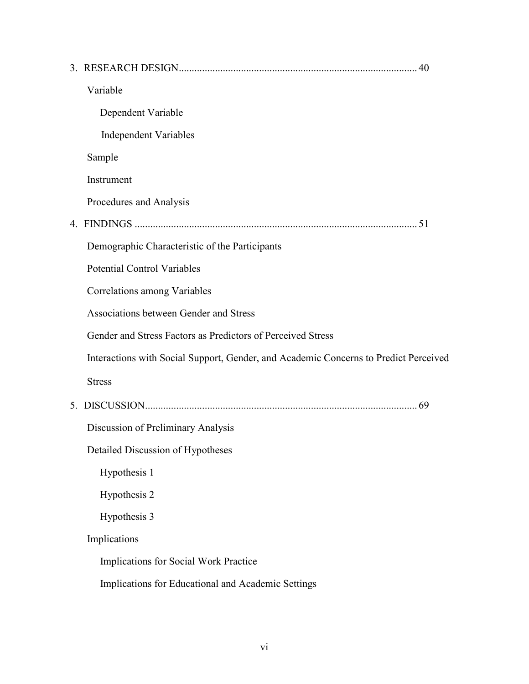| Variable                                                                             |
|--------------------------------------------------------------------------------------|
| Dependent Variable                                                                   |
| <b>Independent Variables</b>                                                         |
| Sample                                                                               |
| Instrument                                                                           |
| Procedures and Analysis                                                              |
|                                                                                      |
| Demographic Characteristic of the Participants                                       |
| <b>Potential Control Variables</b>                                                   |
| Correlations among Variables                                                         |
| Associations between Gender and Stress                                               |
| Gender and Stress Factors as Predictors of Perceived Stress                          |
| Interactions with Social Support, Gender, and Academic Concerns to Predict Perceived |
| <b>Stress</b>                                                                        |
|                                                                                      |
| Discussion of Preliminary Analysis                                                   |
| Detailed Discussion of Hypotheses                                                    |
| Hypothesis 1                                                                         |
| Hypothesis 2                                                                         |
| Hypothesis 3                                                                         |
| Implications                                                                         |
| Implications for Social Work Practice                                                |
| Implications for Educational and Academic Settings                                   |
|                                                                                      |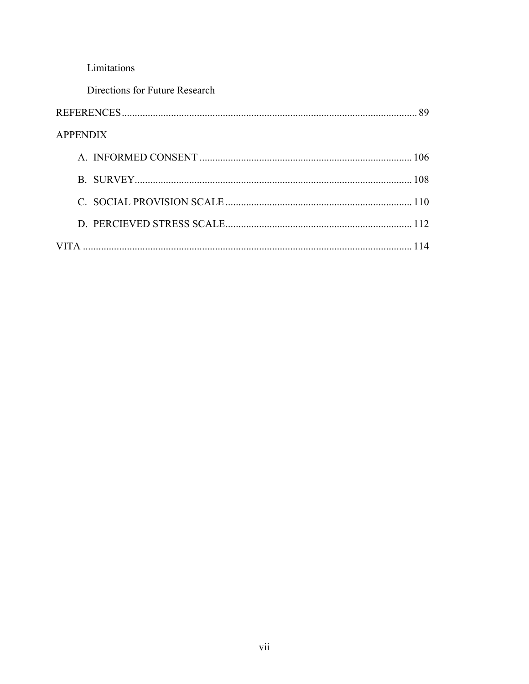# Limitations

| Directions for Future Research |     |
|--------------------------------|-----|
|                                |     |
| <b>APPENDIX</b>                |     |
|                                |     |
|                                |     |
|                                |     |
|                                |     |
|                                | 114 |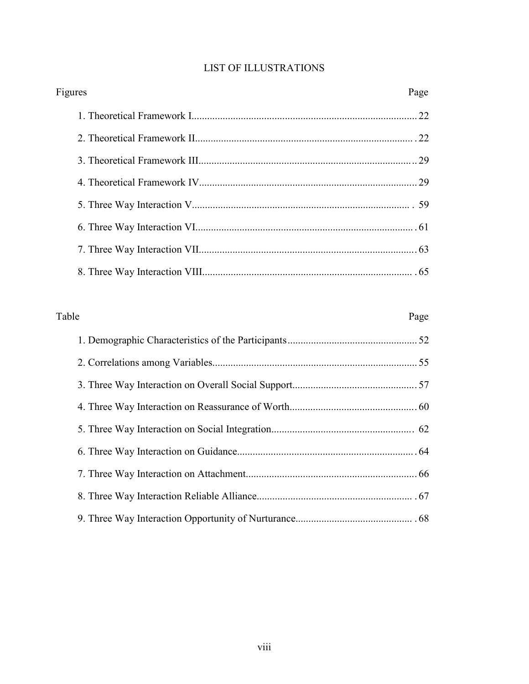# LIST OF ILLUSTRATIONS

| Figures |    |
|---------|----|
|         |    |
|         |    |
|         |    |
|         |    |
|         |    |
|         |    |
|         |    |
|         | 65 |

| Table |  | Page |
|-------|--|------|
|       |  |      |
|       |  |      |
|       |  |      |
|       |  |      |
|       |  |      |
|       |  |      |
|       |  |      |
|       |  |      |
|       |  |      |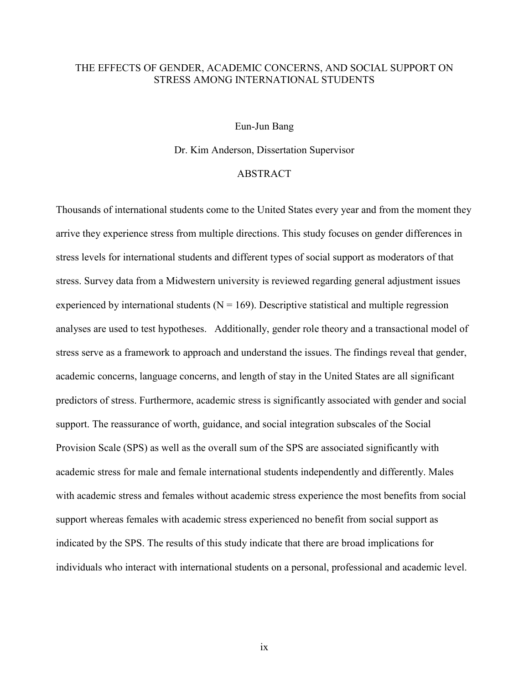## THE EFFECTS OF GENDER, ACADEMIC CONCERNS, AND SOCIAL SUPPORT ON STRESS AMONG INTERNATIONAL STUDENTS

Eun-Jun Bang

Dr. Kim Anderson, Dissertation Supervisor

#### ABSTRACT

Thousands of international students come to the United States every year and from the moment they arrive they experience stress from multiple directions. This study focuses on gender differences in stress levels for international students and different types of social support as moderators of that stress. Survey data from a Midwestern university is reviewed regarding general adjustment issues experienced by international students ( $N = 169$ ). Descriptive statistical and multiple regression analyses are used to test hypotheses. Additionally, gender role theory and a transactional model of stress serve as a framework to approach and understand the issues. The findings reveal that gender, academic concerns, language concerns, and length of stay in the United States are all significant predictors of stress. Furthermore, academic stress is significantly associated with gender and social support. The reassurance of worth, guidance, and social integration subscales of the Social Provision Scale (SPS) as well as the overall sum of the SPS are associated significantly with academic stress for male and female international students independently and differently. Males with academic stress and females without academic stress experience the most benefits from social support whereas females with academic stress experienced no benefit from social support as indicated by the SPS. The results of this study indicate that there are broad implications for individuals who interact with international students on a personal, professional and academic level.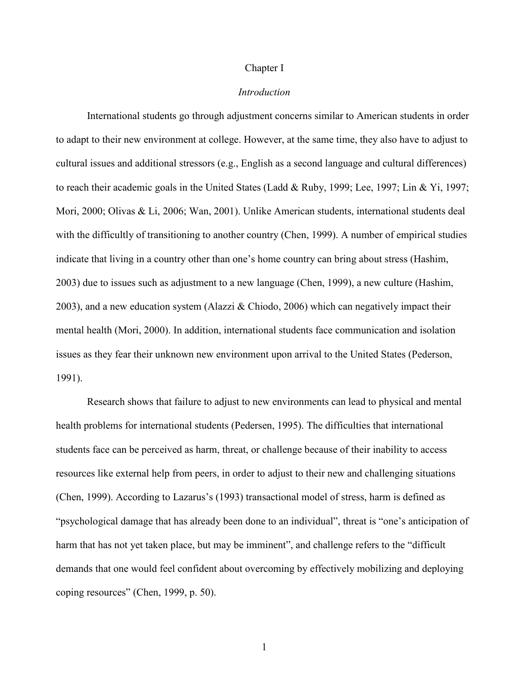#### Chapter I

#### *Introduction*

 International students go through adjustment concerns similar to American students in order to adapt to their new environment at college. However, at the same time, they also have to adjust to cultural issues and additional stressors (e.g., English as a second language and cultural differences) to reach their academic goals in the United States (Ladd & Ruby, 1999; Lee, 1997; Lin & Yi, 1997; Mori, 2000; Olivas & Li, 2006; Wan, 2001). Unlike American students, international students deal with the difficultly of transitioning to another country (Chen, 1999). A number of empirical studies indicate that living in a country other than one's home country can bring about stress (Hashim, 2003) due to issues such as adjustment to a new language (Chen, 1999), a new culture (Hashim, 2003), and a new education system (Alazzi & Chiodo, 2006) which can negatively impact their mental health (Mori, 2000). In addition, international students face communication and isolation issues as they fear their unknown new environment upon arrival to the United States (Pederson, 1991).

 Research shows that failure to adjust to new environments can lead to physical and mental health problems for international students (Pedersen, 1995). The difficulties that international students face can be perceived as harm, threat, or challenge because of their inability to access resources like external help from peers, in order to adjust to their new and challenging situations (Chen, 1999). According to Lazarus's (1993) transactional model of stress, harm is defined as "psychological damage that has already been done to an individual", threat is "one's anticipation of harm that has not yet taken place, but may be imminent", and challenge refers to the "difficult" demands that one would feel confident about overcoming by effectively mobilizing and deploying coping resources" (Chen, 1999, p. 50).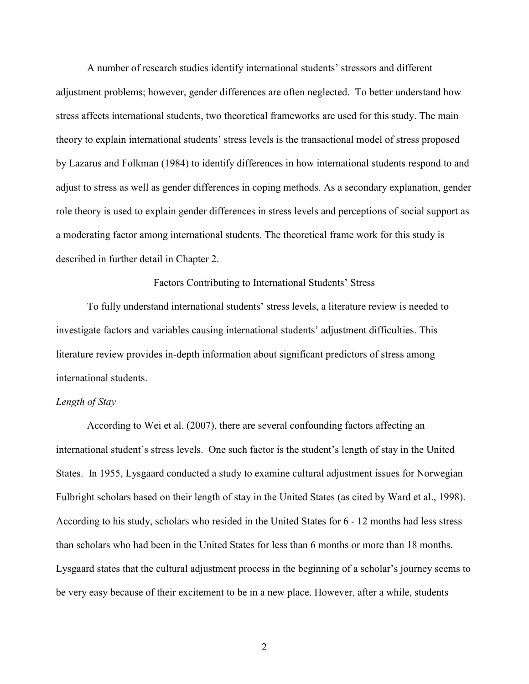A number of research studies identify international students' stressors and different adjustment problems; however, gender differences are often neglected. To better understand how stress affects international students, two theoretical frameworks are used for this study. The main theory to explain international students' stress levels is the transactional model of stress proposed by Lazarus and Folkman (1984) to identify differences in how international students respond to and adjust to stress as well as gender differences in coping methods. As a secondary explanation, gender role theory is used to explain gender differences in stress levels and perceptions of social support as a moderating factor among international students. The theoretical frame work for this study is described in further detail in Chapter 2.

Factors Contributing to International Students' Stress

To fully understand international students' stress levels, a literature review is needed to investigate factors and variables causing international students' adjustment difficulties. This literature review provides in-depth information about significant predictors of stress among international students.

#### *Length of Stay*

According to Wei et al. (2007), there are several confounding factors affecting an international student's stress levels. One such factor is the student's length of stay in the United States. In 1955, Lysgaard conducted a study to examine cultural adjustment issues for Norwegian Fulbright scholars based on their length of stay in the United States (as cited by Ward et al., 1998). According to his study, scholars who resided in the United States for 6 - 12 months had less stress than scholars who had been in the United States for less than 6 months or more than 18 months. Lysgaard states that the cultural adjustment process in the beginning of a scholar's journey seems to be very easy because of their excitement to be in a new place. However, after a while, students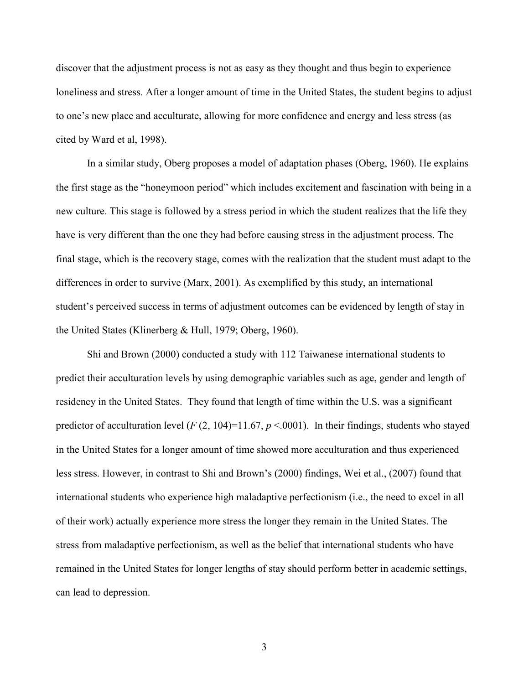discover that the adjustment process is not as easy as they thought and thus begin to experience loneliness and stress. After a longer amount of time in the United States, the student begins to adjust to one's new place and acculturate, allowing for more confidence and energy and less stress (as cited by Ward et al, 1998).

In a similar study, Oberg proposes a model of adaptation phases (Oberg, 1960). He explains the first stage as the "honeymoon period" which includes excitement and fascination with being in a new culture. This stage is followed by a stress period in which the student realizes that the life they have is very different than the one they had before causing stress in the adjustment process. The final stage, which is the recovery stage, comes with the realization that the student must adapt to the differences in order to survive (Marx, 2001). As exemplified by this study, an international student's perceived success in terms of adjustment outcomes can be evidenced by length of stay in the United States (Klinerberg & Hull, 1979; Oberg, 1960).

Shi and Brown (2000) conducted a study with 112 Taiwanese international students to predict their acculturation levels by using demographic variables such as age, gender and length of residency in the United States. They found that length of time within the U.S. was a significant predictor of acculturation level  $(F(2, 104)=11.67, p \le 0.0001)$ . In their findings, students who stayed in the United States for a longer amount of time showed more acculturation and thus experienced less stress. However, in contrast to Shi and Brown's (2000) findings, Wei et al., (2007) found that international students who experience high maladaptive perfectionism (i.e., the need to excel in all of their work) actually experience more stress the longer they remain in the United States. The stress from maladaptive perfectionism, as well as the belief that international students who have remained in the United States for longer lengths of stay should perform better in academic settings, can lead to depression.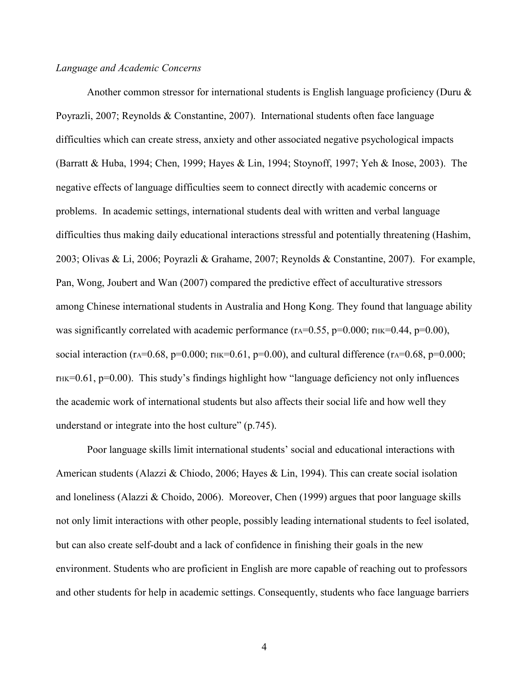#### *Language and Academic Concerns*

Another common stressor for international students is English language proficiency (Duru  $\&$ Poyrazli, 2007; Reynolds & Constantine, 2007). International students often face language difficulties which can create stress, anxiety and other associated negative psychological impacts (Barratt & Huba, 1994; Chen, 1999; Hayes & Lin, 1994; Stoynoff, 1997; Yeh & Inose, 2003). The negative effects of language difficulties seem to connect directly with academic concerns or problems. In academic settings, international students deal with written and verbal language difficulties thus making daily educational interactions stressful and potentially threatening (Hashim, 2003; Olivas & Li, 2006; Poyrazli & Grahame, 2007; Reynolds & Constantine, 2007). For example, Pan, Wong, Joubert and Wan (2007) compared the predictive effect of acculturative stressors among Chinese international students in Australia and Hong Kong. They found that language ability was significantly correlated with academic performance ( $r_A=0.55$ ,  $p=0.000$ ;  $r_{HK}=0.44$ ,  $p=0.00$ ), social interaction (rA=0.68, p=0.000; rHK=0.61, p=0.00), and cultural difference (rA=0.68, p=0.000;  $THK=0.61$ ,  $p=0.00$ ). This study's findings highlight how "language deficiency not only influences the academic work of international students but also affects their social life and how well they understand or integrate into the host culture" (p.745).

Poor language skills limit international students' social and educational interactions with American students (Alazzi & Chiodo, 2006; Hayes & Lin, 1994). This can create social isolation and loneliness (Alazzi & Choido, 2006). Moreover, Chen (1999) argues that poor language skills not only limit interactions with other people, possibly leading international students to feel isolated, but can also create self-doubt and a lack of confidence in finishing their goals in the new environment. Students who are proficient in English are more capable of reaching out to professors and other students for help in academic settings. Consequently, students who face language barriers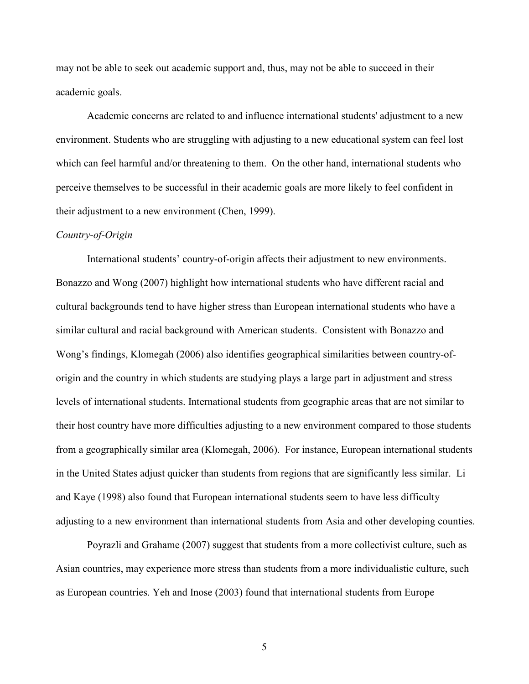may not be able to seek out academic support and, thus, may not be able to succeed in their academic goals.

Academic concerns are related to and influence international students' adjustment to a new environment. Students who are struggling with adjusting to a new educational system can feel lost which can feel harmful and/or threatening to them. On the other hand, international students who perceive themselves to be successful in their academic goals are more likely to feel confident in their adjustment to a new environment (Chen, 1999).

#### *Country-of-Origin*

International students' country-of-origin affects their adjustment to new environments. Bonazzo and Wong (2007) highlight how international students who have different racial and cultural backgrounds tend to have higher stress than European international students who have a similar cultural and racial background with American students. Consistent with Bonazzo and Wong's findings, Klomegah (2006) also identifies geographical similarities between country-oforigin and the country in which students are studying plays a large part in adjustment and stress levels of international students. International students from geographic areas that are not similar to their host country have more difficulties adjusting to a new environment compared to those students from a geographically similar area (Klomegah, 2006). For instance, European international students in the United States adjust quicker than students from regions that are significantly less similar. Li and Kaye (1998) also found that European international students seem to have less difficulty adjusting to a new environment than international students from Asia and other developing counties.

Poyrazli and Grahame (2007) suggest that students from a more collectivist culture, such as Asian countries, may experience more stress than students from a more individualistic culture, such as European countries. Yeh and Inose (2003) found that international students from Europe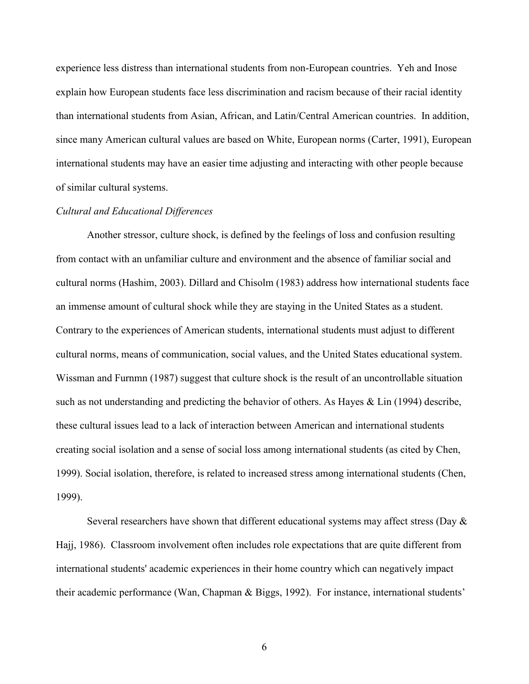experience less distress than international students from non-European countries. Yeh and Inose explain how European students face less discrimination and racism because of their racial identity than international students from Asian, African, and Latin/Central American countries. In addition, since many American cultural values are based on White, European norms (Carter, 1991), European international students may have an easier time adjusting and interacting with other people because of similar cultural systems.

#### *Cultural and Educational Differences*

Another stressor, culture shock, is defined by the feelings of loss and confusion resulting from contact with an unfamiliar culture and environment and the absence of familiar social and cultural norms (Hashim, 2003). Dillard and Chisolm (1983) address how international students face an immense amount of cultural shock while they are staying in the United States as a student. Contrary to the experiences of American students, international students must adjust to different cultural norms, means of communication, social values, and the United States educational system. Wissman and Furnmn (1987) suggest that culture shock is the result of an uncontrollable situation such as not understanding and predicting the behavior of others. As Hayes & Lin (1994) describe, these cultural issues lead to a lack of interaction between American and international students creating social isolation and a sense of social loss among international students (as cited by Chen, 1999). Social isolation, therefore, is related to increased stress among international students (Chen, 1999).

Several researchers have shown that different educational systems may affect stress (Day & Hajj, 1986). Classroom involvement often includes role expectations that are quite different from international students' academic experiences in their home country which can negatively impact their academic performance (Wan, Chapman & Biggs, 1992). For instance, international students'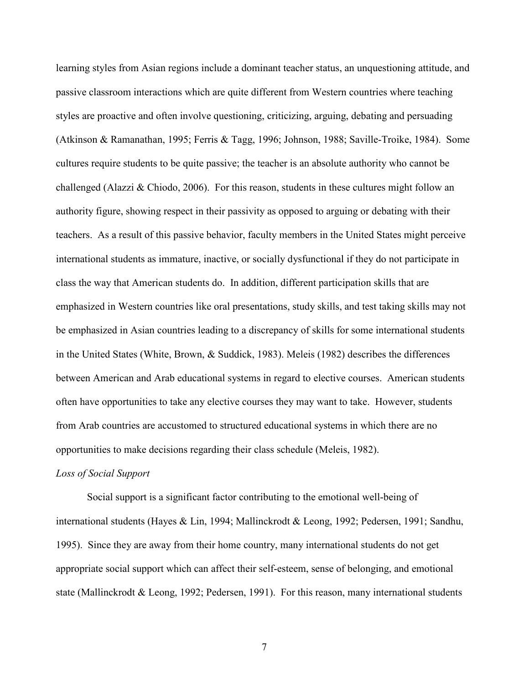learning styles from Asian regions include a dominant teacher status, an unquestioning attitude, and passive classroom interactions which are quite different from Western countries where teaching styles are proactive and often involve questioning, criticizing, arguing, debating and persuading (Atkinson & Ramanathan, 1995; Ferris & Tagg, 1996; Johnson, 1988; Saville-Troike, 1984). Some cultures require students to be quite passive; the teacher is an absolute authority who cannot be challenged (Alazzi & Chiodo, 2006). For this reason, students in these cultures might follow an authority figure, showing respect in their passivity as opposed to arguing or debating with their teachers. As a result of this passive behavior, faculty members in the United States might perceive international students as immature, inactive, or socially dysfunctional if they do not participate in class the way that American students do. In addition, different participation skills that are emphasized in Western countries like oral presentations, study skills, and test taking skills may not be emphasized in Asian countries leading to a discrepancy of skills for some international students in the United States (White, Brown, & Suddick, 1983). Meleis (1982) describes the differences between American and Arab educational systems in regard to elective courses. American students often have opportunities to take any elective courses they may want to take. However, students from Arab countries are accustomed to structured educational systems in which there are no opportunities to make decisions regarding their class schedule (Meleis, 1982).

#### *Loss of Social Support*

Social support is a significant factor contributing to the emotional well-being of international students (Hayes & Lin, 1994; Mallinckrodt & Leong, 1992; Pedersen, 1991; Sandhu, 1995). Since they are away from their home country, many international students do not get appropriate social support which can affect their self-esteem, sense of belonging, and emotional state (Mallinckrodt  $& Leong, 1992$ ; Pedersen, 1991). For this reason, many international students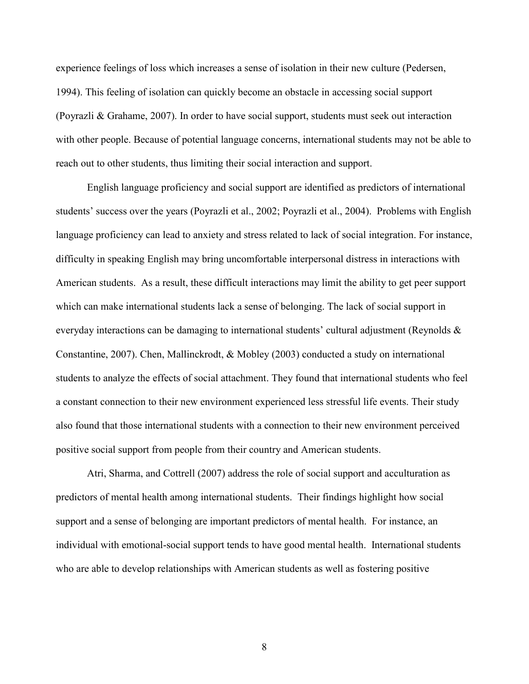experience feelings of loss which increases a sense of isolation in their new culture (Pedersen, 1994). This feeling of isolation can quickly become an obstacle in accessing social support (Poyrazli & Grahame, 2007). In order to have social support, students must seek out interaction with other people. Because of potential language concerns, international students may not be able to reach out to other students, thus limiting their social interaction and support.

English language proficiency and social support are identified as predictors of international students' success over the years (Poyrazli et al., 2002; Poyrazli et al., 2004). Problems with English language proficiency can lead to anxiety and stress related to lack of social integration. For instance, difficulty in speaking English may bring uncomfortable interpersonal distress in interactions with American students. As a result, these difficult interactions may limit the ability to get peer support which can make international students lack a sense of belonging. The lack of social support in everyday interactions can be damaging to international students' cultural adjustment (Reynolds  $\&$ Constantine, 2007). Chen, Mallinckrodt, & Mobley (2003) conducted a study on international students to analyze the effects of social attachment. They found that international students who feel a constant connection to their new environment experienced less stressful life events. Their study also found that those international students with a connection to their new environment perceived positive social support from people from their country and American students.

Atri, Sharma, and Cottrell (2007) address the role of social support and acculturation as predictors of mental health among international students. Their findings highlight how social support and a sense of belonging are important predictors of mental health. For instance, an individual with emotional-social support tends to have good mental health. International students who are able to develop relationships with American students as well as fostering positive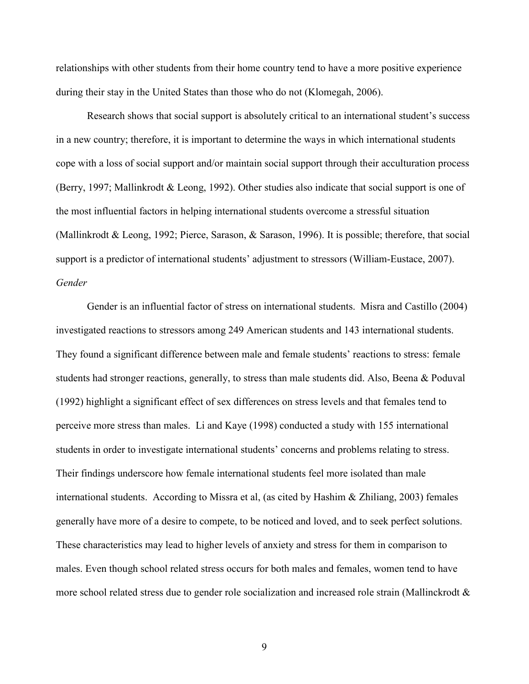relationships with other students from their home country tend to have a more positive experience during their stay in the United States than those who do not (Klomegah, 2006).

Research shows that social support is absolutely critical to an international student's success in a new country; therefore, it is important to determine the ways in which international students cope with a loss of social support and/or maintain social support through their acculturation process (Berry, 1997; Mallinkrodt & Leong, 1992). Other studies also indicate that social support is one of the most influential factors in helping international students overcome a stressful situation (Mallinkrodt & Leong, 1992; Pierce, Sarason, & Sarason, 1996). It is possible; therefore, that social support is a predictor of international students' adjustment to stressors (William-Eustace, 2007). *Gender* 

Gender is an influential factor of stress on international students. Misra and Castillo (2004) investigated reactions to stressors among 249 American students and 143 international students. They found a significant difference between male and female students' reactions to stress: female students had stronger reactions, generally, to stress than male students did. Also, Beena & Poduval (1992) highlight a significant effect of sex differences on stress levels and that females tend to perceive more stress than males. Li and Kaye (1998) conducted a study with 155 international students in order to investigate international students' concerns and problems relating to stress. Their findings underscore how female international students feel more isolated than male international students. According to Missra et al, (as cited by Hashim & Zhiliang, 2003) females generally have more of a desire to compete, to be noticed and loved, and to seek perfect solutions. These characteristics may lead to higher levels of anxiety and stress for them in comparison to males. Even though school related stress occurs for both males and females, women tend to have more school related stress due to gender role socialization and increased role strain (Mallinckrodt &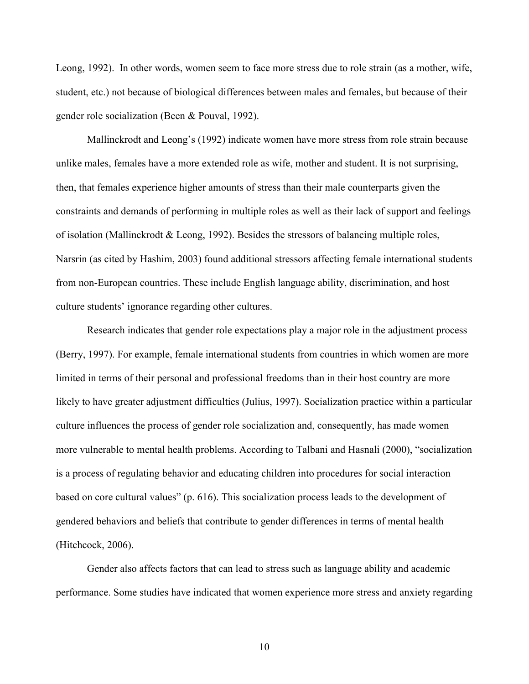Leong, 1992). In other words, women seem to face more stress due to role strain (as a mother, wife, student, etc.) not because of biological differences between males and females, but because of their gender role socialization (Been & Pouval, 1992).

Mallinckrodt and Leong's (1992) indicate women have more stress from role strain because unlike males, females have a more extended role as wife, mother and student. It is not surprising, then, that females experience higher amounts of stress than their male counterparts given the constraints and demands of performing in multiple roles as well as their lack of support and feelings of isolation (Mallinckrodt  $&$  Leong, 1992). Besides the stressors of balancing multiple roles, Narsrin (as cited by Hashim, 2003) found additional stressors affecting female international students from non-European countries. These include English language ability, discrimination, and host culture students' ignorance regarding other cultures.

Research indicates that gender role expectations play a major role in the adjustment process (Berry, 1997). For example, female international students from countries in which women are more limited in terms of their personal and professional freedoms than in their host country are more likely to have greater adjustment difficulties (Julius, 1997). Socialization practice within a particular culture influences the process of gender role socialization and, consequently, has made women more vulnerable to mental health problems. According to Talbani and Hasnali (2000), "socialization is a process of regulating behavior and educating children into procedures for social interaction based on core cultural values" (p. 616). This socialization process leads to the development of gendered behaviors and beliefs that contribute to gender differences in terms of mental health (Hitchcock, 2006).

Gender also affects factors that can lead to stress such as language ability and academic performance. Some studies have indicated that women experience more stress and anxiety regarding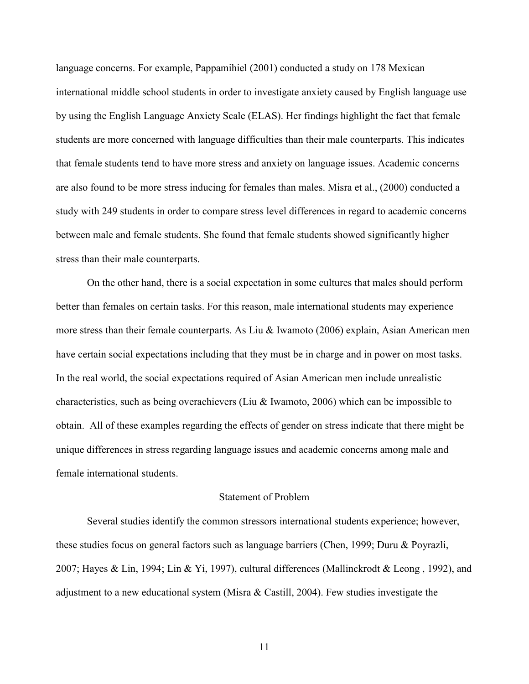language concerns. For example, Pappamihiel (2001) conducted a study on 178 Mexican international middle school students in order to investigate anxiety caused by English language use by using the English Language Anxiety Scale (ELAS). Her findings highlight the fact that female students are more concerned with language difficulties than their male counterparts. This indicates that female students tend to have more stress and anxiety on language issues. Academic concerns are also found to be more stress inducing for females than males. Misra et al., (2000) conducted a study with 249 students in order to compare stress level differences in regard to academic concerns between male and female students. She found that female students showed significantly higher stress than their male counterparts.

On the other hand, there is a social expectation in some cultures that males should perform better than females on certain tasks. For this reason, male international students may experience more stress than their female counterparts. As Liu & Iwamoto (2006) explain, Asian American men have certain social expectations including that they must be in charge and in power on most tasks. In the real world, the social expectations required of Asian American men include unrealistic characteristics, such as being overachievers (Liu & Iwamoto, 2006) which can be impossible to obtain. All of these examples regarding the effects of gender on stress indicate that there might be unique differences in stress regarding language issues and academic concerns among male and female international students.

#### Statement of Problem

Several studies identify the common stressors international students experience; however, these studies focus on general factors such as language barriers (Chen, 1999; Duru & Poyrazli, 2007; Hayes & Lin, 1994; Lin & Yi, 1997), cultural differences (Mallinckrodt & Leong , 1992), and adjustment to a new educational system (Misra & Castill, 2004). Few studies investigate the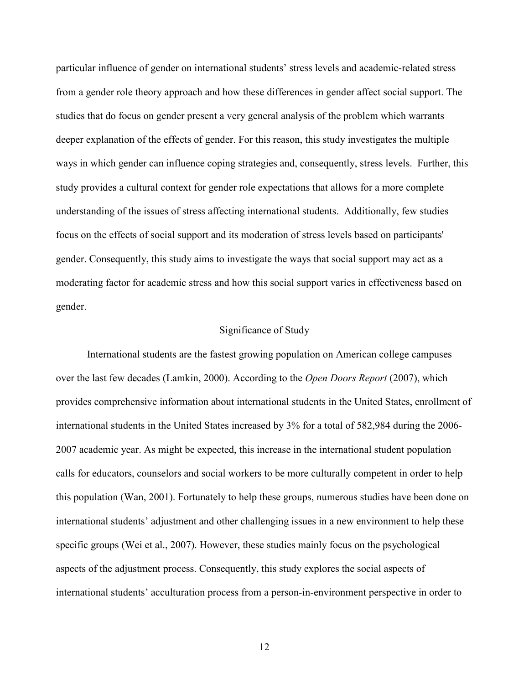particular influence of gender on international students' stress levels and academic-related stress from a gender role theory approach and how these differences in gender affect social support. The studies that do focus on gender present a very general analysis of the problem which warrants deeper explanation of the effects of gender. For this reason, this study investigates the multiple ways in which gender can influence coping strategies and, consequently, stress levels. Further, this study provides a cultural context for gender role expectations that allows for a more complete understanding of the issues of stress affecting international students. Additionally, few studies focus on the effects of social support and its moderation of stress levels based on participants' gender. Consequently, this study aims to investigate the ways that social support may act as a moderating factor for academic stress and how this social support varies in effectiveness based on gender.

#### Significance of Study

International students are the fastest growing population on American college campuses over the last few decades (Lamkin, 2000). According to the *Open Doors Report* (2007), which provides comprehensive information about international students in the United States, enrollment of international students in the United States increased by 3% for a total of 582,984 during the 2006- 2007 academic year. As might be expected, this increase in the international student population calls for educators, counselors and social workers to be more culturally competent in order to help this population (Wan, 2001). Fortunately to help these groups, numerous studies have been done on international students' adjustment and other challenging issues in a new environment to help these specific groups (Wei et al., 2007). However, these studies mainly focus on the psychological aspects of the adjustment process. Consequently, this study explores the social aspects of international students' acculturation process from a person-in-environment perspective in order to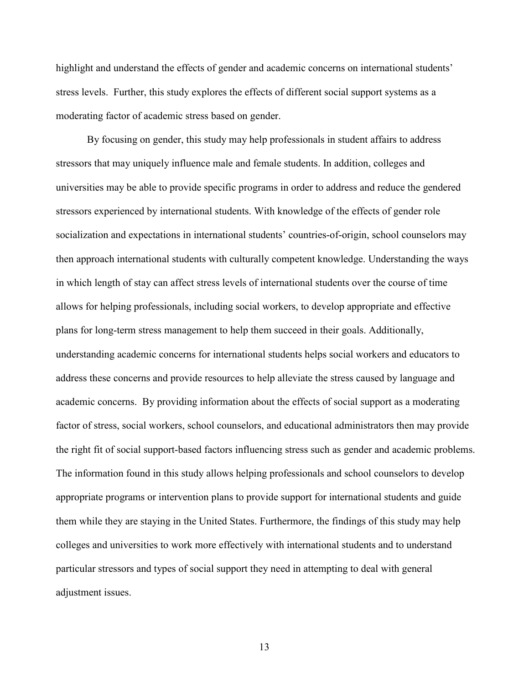highlight and understand the effects of gender and academic concerns on international students' stress levels. Further, this study explores the effects of different social support systems as a moderating factor of academic stress based on gender.

By focusing on gender, this study may help professionals in student affairs to address stressors that may uniquely influence male and female students. In addition, colleges and universities may be able to provide specific programs in order to address and reduce the gendered stressors experienced by international students. With knowledge of the effects of gender role socialization and expectations in international students' countries-of-origin, school counselors may then approach international students with culturally competent knowledge. Understanding the ways in which length of stay can affect stress levels of international students over the course of time allows for helping professionals, including social workers, to develop appropriate and effective plans for long-term stress management to help them succeed in their goals. Additionally, understanding academic concerns for international students helps social workers and educators to address these concerns and provide resources to help alleviate the stress caused by language and academic concerns. By providing information about the effects of social support as a moderating factor of stress, social workers, school counselors, and educational administrators then may provide the right fit of social support-based factors influencing stress such as gender and academic problems. The information found in this study allows helping professionals and school counselors to develop appropriate programs or intervention plans to provide support for international students and guide them while they are staying in the United States. Furthermore, the findings of this study may help colleges and universities to work more effectively with international students and to understand particular stressors and types of social support they need in attempting to deal with general adjustment issues.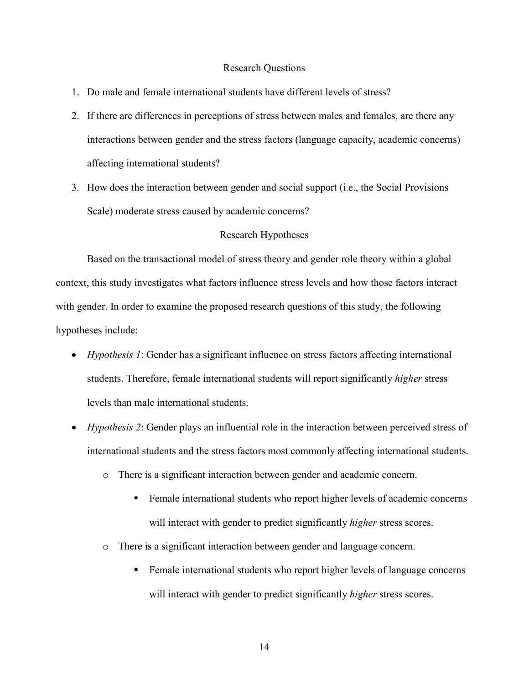#### Research Questions

- 1. Do male and female international students have different levels of stress?
- 2. If there are differences in perceptions of stress between males and females, are there any interactions between gender and the stress factors (language capacity, academic concerns) affecting international students?
- 3. How does the interaction between gender and social support (i.e., the Social Provisions Scale) moderate stress caused by academic concerns?

#### Research Hypotheses

 Based on the transactional model of stress theory and gender role theory within a global context, this study investigates what factors influence stress levels and how those factors interact with gender. In order to examine the proposed research questions of this study, the following hypotheses include:

- *Hypothesis 1*: Gender has a significant influence on stress factors affecting international students. Therefore, female international students will report significantly *higher* stress levels than male international students.
- *Hypothesis 2*: Gender plays an influential role in the interaction between perceived stress of international students and the stress factors most commonly affecting international students.
	- o There is a significant interaction between gender and academic concern.
		- **Female international students who report higher levels of academic concerns** will interact with gender to predict significantly *higher* stress scores.
	- o There is a significant interaction between gender and language concern.
		- **Female international students who report higher levels of language concerns** will interact with gender to predict significantly *higher* stress scores.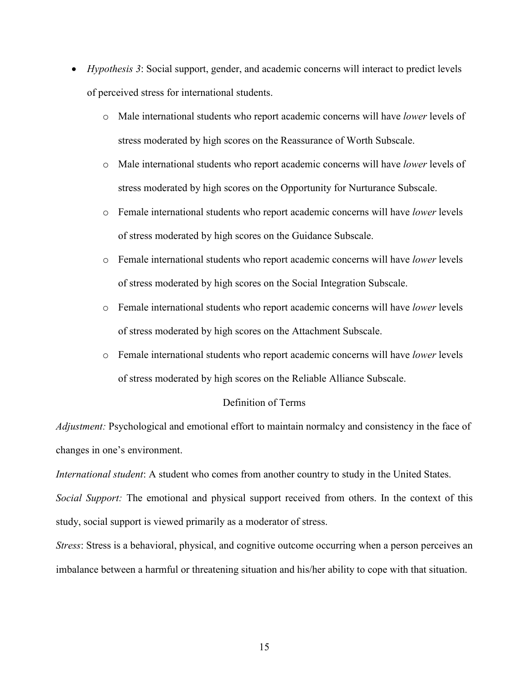- *Hypothesis 3*: Social support, gender, and academic concerns will interact to predict levels of perceived stress for international students.
	- o Male international students who report academic concerns will have *lower* levels of stress moderated by high scores on the Reassurance of Worth Subscale.
	- o Male international students who report academic concerns will have *lower* levels of stress moderated by high scores on the Opportunity for Nurturance Subscale.
	- o Female international students who report academic concerns will have *lower* levels of stress moderated by high scores on the Guidance Subscale.
	- o Female international students who report academic concerns will have *lower* levels of stress moderated by high scores on the Social Integration Subscale.
	- o Female international students who report academic concerns will have *lower* levels of stress moderated by high scores on the Attachment Subscale.
	- o Female international students who report academic concerns will have *lower* levels of stress moderated by high scores on the Reliable Alliance Subscale.

#### Definition of Terms

*Adjustment:* Psychological and emotional effort to maintain normalcy and consistency in the face of changes in one's environment.

*International student*: A student who comes from another country to study in the United States.

*Social Support:* The emotional and physical support received from others. In the context of this study, social support is viewed primarily as a moderator of stress.

*Stress*: Stress is a behavioral, physical, and cognitive outcome occurring when a person perceives an imbalance between a harmful or threatening situation and his/her ability to cope with that situation.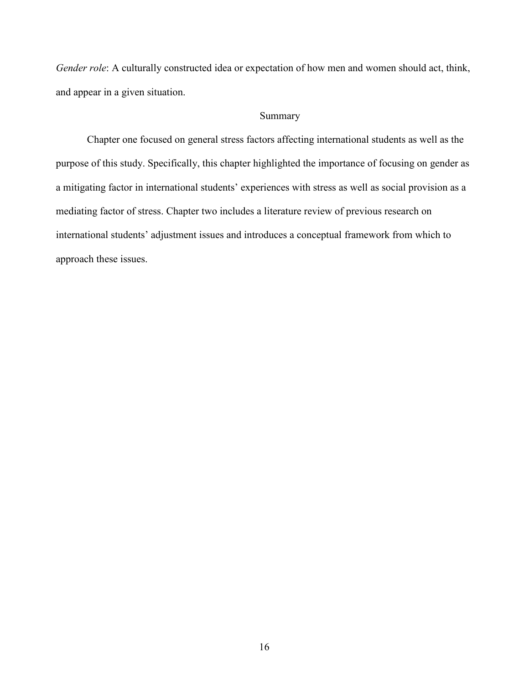*Gender role*: A culturally constructed idea or expectation of how men and women should act, think, and appear in a given situation.

### Summary

 Chapter one focused on general stress factors affecting international students as well as the purpose of this study. Specifically, this chapter highlighted the importance of focusing on gender as a mitigating factor in international students' experiences with stress as well as social provision as a mediating factor of stress. Chapter two includes a literature review of previous research on international students' adjustment issues and introduces a conceptual framework from which to approach these issues.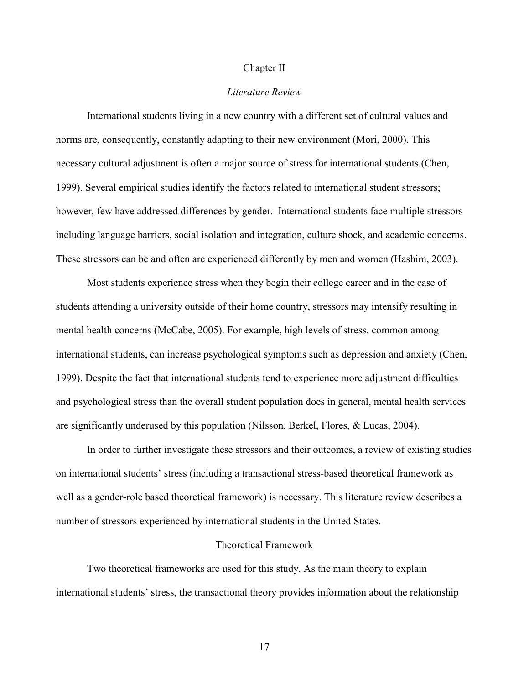#### Chapter II

#### *Literature Review*

 International students living in a new country with a different set of cultural values and norms are, consequently, constantly adapting to their new environment (Mori, 2000). This necessary cultural adjustment is often a major source of stress for international students (Chen, 1999). Several empirical studies identify the factors related to international student stressors; however, few have addressed differences by gender. International students face multiple stressors including language barriers, social isolation and integration, culture shock, and academic concerns. These stressors can be and often are experienced differently by men and women (Hashim, 2003).

 Most students experience stress when they begin their college career and in the case of students attending a university outside of their home country, stressors may intensify resulting in mental health concerns (McCabe, 2005). For example, high levels of stress, common among international students, can increase psychological symptoms such as depression and anxiety (Chen, 1999). Despite the fact that international students tend to experience more adjustment difficulties and psychological stress than the overall student population does in general, mental health services are significantly underused by this population (Nilsson, Berkel, Flores, & Lucas, 2004).

 In order to further investigate these stressors and their outcomes, a review of existing studies on international students' stress (including a transactional stress-based theoretical framework as well as a gender-role based theoretical framework) is necessary. This literature review describes a number of stressors experienced by international students in the United States.

#### Theoretical Framework

Two theoretical frameworks are used for this study. As the main theory to explain international students' stress, the transactional theory provides information about the relationship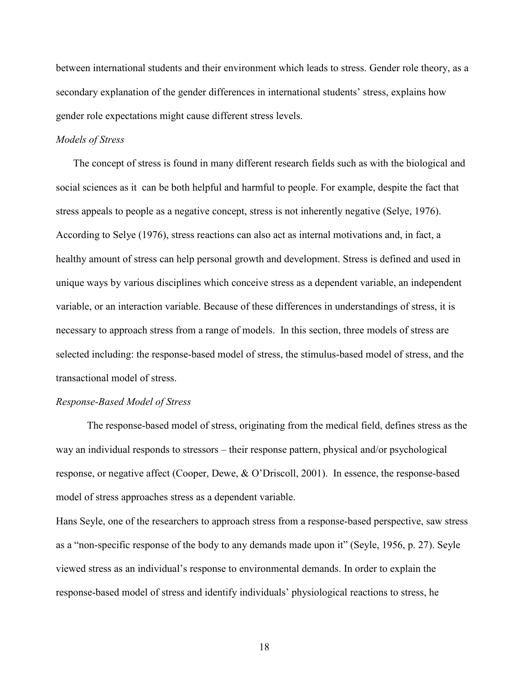between international students and their environment which leads to stress. Gender role theory, as a secondary explanation of the gender differences in international students' stress, explains how gender role expectations might cause different stress levels.

#### *Models of Stress*

The concept of stress is found in many different research fields such as with the biological and social sciences as it can be both helpful and harmful to people. For example, despite the fact that stress appeals to people as a negative concept, stress is not inherently negative (Selye, 1976). According to Selye (1976), stress reactions can also act as internal motivations and, in fact, a healthy amount of stress can help personal growth and development. Stress is defined and used in unique ways by various disciplines which conceive stress as a dependent variable, an independent variable, or an interaction variable. Because of these differences in understandings of stress, it is necessary to approach stress from a range of models. In this section, three models of stress are selected including: the response-based model of stress, the stimulus-based model of stress, and the transactional model of stress.

#### *Response-Based Model of Stress*

 The response-based model of stress, originating from the medical field, defines stress as the way an individual responds to stressors – their response pattern, physical and/or psychological response, or negative affect (Cooper, Dewe, & O'Driscoll, 2001). In essence, the response-based model of stress approaches stress as a dependent variable.

Hans Seyle, one of the researchers to approach stress from a response-based perspective, saw stress as a "non-specific response of the body to any demands made upon it" (Seyle, 1956, p. 27). Seyle viewed stress as an individual's response to environmental demands. In order to explain the response-based model of stress and identify individuals' physiological reactions to stress, he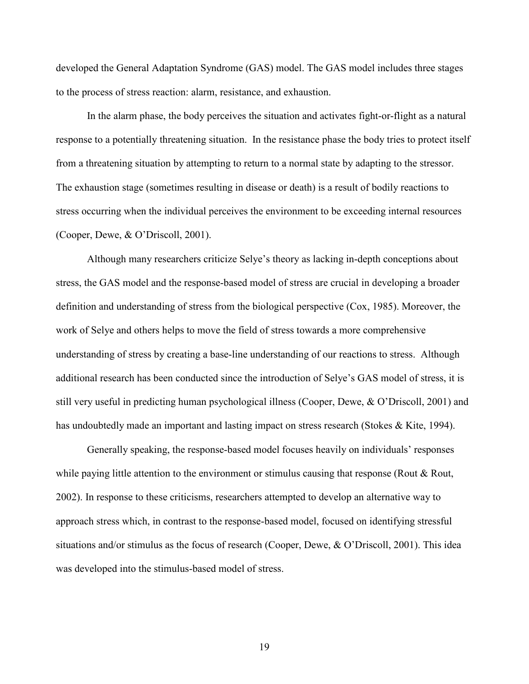developed the General Adaptation Syndrome (GAS) model. The GAS model includes three stages to the process of stress reaction: alarm, resistance, and exhaustion.

In the alarm phase, the body perceives the situation and activates fight-or-flight as a natural response to a potentially threatening situation. In the resistance phase the body tries to protect itself from a threatening situation by attempting to return to a normal state by adapting to the stressor. The exhaustion stage (sometimes resulting in disease or death) is a result of bodily reactions to stress occurring when the individual perceives the environment to be exceeding internal resources (Cooper, Dewe, & O'Driscoll, 2001).

Although many researchers criticize Selye's theory as lacking in-depth conceptions about stress, the GAS model and the response-based model of stress are crucial in developing a broader definition and understanding of stress from the biological perspective (Cox, 1985). Moreover, the work of Selye and others helps to move the field of stress towards a more comprehensive understanding of stress by creating a base-line understanding of our reactions to stress. Although additional research has been conducted since the introduction of Selye's GAS model of stress, it is still very useful in predicting human psychological illness (Cooper, Dewe, & O'Driscoll, 2001) and has undoubtedly made an important and lasting impact on stress research (Stokes & Kite, 1994).

Generally speaking, the response-based model focuses heavily on individuals' responses while paying little attention to the environment or stimulus causing that response (Rout & Rout, 2002). In response to these criticisms, researchers attempted to develop an alternative way to approach stress which, in contrast to the response-based model, focused on identifying stressful situations and/or stimulus as the focus of research (Cooper, Dewe, & O'Driscoll, 2001). This idea was developed into the stimulus-based model of stress.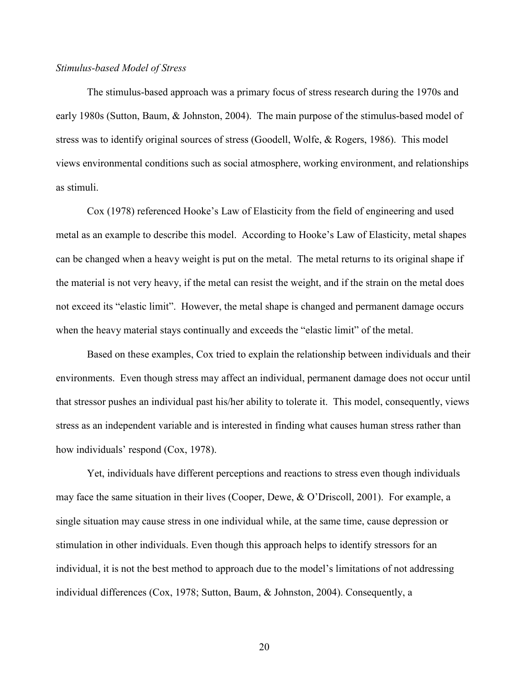#### *Stimulus-based Model of Stress*

 The stimulus-based approach was a primary focus of stress research during the 1970s and early 1980s (Sutton, Baum, & Johnston, 2004). The main purpose of the stimulus-based model of stress was to identify original sources of stress (Goodell, Wolfe, & Rogers, 1986). This model views environmental conditions such as social atmosphere, working environment, and relationships as stimuli.

Cox (1978) referenced Hooke's Law of Elasticity from the field of engineering and used metal as an example to describe this model. According to Hooke's Law of Elasticity, metal shapes can be changed when a heavy weight is put on the metal. The metal returns to its original shape if the material is not very heavy, if the metal can resist the weight, and if the strain on the metal does not exceed its "elastic limit". However, the metal shape is changed and permanent damage occurs when the heavy material stays continually and exceeds the "elastic limit" of the metal.

Based on these examples, Cox tried to explain the relationship between individuals and their environments. Even though stress may affect an individual, permanent damage does not occur until that stressor pushes an individual past his/her ability to tolerate it. This model, consequently, views stress as an independent variable and is interested in finding what causes human stress rather than how individuals' respond (Cox, 1978).

Yet, individuals have different perceptions and reactions to stress even though individuals may face the same situation in their lives (Cooper, Dewe, & O'Driscoll, 2001). For example, a single situation may cause stress in one individual while, at the same time, cause depression or stimulation in other individuals. Even though this approach helps to identify stressors for an individual, it is not the best method to approach due to the model's limitations of not addressing individual differences (Cox, 1978; Sutton, Baum, & Johnston, 2004). Consequently, a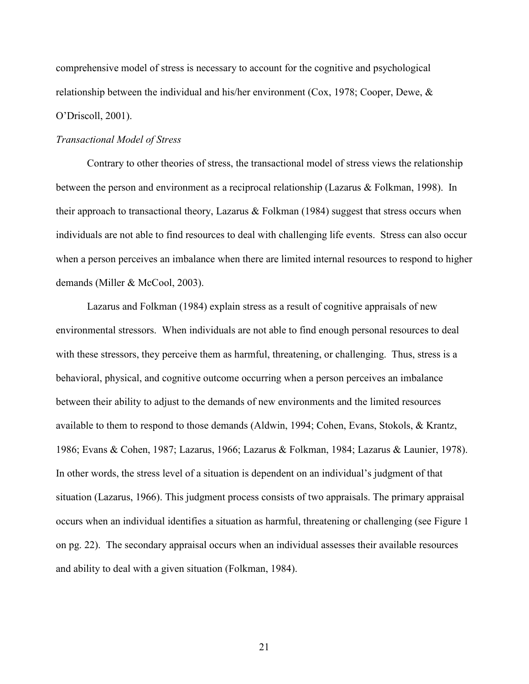comprehensive model of stress is necessary to account for the cognitive and psychological relationship between the individual and his/her environment (Cox, 1978; Cooper, Dewe, & O'Driscoll, 2001).

#### *Transactional Model of Stress*

Contrary to other theories of stress, the transactional model of stress views the relationship between the person and environment as a reciprocal relationship (Lazarus & Folkman, 1998). In their approach to transactional theory, Lazarus  $\&$  Folkman (1984) suggest that stress occurs when individuals are not able to find resources to deal with challenging life events. Stress can also occur when a person perceives an imbalance when there are limited internal resources to respond to higher demands (Miller & McCool, 2003).

Lazarus and Folkman (1984) explain stress as a result of cognitive appraisals of new environmental stressors. When individuals are not able to find enough personal resources to deal with these stressors, they perceive them as harmful, threatening, or challenging. Thus, stress is a behavioral, physical, and cognitive outcome occurring when a person perceives an imbalance between their ability to adjust to the demands of new environments and the limited resources available to them to respond to those demands (Aldwin, 1994; Cohen, Evans, Stokols, & Krantz, 1986; Evans & Cohen, 1987; Lazarus, 1966; Lazarus & Folkman, 1984; Lazarus & Launier, 1978). In other words, the stress level of a situation is dependent on an individual's judgment of that situation (Lazarus, 1966). This judgment process consists of two appraisals. The primary appraisal occurs when an individual identifies a situation as harmful, threatening or challenging (see Figure 1 on pg. 22). The secondary appraisal occurs when an individual assesses their available resources and ability to deal with a given situation (Folkman, 1984).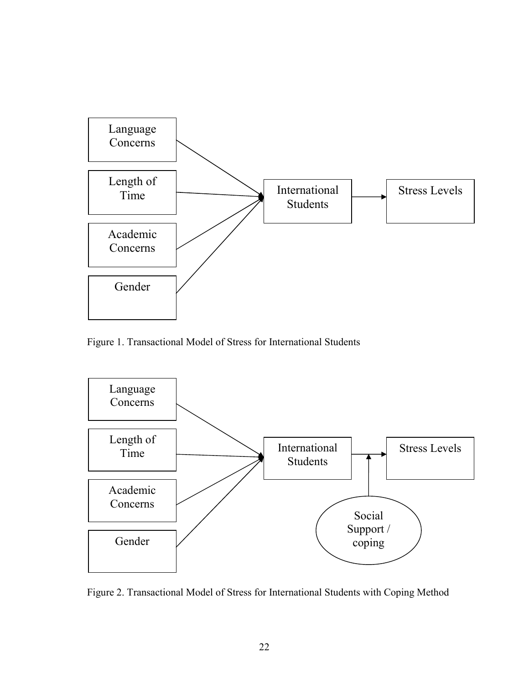

Figure 1. Transactional Model of Stress for International Students



Figure 2. Transactional Model of Stress for International Students with Coping Method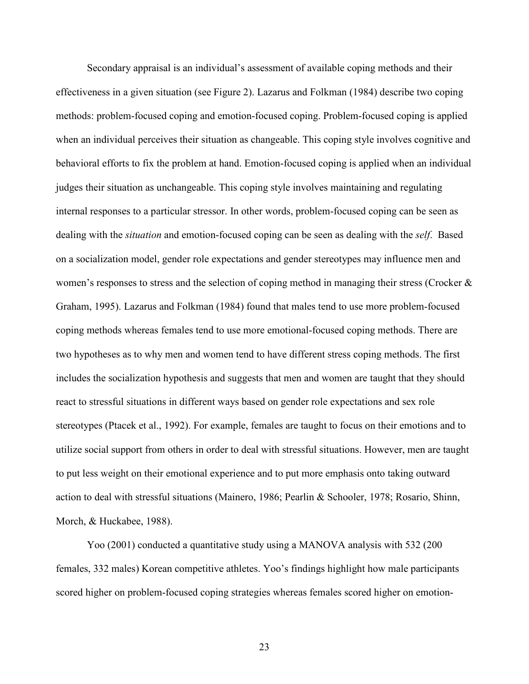Secondary appraisal is an individual's assessment of available coping methods and their effectiveness in a given situation (see Figure 2). Lazarus and Folkman (1984) describe two coping methods: problem-focused coping and emotion-focused coping. Problem-focused coping is applied when an individual perceives their situation as changeable. This coping style involves cognitive and behavioral efforts to fix the problem at hand. Emotion-focused coping is applied when an individual judges their situation as unchangeable. This coping style involves maintaining and regulating internal responses to a particular stressor. In other words, problem-focused coping can be seen as dealing with the *situation* and emotion-focused coping can be seen as dealing with the *self*. Based on a socialization model, gender role expectations and gender stereotypes may influence men and women's responses to stress and the selection of coping method in managing their stress (Crocker  $\&$ Graham, 1995). Lazarus and Folkman (1984) found that males tend to use more problem-focused coping methods whereas females tend to use more emotional-focused coping methods. There are two hypotheses as to why men and women tend to have different stress coping methods. The first includes the socialization hypothesis and suggests that men and women are taught that they should react to stressful situations in different ways based on gender role expectations and sex role stereotypes (Ptacek et al., 1992). For example, females are taught to focus on their emotions and to utilize social support from others in order to deal with stressful situations. However, men are taught to put less weight on their emotional experience and to put more emphasis onto taking outward action to deal with stressful situations (Mainero, 1986; Pearlin & Schooler, 1978; Rosario, Shinn, Morch, & Huckabee, 1988).

Yoo (2001) conducted a quantitative study using a MANOVA analysis with 532 (200 females, 332 males) Korean competitive athletes. Yoo's findings highlight how male participants scored higher on problem-focused coping strategies whereas females scored higher on emotion-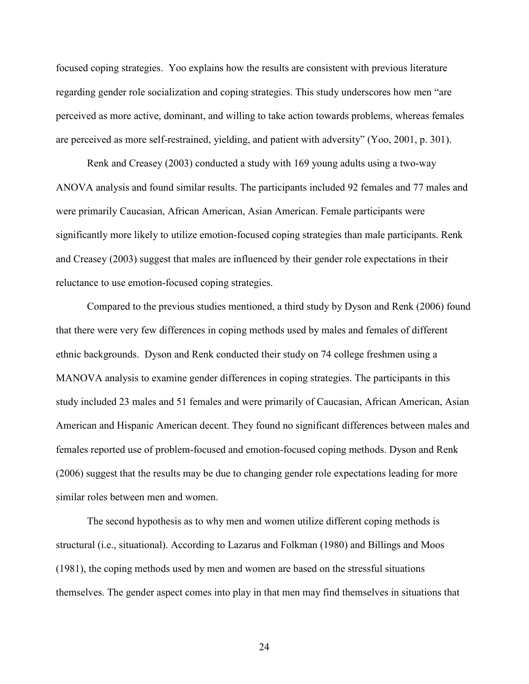focused coping strategies. Yoo explains how the results are consistent with previous literature regarding gender role socialization and coping strategies. This study underscores how men "are perceived as more active, dominant, and willing to take action towards problems, whereas females are perceived as more self-restrained, yielding, and patient with adversity" (Yoo, 2001, p. 301).

 Renk and Creasey (2003) conducted a study with 169 young adults using a two-way ANOVA analysis and found similar results. The participants included 92 females and 77 males and were primarily Caucasian, African American, Asian American. Female participants were significantly more likely to utilize emotion-focused coping strategies than male participants. Renk and Creasey (2003) suggest that males are influenced by their gender role expectations in their reluctance to use emotion-focused coping strategies.

 Compared to the previous studies mentioned, a third study by Dyson and Renk (2006) found that there were very few differences in coping methods used by males and females of different ethnic backgrounds. Dyson and Renk conducted their study on 74 college freshmen using a MANOVA analysis to examine gender differences in coping strategies. The participants in this study included 23 males and 51 females and were primarily of Caucasian, African American, Asian American and Hispanic American decent. They found no significant differences between males and females reported use of problem-focused and emotion-focused coping methods. Dyson and Renk (2006) suggest that the results may be due to changing gender role expectations leading for more similar roles between men and women.

The second hypothesis as to why men and women utilize different coping methods is structural (i.e., situational). According to Lazarus and Folkman (1980) and Billings and Moos (1981), the coping methods used by men and women are based on the stressful situations themselves. The gender aspect comes into play in that men may find themselves in situations that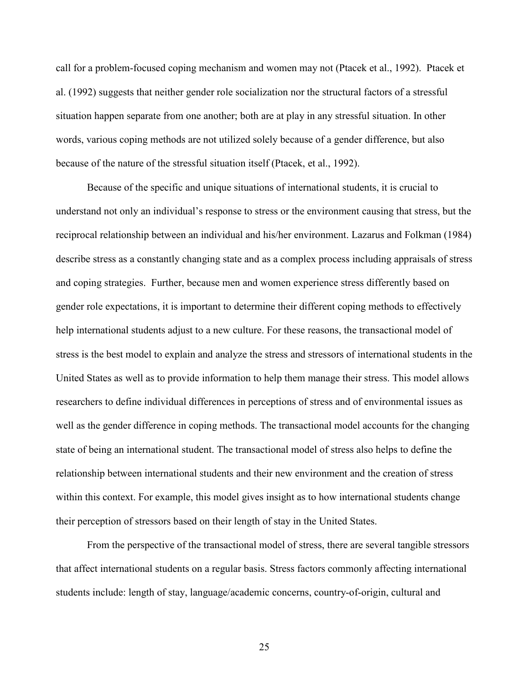call for a problem-focused coping mechanism and women may not (Ptacek et al., 1992). Ptacek et al. (1992) suggests that neither gender role socialization nor the structural factors of a stressful situation happen separate from one another; both are at play in any stressful situation. In other words, various coping methods are not utilized solely because of a gender difference, but also because of the nature of the stressful situation itself (Ptacek, et al., 1992).

Because of the specific and unique situations of international students, it is crucial to understand not only an individual's response to stress or the environment causing that stress, but the reciprocal relationship between an individual and his/her environment. Lazarus and Folkman (1984) describe stress as a constantly changing state and as a complex process including appraisals of stress and coping strategies. Further, because men and women experience stress differently based on gender role expectations, it is important to determine their different coping methods to effectively help international students adjust to a new culture. For these reasons, the transactional model of stress is the best model to explain and analyze the stress and stressors of international students in the United States as well as to provide information to help them manage their stress. This model allows researchers to define individual differences in perceptions of stress and of environmental issues as well as the gender difference in coping methods. The transactional model accounts for the changing state of being an international student. The transactional model of stress also helps to define the relationship between international students and their new environment and the creation of stress within this context. For example, this model gives insight as to how international students change their perception of stressors based on their length of stay in the United States.

From the perspective of the transactional model of stress, there are several tangible stressors that affect international students on a regular basis. Stress factors commonly affecting international students include: length of stay, language/academic concerns, country-of-origin, cultural and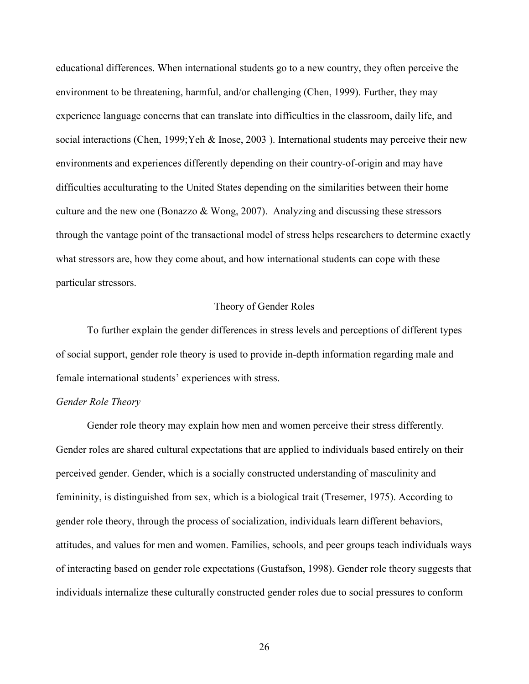educational differences. When international students go to a new country, they often perceive the environment to be threatening, harmful, and/or challenging (Chen, 1999). Further, they may experience language concerns that can translate into difficulties in the classroom, daily life, and social interactions (Chen, 1999;Yeh & Inose, 2003 ). International students may perceive their new environments and experiences differently depending on their country-of-origin and may have difficulties acculturating to the United States depending on the similarities between their home culture and the new one (Bonazzo & Wong, 2007). Analyzing and discussing these stressors through the vantage point of the transactional model of stress helps researchers to determine exactly what stressors are, how they come about, and how international students can cope with these particular stressors.

## Theory of Gender Roles

To further explain the gender differences in stress levels and perceptions of different types of social support, gender role theory is used to provide in-depth information regarding male and female international students' experiences with stress.

## *Gender Role Theory*

 Gender role theory may explain how men and women perceive their stress differently. Gender roles are shared cultural expectations that are applied to individuals based entirely on their perceived gender. Gender, which is a socially constructed understanding of masculinity and femininity, is distinguished from sex, which is a biological trait (Tresemer, 1975). According to gender role theory, through the process of socialization, individuals learn different behaviors, attitudes, and values for men and women. Families, schools, and peer groups teach individuals ways of interacting based on gender role expectations (Gustafson, 1998). Gender role theory suggests that individuals internalize these culturally constructed gender roles due to social pressures to conform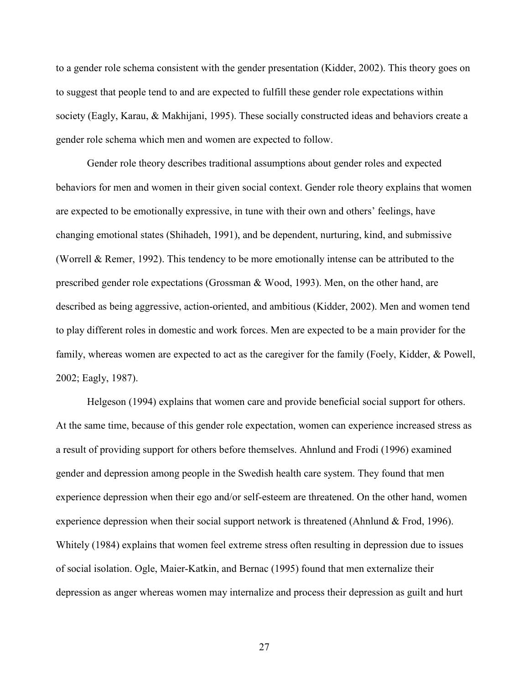to a gender role schema consistent with the gender presentation (Kidder, 2002). This theory goes on to suggest that people tend to and are expected to fulfill these gender role expectations within society (Eagly, Karau, & Makhijani, 1995). These socially constructed ideas and behaviors create a gender role schema which men and women are expected to follow.

 Gender role theory describes traditional assumptions about gender roles and expected behaviors for men and women in their given social context. Gender role theory explains that women are expected to be emotionally expressive, in tune with their own and others' feelings, have changing emotional states (Shihadeh, 1991), and be dependent, nurturing, kind, and submissive (Worrell & Remer, 1992). This tendency to be more emotionally intense can be attributed to the prescribed gender role expectations (Grossman & Wood, 1993). Men, on the other hand, are described as being aggressive, action-oriented, and ambitious (Kidder, 2002). Men and women tend to play different roles in domestic and work forces. Men are expected to be a main provider for the family, whereas women are expected to act as the caregiver for the family (Foely, Kidder, & Powell, 2002; Eagly, 1987).

 Helgeson (1994) explains that women care and provide beneficial social support for others. At the same time, because of this gender role expectation, women can experience increased stress as a result of providing support for others before themselves. Ahnlund and Frodi (1996) examined gender and depression among people in the Swedish health care system. They found that men experience depression when their ego and/or self-esteem are threatened. On the other hand, women experience depression when their social support network is threatened (Ahnlund  $&$  Frod, 1996). Whitely (1984) explains that women feel extreme stress often resulting in depression due to issues of social isolation. Ogle, Maier-Katkin, and Bernac (1995) found that men externalize their depression as anger whereas women may internalize and process their depression as guilt and hurt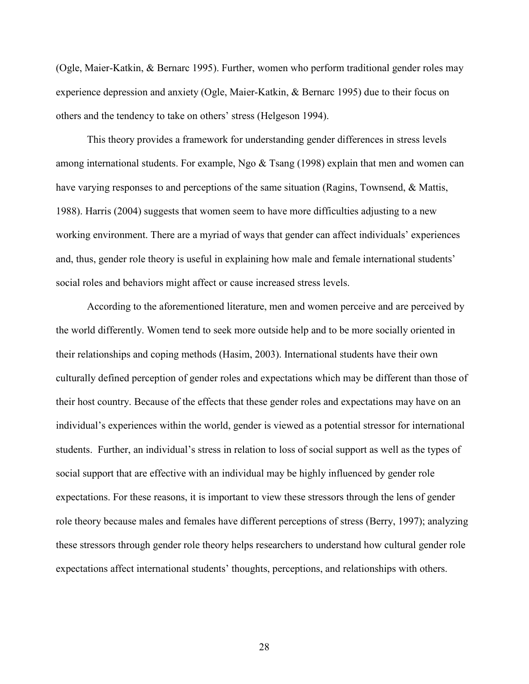(Ogle, Maier-Katkin, & Bernarc 1995). Further, women who perform traditional gender roles may experience depression and anxiety (Ogle, Maier-Katkin, & Bernarc 1995) due to their focus on others and the tendency to take on others' stress (Helgeson 1994).

 This theory provides a framework for understanding gender differences in stress levels among international students. For example, Ngo & Tsang (1998) explain that men and women can have varying responses to and perceptions of the same situation (Ragins, Townsend, & Mattis, 1988). Harris (2004) suggests that women seem to have more difficulties adjusting to a new working environment. There are a myriad of ways that gender can affect individuals' experiences and, thus, gender role theory is useful in explaining how male and female international students' social roles and behaviors might affect or cause increased stress levels.

 According to the aforementioned literature, men and women perceive and are perceived by the world differently. Women tend to seek more outside help and to be more socially oriented in their relationships and coping methods (Hasim, 2003). International students have their own culturally defined perception of gender roles and expectations which may be different than those of their host country. Because of the effects that these gender roles and expectations may have on an individual's experiences within the world, gender is viewed as a potential stressor for international students. Further, an individual's stress in relation to loss of social support as well as the types of social support that are effective with an individual may be highly influenced by gender role expectations. For these reasons, it is important to view these stressors through the lens of gender role theory because males and females have different perceptions of stress (Berry, 1997); analyzing these stressors through gender role theory helps researchers to understand how cultural gender role expectations affect international students' thoughts, perceptions, and relationships with others.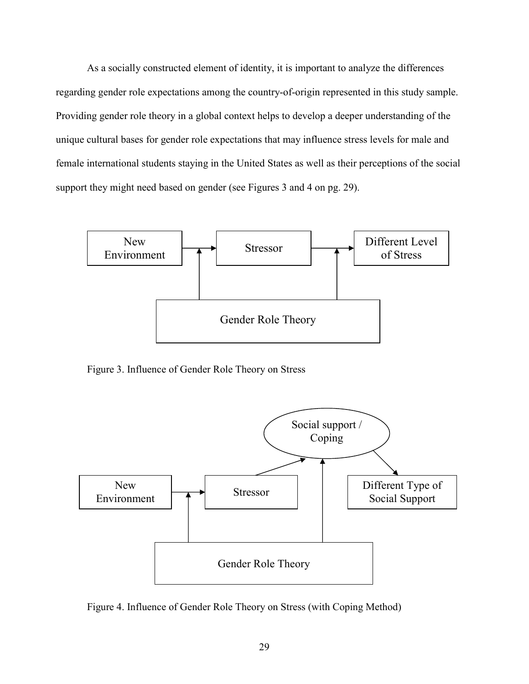As a socially constructed element of identity, it is important to analyze the differences regarding gender role expectations among the country-of-origin represented in this study sample. Providing gender role theory in a global context helps to develop a deeper understanding of the unique cultural bases for gender role expectations that may influence stress levels for male and female international students staying in the United States as well as their perceptions of the social support they might need based on gender (see Figures 3 and 4 on pg. 29).



Figure 3. Influence of Gender Role Theory on Stress



Figure 4. Influence of Gender Role Theory on Stress (with Coping Method)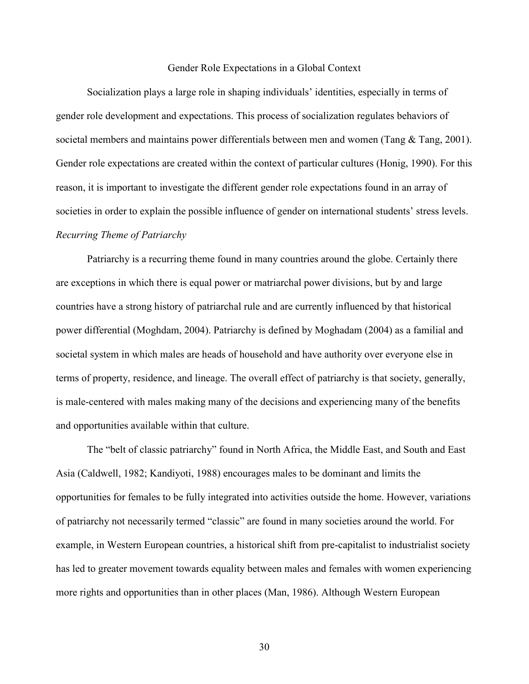#### Gender Role Expectations in a Global Context

 Socialization plays a large role in shaping individuals' identities, especially in terms of gender role development and expectations. This process of socialization regulates behaviors of societal members and maintains power differentials between men and women (Tang & Tang, 2001). Gender role expectations are created within the context of particular cultures (Honig, 1990). For this reason, it is important to investigate the different gender role expectations found in an array of societies in order to explain the possible influence of gender on international students' stress levels. *Recurring Theme of Patriarchy* 

 Patriarchy is a recurring theme found in many countries around the globe. Certainly there are exceptions in which there is equal power or matriarchal power divisions, but by and large countries have a strong history of patriarchal rule and are currently influenced by that historical power differential (Moghdam, 2004). Patriarchy is defined by Moghadam (2004) as a familial and societal system in which males are heads of household and have authority over everyone else in terms of property, residence, and lineage. The overall effect of patriarchy is that society, generally, is male-centered with males making many of the decisions and experiencing many of the benefits and opportunities available within that culture.

The "belt of classic patriarchy" found in North Africa, the Middle East, and South and East Asia (Caldwell, 1982; Kandiyoti, 1988) encourages males to be dominant and limits the opportunities for females to be fully integrated into activities outside the home. However, variations of patriarchy not necessarily termed "classic" are found in many societies around the world. For example, in Western European countries, a historical shift from pre-capitalist to industrialist society has led to greater movement towards equality between males and females with women experiencing more rights and opportunities than in other places (Man, 1986). Although Western European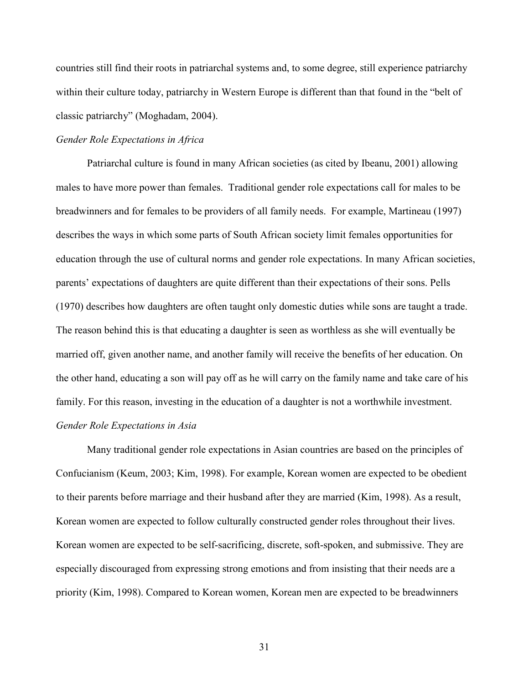countries still find their roots in patriarchal systems and, to some degree, still experience patriarchy within their culture today, patriarchy in Western Europe is different than that found in the "belt of classic patriarchy" (Moghadam, 2004).

## *Gender Role Expectations in Africa*

 Patriarchal culture is found in many African societies (as cited by Ibeanu, 2001) allowing males to have more power than females. Traditional gender role expectations call for males to be breadwinners and for females to be providers of all family needs. For example, Martineau (1997) describes the ways in which some parts of South African society limit females opportunities for education through the use of cultural norms and gender role expectations. In many African societies, parents' expectations of daughters are quite different than their expectations of their sons. Pells (1970) describes how daughters are often taught only domestic duties while sons are taught a trade. The reason behind this is that educating a daughter is seen as worthless as she will eventually be married off, given another name, and another family will receive the benefits of her education. On the other hand, educating a son will pay off as he will carry on the family name and take care of his family. For this reason, investing in the education of a daughter is not a worthwhile investment. *Gender Role Expectations in Asia* 

 Many traditional gender role expectations in Asian countries are based on the principles of Confucianism (Keum, 2003; Kim, 1998). For example, Korean women are expected to be obedient to their parents before marriage and their husband after they are married (Kim, 1998). As a result, Korean women are expected to follow culturally constructed gender roles throughout their lives. Korean women are expected to be self-sacrificing, discrete, soft-spoken, and submissive. They are especially discouraged from expressing strong emotions and from insisting that their needs are a priority (Kim, 1998). Compared to Korean women, Korean men are expected to be breadwinners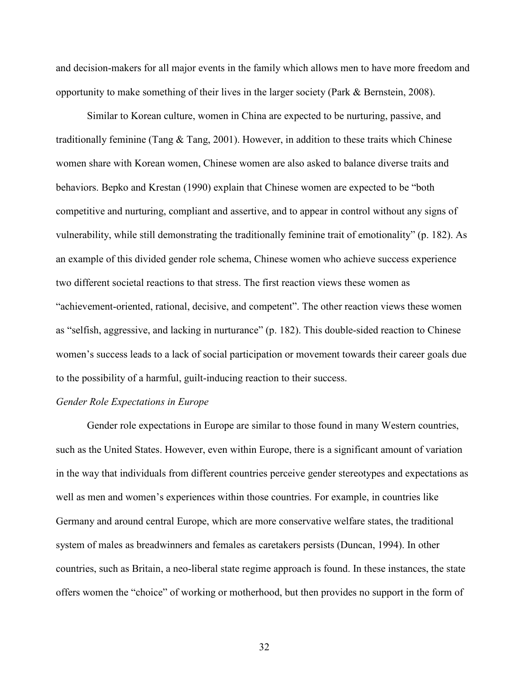and decision-makers for all major events in the family which allows men to have more freedom and opportunity to make something of their lives in the larger society (Park & Bernstein, 2008).

 Similar to Korean culture, women in China are expected to be nurturing, passive, and traditionally feminine (Tang  $\&$  Tang, 2001). However, in addition to these traits which Chinese women share with Korean women, Chinese women are also asked to balance diverse traits and behaviors. Bepko and Krestan (1990) explain that Chinese women are expected to be "both competitive and nurturing, compliant and assertive, and to appear in control without any signs of vulnerability, while still demonstrating the traditionally feminine trait of emotionality" (p. 182). As an example of this divided gender role schema, Chinese women who achieve success experience two different societal reactions to that stress. The first reaction views these women as "achievement-oriented, rational, decisive, and competent". The other reaction views these women as "selfish, aggressive, and lacking in nurturance" (p. 182). This double-sided reaction to Chinese women's success leads to a lack of social participation or movement towards their career goals due to the possibility of a harmful, guilt-inducing reaction to their success.

#### *Gender Role Expectations in Europe*

Gender role expectations in Europe are similar to those found in many Western countries, such as the United States. However, even within Europe, there is a significant amount of variation in the way that individuals from different countries perceive gender stereotypes and expectations as well as men and women's experiences within those countries. For example, in countries like Germany and around central Europe, which are more conservative welfare states, the traditional system of males as breadwinners and females as caretakers persists (Duncan, 1994). In other countries, such as Britain, a neo-liberal state regime approach is found. In these instances, the state offers women the "choice" of working or motherhood, but then provides no support in the form of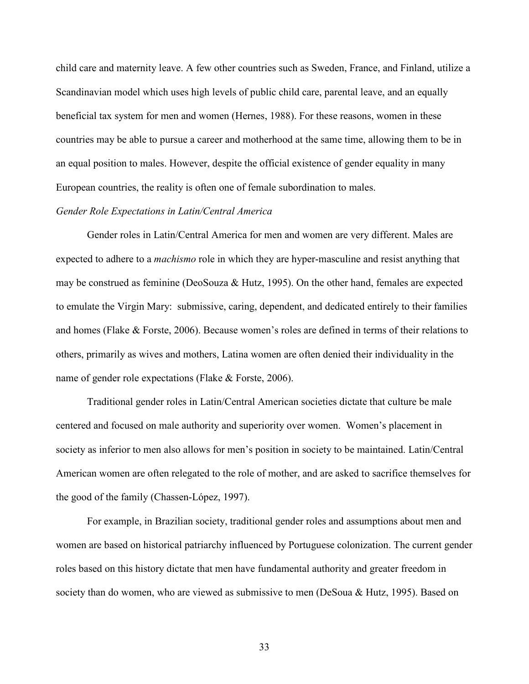child care and maternity leave. A few other countries such as Sweden, France, and Finland, utilize a Scandinavian model which uses high levels of public child care, parental leave, and an equally beneficial tax system for men and women (Hernes, 1988). For these reasons, women in these countries may be able to pursue a career and motherhood at the same time, allowing them to be in an equal position to males. However, despite the official existence of gender equality in many European countries, the reality is often one of female subordination to males.

### *Gender Role Expectations in Latin/Central America*

 Gender roles in Latin/Central America for men and women are very different. Males are expected to adhere to a *machismo* role in which they are hyper-masculine and resist anything that may be construed as feminine (DeoSouza & Hutz, 1995). On the other hand, females are expected to emulate the Virgin Mary: submissive, caring, dependent, and dedicated entirely to their families and homes (Flake & Forste, 2006). Because women's roles are defined in terms of their relations to others, primarily as wives and mothers, Latina women are often denied their individuality in the name of gender role expectations (Flake & Forste, 2006).

Traditional gender roles in Latin/Central American societies dictate that culture be male centered and focused on male authority and superiority over women. Women's placement in society as inferior to men also allows for men's position in society to be maintained. Latin/Central American women are often relegated to the role of mother, and are asked to sacrifice themselves for the good of the family (Chassen-López, 1997).

For example, in Brazilian society, traditional gender roles and assumptions about men and women are based on historical patriarchy influenced by Portuguese colonization. The current gender roles based on this history dictate that men have fundamental authority and greater freedom in society than do women, who are viewed as submissive to men (DeSoua & Hutz, 1995). Based on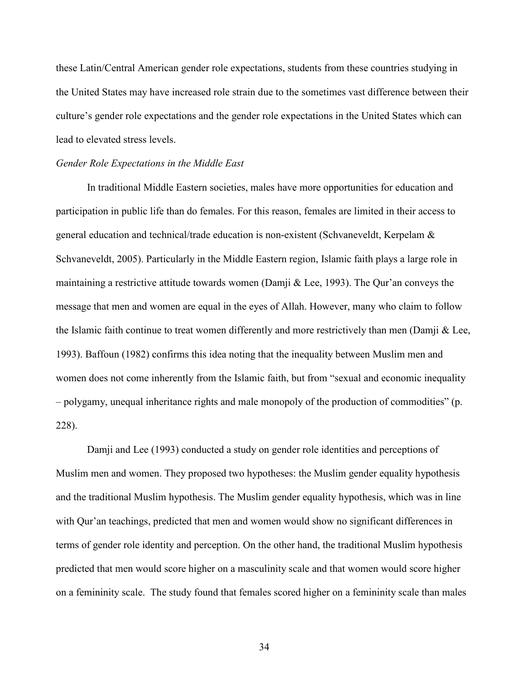these Latin/Central American gender role expectations, students from these countries studying in the United States may have increased role strain due to the sometimes vast difference between their culture's gender role expectations and the gender role expectations in the United States which can lead to elevated stress levels.

#### *Gender Role Expectations in the Middle East*

 In traditional Middle Eastern societies, males have more opportunities for education and participation in public life than do females. For this reason, females are limited in their access to general education and technical/trade education is non-existent (Schvaneveldt, Kerpelam & Schvaneveldt, 2005). Particularly in the Middle Eastern region, Islamic faith plays a large role in maintaining a restrictive attitude towards women (Damji & Lee, 1993). The Qur'an conveys the message that men and women are equal in the eyes of Allah. However, many who claim to follow the Islamic faith continue to treat women differently and more restrictively than men (Damji & Lee, 1993). Baffoun (1982) confirms this idea noting that the inequality between Muslim men and women does not come inherently from the Islamic faith, but from "sexual and economic inequality – polygamy, unequal inheritance rights and male monopoly of the production of commodities" (p. 228).

 Damji and Lee (1993) conducted a study on gender role identities and perceptions of Muslim men and women. They proposed two hypotheses: the Muslim gender equality hypothesis and the traditional Muslim hypothesis. The Muslim gender equality hypothesis, which was in line with Qur'an teachings, predicted that men and women would show no significant differences in terms of gender role identity and perception. On the other hand, the traditional Muslim hypothesis predicted that men would score higher on a masculinity scale and that women would score higher on a femininity scale. The study found that females scored higher on a femininity scale than males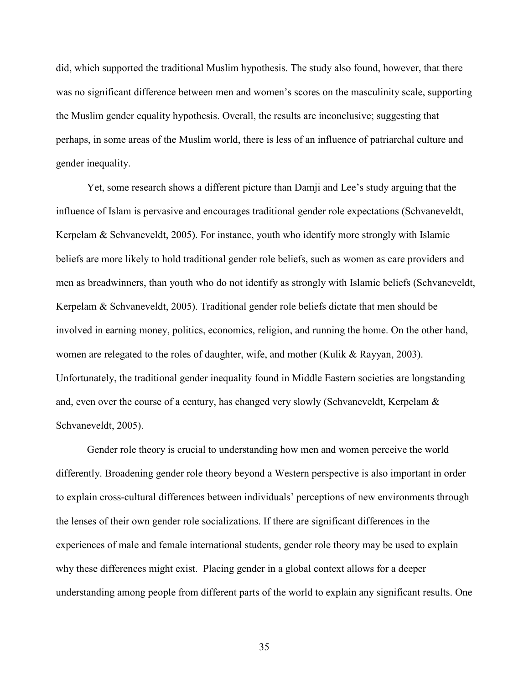did, which supported the traditional Muslim hypothesis. The study also found, however, that there was no significant difference between men and women's scores on the masculinity scale, supporting the Muslim gender equality hypothesis. Overall, the results are inconclusive; suggesting that perhaps, in some areas of the Muslim world, there is less of an influence of patriarchal culture and gender inequality.

 Yet, some research shows a different picture than Damji and Lee's study arguing that the influence of Islam is pervasive and encourages traditional gender role expectations (Schvaneveldt, Kerpelam & Schvaneveldt, 2005). For instance, youth who identify more strongly with Islamic beliefs are more likely to hold traditional gender role beliefs, such as women as care providers and men as breadwinners, than youth who do not identify as strongly with Islamic beliefs (Schvaneveldt, Kerpelam & Schvaneveldt, 2005). Traditional gender role beliefs dictate that men should be involved in earning money, politics, economics, religion, and running the home. On the other hand, women are relegated to the roles of daughter, wife, and mother (Kulik & Rayyan, 2003). Unfortunately, the traditional gender inequality found in Middle Eastern societies are longstanding and, even over the course of a century, has changed very slowly (Schvaneveldt, Kerpelam & Schvaneveldt, 2005).

 Gender role theory is crucial to understanding how men and women perceive the world differently. Broadening gender role theory beyond a Western perspective is also important in order to explain cross-cultural differences between individuals' perceptions of new environments through the lenses of their own gender role socializations. If there are significant differences in the experiences of male and female international students, gender role theory may be used to explain why these differences might exist. Placing gender in a global context allows for a deeper understanding among people from different parts of the world to explain any significant results. One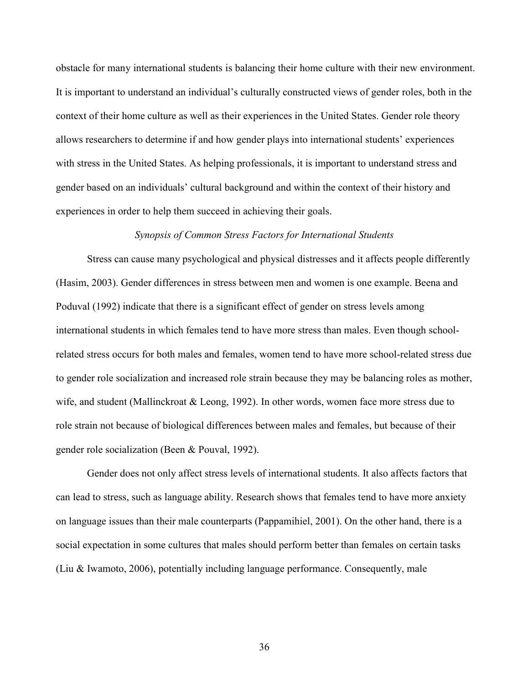obstacle for many international students is balancing their home culture with their new environment. It is important to understand an individual's culturally constructed views of gender roles, both in the context of their home culture as well as their experiences in the United States. Gender role theory allows researchers to determine if and how gender plays into international students' experiences with stress in the United States. As helping professionals, it is important to understand stress and gender based on an individuals' cultural background and within the context of their history and experiences in order to help them succeed in achieving their goals.

### *Synopsis of Common Stress Factors for International Students*

Stress can cause many psychological and physical distresses and it affects people differently (Hasim, 2003). Gender differences in stress between men and women is one example. Beena and Poduval (1992) indicate that there is a significant effect of gender on stress levels among international students in which females tend to have more stress than males. Even though schoolrelated stress occurs for both males and females, women tend to have more school-related stress due to gender role socialization and increased role strain because they may be balancing roles as mother, wife, and student (Mallinckroat & Leong, 1992). In other words, women face more stress due to role strain not because of biological differences between males and females, but because of their gender role socialization (Been & Pouval, 1992).

Gender does not only affect stress levels of international students. It also affects factors that can lead to stress, such as language ability. Research shows that females tend to have more anxiety on language issues than their male counterparts (Pappamihiel, 2001). On the other hand, there is a social expectation in some cultures that males should perform better than females on certain tasks (Liu & Iwamoto, 2006), potentially including language performance. Consequently, male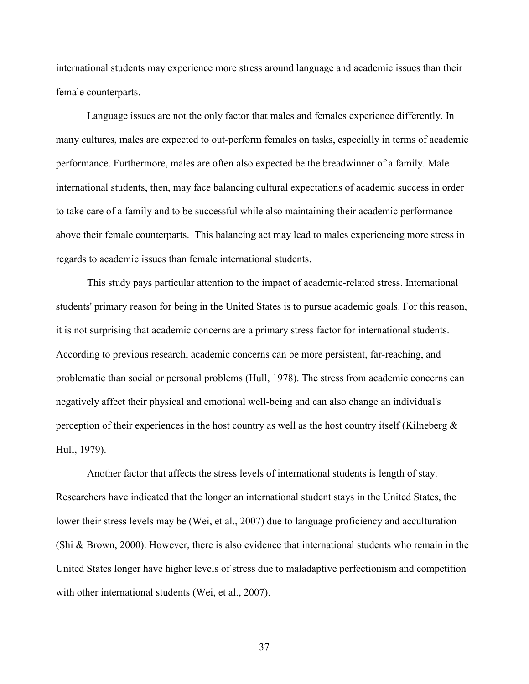international students may experience more stress around language and academic issues than their female counterparts.

Language issues are not the only factor that males and females experience differently. In many cultures, males are expected to out-perform females on tasks, especially in terms of academic performance. Furthermore, males are often also expected be the breadwinner of a family. Male international students, then, may face balancing cultural expectations of academic success in order to take care of a family and to be successful while also maintaining their academic performance above their female counterparts. This balancing act may lead to males experiencing more stress in regards to academic issues than female international students.

This study pays particular attention to the impact of academic-related stress. International students' primary reason for being in the United States is to pursue academic goals. For this reason, it is not surprising that academic concerns are a primary stress factor for international students. According to previous research, academic concerns can be more persistent, far-reaching, and problematic than social or personal problems (Hull, 1978). The stress from academic concerns can negatively affect their physical and emotional well-being and can also change an individual's perception of their experiences in the host country as well as the host country itself (Kilneberg  $\&$ Hull, 1979).

Another factor that affects the stress levels of international students is length of stay. Researchers have indicated that the longer an international student stays in the United States, the lower their stress levels may be (Wei, et al., 2007) due to language proficiency and acculturation (Shi & Brown, 2000). However, there is also evidence that international students who remain in the United States longer have higher levels of stress due to maladaptive perfectionism and competition with other international students (Wei, et al., 2007).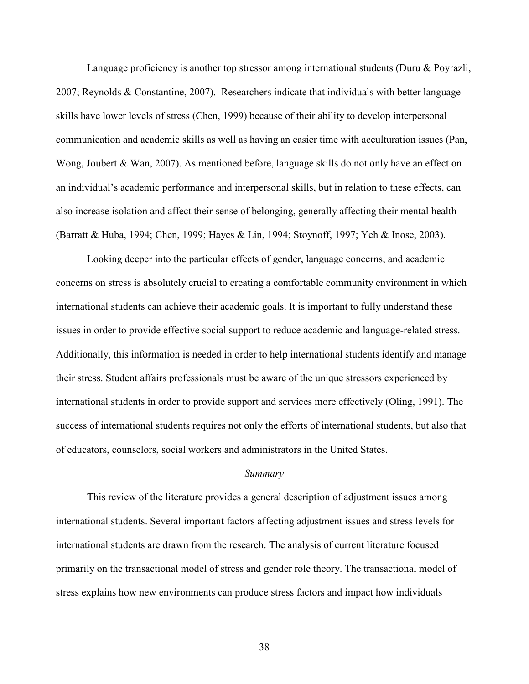Language proficiency is another top stressor among international students (Duru & Poyrazli, 2007; Reynolds & Constantine, 2007). Researchers indicate that individuals with better language skills have lower levels of stress (Chen, 1999) because of their ability to develop interpersonal communication and academic skills as well as having an easier time with acculturation issues (Pan, Wong, Joubert & Wan, 2007). As mentioned before, language skills do not only have an effect on an individual's academic performance and interpersonal skills, but in relation to these effects, can also increase isolation and affect their sense of belonging, generally affecting their mental health (Barratt & Huba, 1994; Chen, 1999; Hayes & Lin, 1994; Stoynoff, 1997; Yeh & Inose, 2003).

Looking deeper into the particular effects of gender, language concerns, and academic concerns on stress is absolutely crucial to creating a comfortable community environment in which international students can achieve their academic goals. It is important to fully understand these issues in order to provide effective social support to reduce academic and language-related stress. Additionally, this information is needed in order to help international students identify and manage their stress. Student affairs professionals must be aware of the unique stressors experienced by international students in order to provide support and services more effectively (Oling, 1991). The success of international students requires not only the efforts of international students, but also that of educators, counselors, social workers and administrators in the United States.

## *Summary*

 This review of the literature provides a general description of adjustment issues among international students. Several important factors affecting adjustment issues and stress levels for international students are drawn from the research. The analysis of current literature focused primarily on the transactional model of stress and gender role theory. The transactional model of stress explains how new environments can produce stress factors and impact how individuals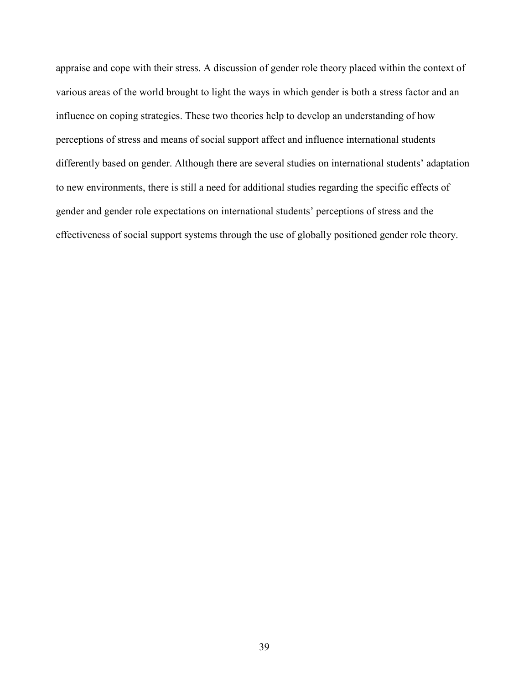appraise and cope with their stress. A discussion of gender role theory placed within the context of various areas of the world brought to light the ways in which gender is both a stress factor and an influence on coping strategies. These two theories help to develop an understanding of how perceptions of stress and means of social support affect and influence international students differently based on gender. Although there are several studies on international students' adaptation to new environments, there is still a need for additional studies regarding the specific effects of gender and gender role expectations on international students' perceptions of stress and the effectiveness of social support systems through the use of globally positioned gender role theory.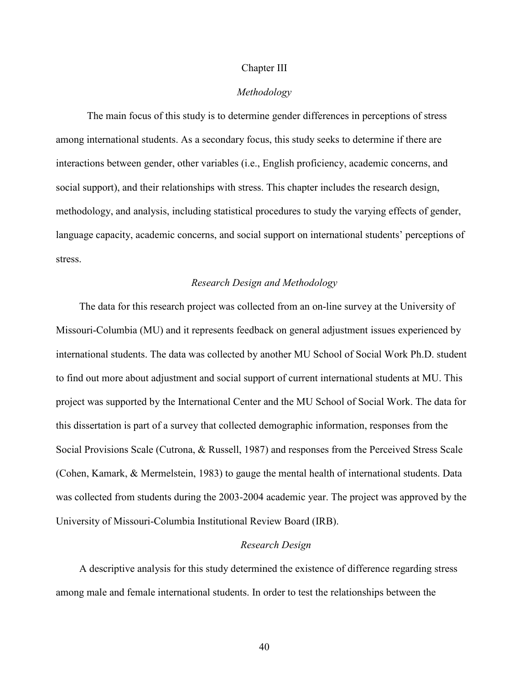#### Chapter III

### *Methodology*

 The main focus of this study is to determine gender differences in perceptions of stress among international students. As a secondary focus, this study seeks to determine if there are interactions between gender, other variables (i.e., English proficiency, academic concerns, and social support), and their relationships with stress. This chapter includes the research design, methodology, and analysis, including statistical procedures to study the varying effects of gender, language capacity, academic concerns, and social support on international students' perceptions of stress.

## *Research Design and Methodology*

The data for this research project was collected from an on-line survey at the University of Missouri-Columbia (MU) and it represents feedback on general adjustment issues experienced by international students. The data was collected by another MU School of Social Work Ph.D. student to find out more about adjustment and social support of current international students at MU. This project was supported by the International Center and the MU School of Social Work. The data for this dissertation is part of a survey that collected demographic information, responses from the Social Provisions Scale (Cutrona, & Russell, 1987) and responses from the Perceived Stress Scale (Cohen, Kamark, & Mermelstein, 1983) to gauge the mental health of international students. Data was collected from students during the 2003-2004 academic year. The project was approved by the University of Missouri-Columbia Institutional Review Board (IRB).

#### *Research Design*

A descriptive analysis for this study determined the existence of difference regarding stress among male and female international students. In order to test the relationships between the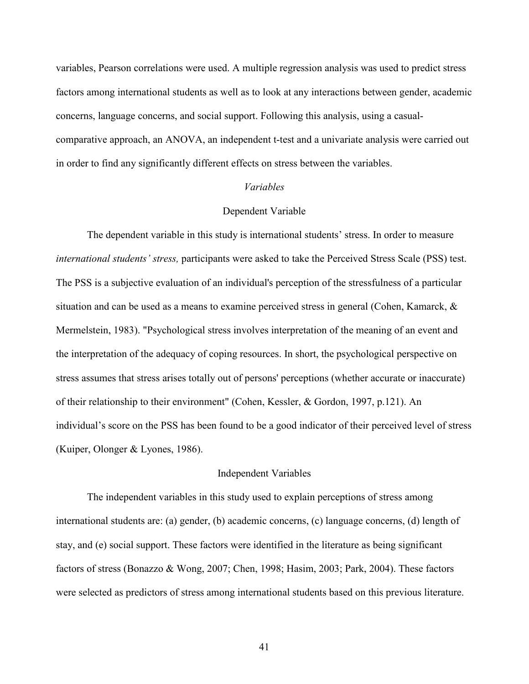variables, Pearson correlations were used. A multiple regression analysis was used to predict stress factors among international students as well as to look at any interactions between gender, academic concerns, language concerns, and social support. Following this analysis, using a casualcomparative approach, an ANOVA, an independent t-test and a univariate analysis were carried out in order to find any significantly different effects on stress between the variables.

## *Variables*

## Dependent Variable

The dependent variable in this study is international students' stress. In order to measure *international students' stress,* participants were asked to take the Perceived Stress Scale (PSS) test. The PSS is a subjective evaluation of an individual's perception of the stressfulness of a particular situation and can be used as a means to examine perceived stress in general (Cohen, Kamarck, & Mermelstein, 1983). "Psychological stress involves interpretation of the meaning of an event and the interpretation of the adequacy of coping resources. In short, the psychological perspective on stress assumes that stress arises totally out of persons' perceptions (whether accurate or inaccurate) of their relationship to their environment" (Cohen, Kessler, & Gordon, 1997, p.121). An individual's score on the PSS has been found to be a good indicator of their perceived level of stress (Kuiper, Olonger & Lyones, 1986).

#### Independent Variables

The independent variables in this study used to explain perceptions of stress among international students are: (a) gender, (b) academic concerns, (c) language concerns, (d) length of stay, and (e) social support. These factors were identified in the literature as being significant factors of stress (Bonazzo & Wong, 2007; Chen, 1998; Hasim, 2003; Park, 2004). These factors were selected as predictors of stress among international students based on this previous literature.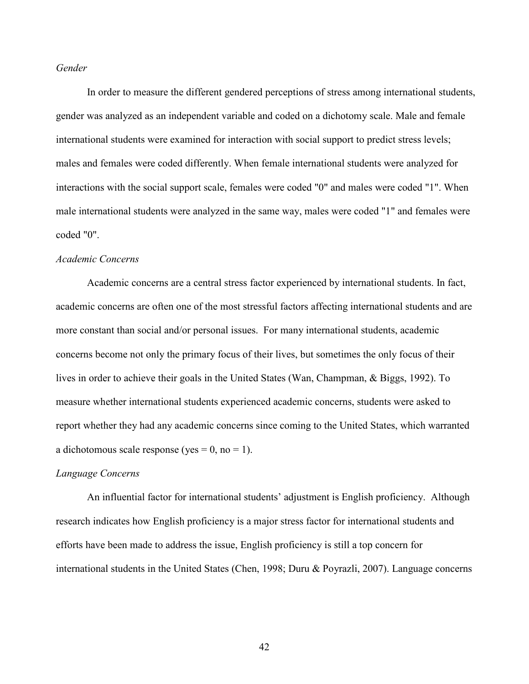## *Gender*

In order to measure the different gendered perceptions of stress among international students, gender was analyzed as an independent variable and coded on a dichotomy scale. Male and female international students were examined for interaction with social support to predict stress levels; males and females were coded differently. When female international students were analyzed for interactions with the social support scale, females were coded "0" and males were coded "1". When male international students were analyzed in the same way, males were coded "1" and females were coded "0".

# *Academic Concerns*

 Academic concerns are a central stress factor experienced by international students. In fact, academic concerns are often one of the most stressful factors affecting international students and are more constant than social and/or personal issues. For many international students, academic concerns become not only the primary focus of their lives, but sometimes the only focus of their lives in order to achieve their goals in the United States (Wan, Champman, & Biggs, 1992). To measure whether international students experienced academic concerns, students were asked to report whether they had any academic concerns since coming to the United States, which warranted a dichotomous scale response (yes =  $0$ , no = 1).

#### *Language Concerns*

An influential factor for international students' adjustment is English proficiency. Although research indicates how English proficiency is a major stress factor for international students and efforts have been made to address the issue, English proficiency is still a top concern for international students in the United States (Chen, 1998; Duru & Poyrazli, 2007). Language concerns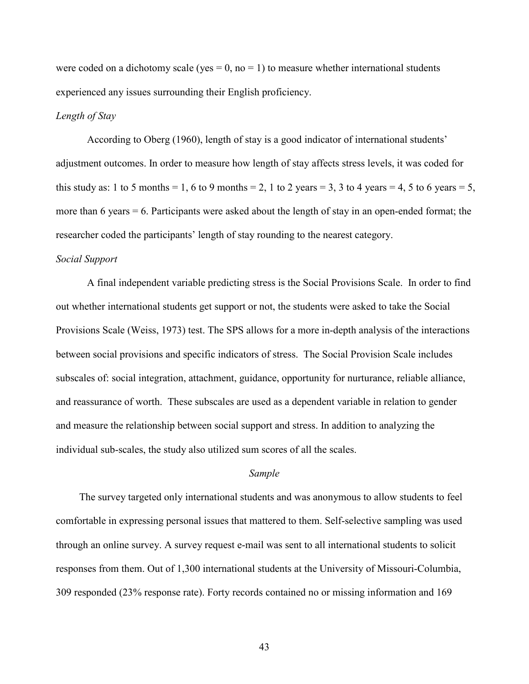were coded on a dichotomy scale (yes  $= 0$ , no  $= 1$ ) to measure whether international students experienced any issues surrounding their English proficiency.

# *Length of Stay*

According to Oberg (1960), length of stay is a good indicator of international students' adjustment outcomes. In order to measure how length of stay affects stress levels, it was coded for this study as: 1 to 5 months = 1, 6 to 9 months = 2, 1 to 2 years = 3, 3 to 4 years = 4, 5 to 6 years = 5, more than 6 years = 6. Participants were asked about the length of stay in an open-ended format; the researcher coded the participants' length of stay rounding to the nearest category.

### *Social Support*

A final independent variable predicting stress is the Social Provisions Scale. In order to find out whether international students get support or not, the students were asked to take the Social Provisions Scale (Weiss, 1973) test. The SPS allows for a more in-depth analysis of the interactions between social provisions and specific indicators of stress. The Social Provision Scale includes subscales of: social integration, attachment, guidance, opportunity for nurturance, reliable alliance, and reassurance of worth. These subscales are used as a dependent variable in relation to gender and measure the relationship between social support and stress. In addition to analyzing the individual sub-scales, the study also utilized sum scores of all the scales.

## *Sample*

The survey targeted only international students and was anonymous to allow students to feel comfortable in expressing personal issues that mattered to them. Self-selective sampling was used through an online survey. A survey request e-mail was sent to all international students to solicit responses from them. Out of 1,300 international students at the University of Missouri-Columbia, 309 responded (23% response rate). Forty records contained no or missing information and 169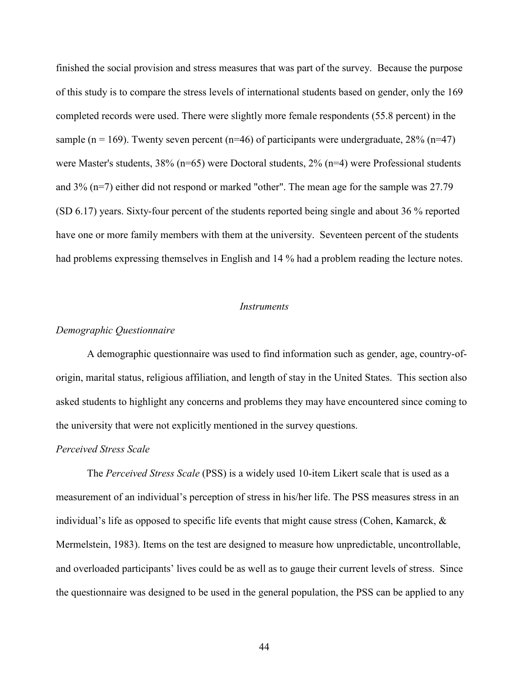finished the social provision and stress measures that was part of the survey. Because the purpose of this study is to compare the stress levels of international students based on gender, only the 169 completed records were used. There were slightly more female respondents (55.8 percent) in the sample (n = 169). Twenty seven percent (n=46) of participants were undergraduate,  $28\%$  (n=47) were Master's students, 38% (n=65) were Doctoral students, 2% (n=4) were Professional students and 3% (n=7) either did not respond or marked "other". The mean age for the sample was 27.79 (SD 6.17) years. Sixty-four percent of the students reported being single and about 36 % reported have one or more family members with them at the university. Seventeen percent of the students had problems expressing themselves in English and 14 % had a problem reading the lecture notes.

#### *Instruments*

## *Demographic Questionnaire*

 A demographic questionnaire was used to find information such as gender, age, country-oforigin, marital status, religious affiliation, and length of stay in the United States. This section also asked students to highlight any concerns and problems they may have encountered since coming to the university that were not explicitly mentioned in the survey questions.

#### *Perceived Stress Scale*

 The *Perceived Stress Scale* (PSS) is a widely used 10-item Likert scale that is used as a measurement of an individual's perception of stress in his/her life. The PSS measures stress in an individual's life as opposed to specific life events that might cause stress (Cohen, Kamarck, & Mermelstein, 1983). Items on the test are designed to measure how unpredictable, uncontrollable, and overloaded participants' lives could be as well as to gauge their current levels of stress. Since the questionnaire was designed to be used in the general population, the PSS can be applied to any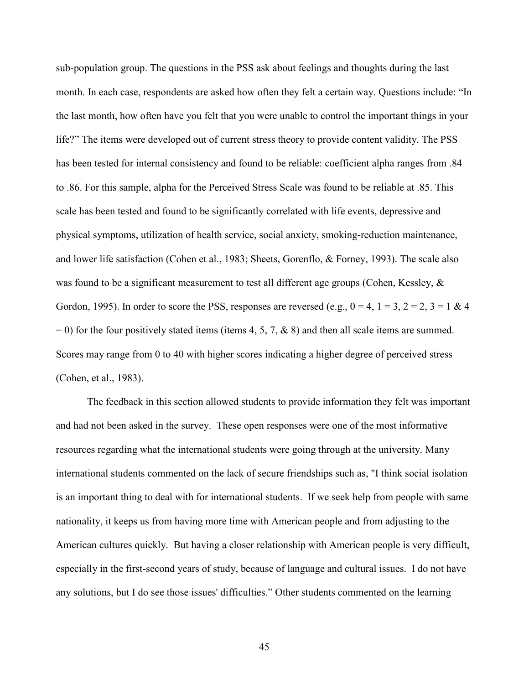sub-population group. The questions in the PSS ask about feelings and thoughts during the last month. In each case, respondents are asked how often they felt a certain way. Questions include: "In the last month, how often have you felt that you were unable to control the important things in your life?" The items were developed out of current stress theory to provide content validity. The PSS has been tested for internal consistency and found to be reliable: coefficient alpha ranges from .84 to .86. For this sample, alpha for the Perceived Stress Scale was found to be reliable at .85. This scale has been tested and found to be significantly correlated with life events, depressive and physical symptoms, utilization of health service, social anxiety, smoking-reduction maintenance, and lower life satisfaction (Cohen et al., 1983; Sheets, Gorenflo, & Forney, 1993). The scale also was found to be a significant measurement to test all different age groups (Cohen, Kessley,  $\&$ Gordon, 1995). In order to score the PSS, responses are reversed (e.g.,  $0 = 4$ ,  $1 = 3$ ,  $2 = 2$ ,  $3 = 1$  & 4  $= 0$ ) for the four positively stated items (items 4, 5, 7, & 8) and then all scale items are summed. Scores may range from 0 to 40 with higher scores indicating a higher degree of perceived stress (Cohen, et al., 1983).

The feedback in this section allowed students to provide information they felt was important and had not been asked in the survey. These open responses were one of the most informative resources regarding what the international students were going through at the university. Many international students commented on the lack of secure friendships such as, "I think social isolation is an important thing to deal with for international students. If we seek help from people with same nationality, it keeps us from having more time with American people and from adjusting to the American cultures quickly. But having a closer relationship with American people is very difficult, especially in the first-second years of study, because of language and cultural issues. I do not have any solutions, but I do see those issues' difficulties." Other students commented on the learning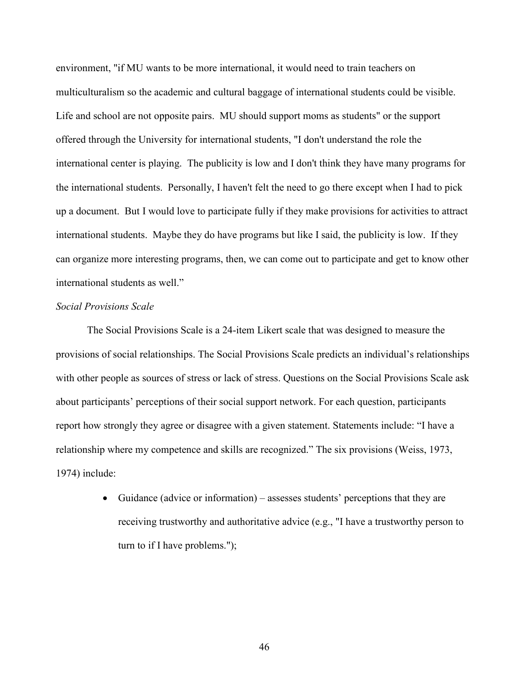environment, "if MU wants to be more international, it would need to train teachers on multiculturalism so the academic and cultural baggage of international students could be visible. Life and school are not opposite pairs. MU should support moms as students" or the support offered through the University for international students, "I don't understand the role the international center is playing. The publicity is low and I don't think they have many programs for the international students. Personally, I haven't felt the need to go there except when I had to pick up a document. But I would love to participate fully if they make provisions for activities to attract international students. Maybe they do have programs but like I said, the publicity is low. If they can organize more interesting programs, then, we can come out to participate and get to know other international students as well."

### *Social Provisions Scale*

 The Social Provisions Scale is a 24-item Likert scale that was designed to measure the provisions of social relationships. The Social Provisions Scale predicts an individual's relationships with other people as sources of stress or lack of stress. Questions on the Social Provisions Scale ask about participants' perceptions of their social support network. For each question, participants report how strongly they agree or disagree with a given statement. Statements include: "I have a relationship where my competence and skills are recognized." The six provisions (Weiss, 1973, 1974) include:

> • Guidance (advice or information) – assesses students' perceptions that they are receiving trustworthy and authoritative advice (e.g., "I have a trustworthy person to turn to if I have problems.");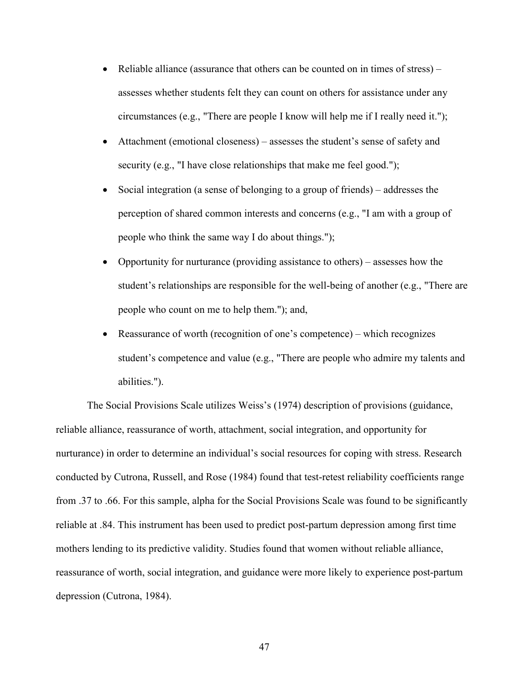- Reliable alliance (assurance that others can be counted on in times of stress) assesses whether students felt they can count on others for assistance under any circumstances (e.g., "There are people I know will help me if I really need it.");
- Attachment (emotional closeness) assesses the student's sense of safety and security (e.g., "I have close relationships that make me feel good.");
- Social integration (a sense of belonging to a group of friends) addresses the perception of shared common interests and concerns (e.g., "I am with a group of people who think the same way I do about things.");
- Opportunity for nurturance (providing assistance to others) assesses how the student's relationships are responsible for the well-being of another (e.g., "There are people who count on me to help them."); and,
- Reassurance of worth (recognition of one's competence) which recognizes student's competence and value (e.g., "There are people who admire my talents and abilities.").

 The Social Provisions Scale utilizes Weiss's (1974) description of provisions (guidance, reliable alliance, reassurance of worth, attachment, social integration, and opportunity for nurturance) in order to determine an individual's social resources for coping with stress. Research conducted by Cutrona, Russell, and Rose (1984) found that test-retest reliability coefficients range from .37 to .66. For this sample, alpha for the Social Provisions Scale was found to be significantly reliable at .84. This instrument has been used to predict post-partum depression among first time mothers lending to its predictive validity. Studies found that women without reliable alliance, reassurance of worth, social integration, and guidance were more likely to experience post-partum depression (Cutrona, 1984).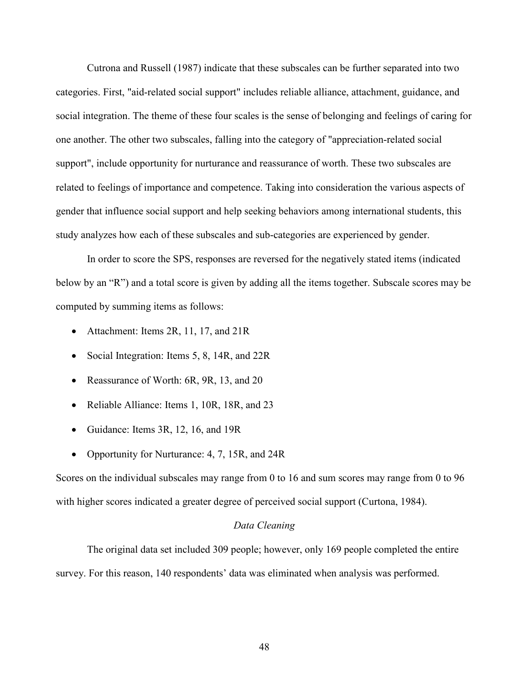Cutrona and Russell (1987) indicate that these subscales can be further separated into two categories. First, "aid-related social support" includes reliable alliance, attachment, guidance, and social integration. The theme of these four scales is the sense of belonging and feelings of caring for one another. The other two subscales, falling into the category of "appreciation-related social support", include opportunity for nurturance and reassurance of worth. These two subscales are related to feelings of importance and competence. Taking into consideration the various aspects of gender that influence social support and help seeking behaviors among international students, this study analyzes how each of these subscales and sub-categories are experienced by gender.

 In order to score the SPS, responses are reversed for the negatively stated items (indicated below by an "R") and a total score is given by adding all the items together. Subscale scores may be computed by summing items as follows:

- Attachment: Items 2R, 11, 17, and 21R
- Social Integration: Items 5, 8, 14R, and 22R
- Reassurance of Worth: 6R, 9R, 13, and 20
- Reliable Alliance: Items 1, 10R, 18R, and 23
- Guidance: Items 3R, 12, 16, and 19R
- Opportunity for Nurturance: 4, 7, 15R, and 24R

Scores on the individual subscales may range from 0 to 16 and sum scores may range from 0 to 96 with higher scores indicated a greater degree of perceived social support (Curtona, 1984).

## *Data Cleaning*

 The original data set included 309 people; however, only 169 people completed the entire survey. For this reason, 140 respondents' data was eliminated when analysis was performed.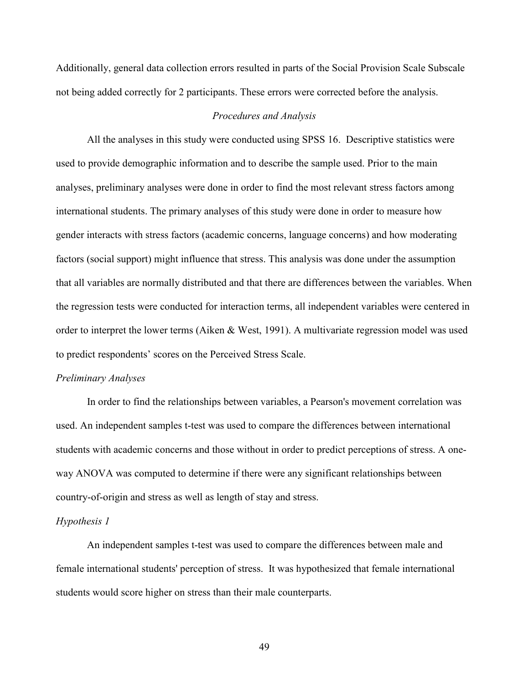Additionally, general data collection errors resulted in parts of the Social Provision Scale Subscale not being added correctly for 2 participants. These errors were corrected before the analysis.

## *Procedures and Analysis*

 All the analyses in this study were conducted using SPSS 16. Descriptive statistics were used to provide demographic information and to describe the sample used. Prior to the main analyses, preliminary analyses were done in order to find the most relevant stress factors among international students. The primary analyses of this study were done in order to measure how gender interacts with stress factors (academic concerns, language concerns) and how moderating factors (social support) might influence that stress. This analysis was done under the assumption that all variables are normally distributed and that there are differences between the variables. When the regression tests were conducted for interaction terms, all independent variables were centered in order to interpret the lower terms (Aiken & West, 1991). A multivariate regression model was used to predict respondents' scores on the Perceived Stress Scale.

## *Preliminary Analyses*

In order to find the relationships between variables, a Pearson's movement correlation was used. An independent samples t-test was used to compare the differences between international students with academic concerns and those without in order to predict perceptions of stress. A oneway ANOVA was computed to determine if there were any significant relationships between country-of-origin and stress as well as length of stay and stress.

## *Hypothesis 1*

An independent samples t-test was used to compare the differences between male and female international students' perception of stress. It was hypothesized that female international students would score higher on stress than their male counterparts.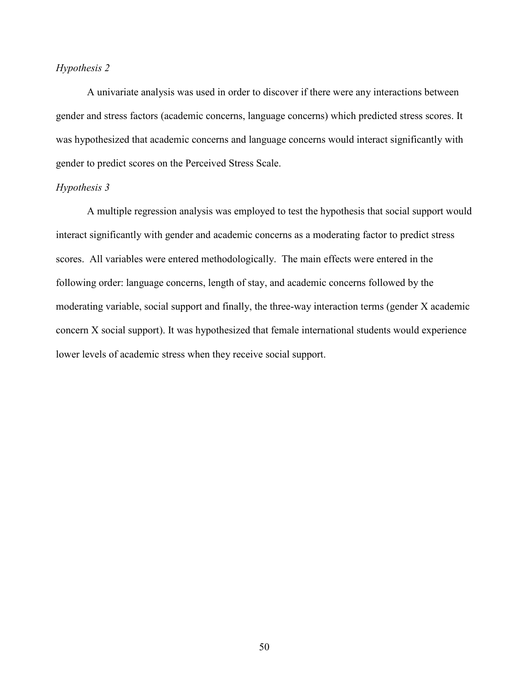# *Hypothesis 2*

A univariate analysis was used in order to discover if there were any interactions between gender and stress factors (academic concerns, language concerns) which predicted stress scores. It was hypothesized that academic concerns and language concerns would interact significantly with gender to predict scores on the Perceived Stress Scale.

## *Hypothesis 3*

A multiple regression analysis was employed to test the hypothesis that social support would interact significantly with gender and academic concerns as a moderating factor to predict stress scores. All variables were entered methodologically. The main effects were entered in the following order: language concerns, length of stay, and academic concerns followed by the moderating variable, social support and finally, the three-way interaction terms (gender X academic concern X social support). It was hypothesized that female international students would experience lower levels of academic stress when they receive social support.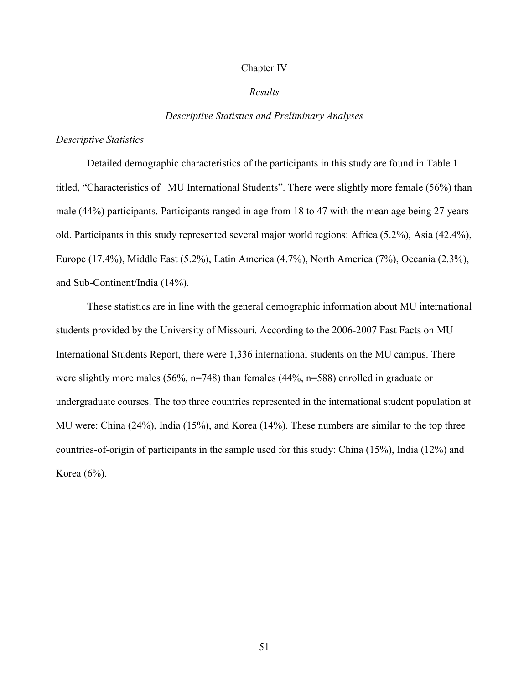#### Chapter IV

## *Results*

### *Descriptive Statistics and Preliminary Analyses*

#### *Descriptive Statistics*

 Detailed demographic characteristics of the participants in this study are found in Table 1 titled, "Characteristics of MU International Students". There were slightly more female (56%) than male (44%) participants. Participants ranged in age from 18 to 47 with the mean age being 27 years old. Participants in this study represented several major world regions: Africa (5.2%), Asia (42.4%), Europe (17.4%), Middle East (5.2%), Latin America (4.7%), North America (7%), Oceania (2.3%), and Sub-Continent/India (14%).

 These statistics are in line with the general demographic information about MU international students provided by the University of Missouri. According to the 2006-2007 Fast Facts on MU International Students Report, there were 1,336 international students on the MU campus. There were slightly more males (56%,  $n=748$ ) than females (44%,  $n=588$ ) enrolled in graduate or undergraduate courses. The top three countries represented in the international student population at MU were: China (24%), India (15%), and Korea (14%). These numbers are similar to the top three countries-of-origin of participants in the sample used for this study: China (15%), India (12%) and Korea (6%).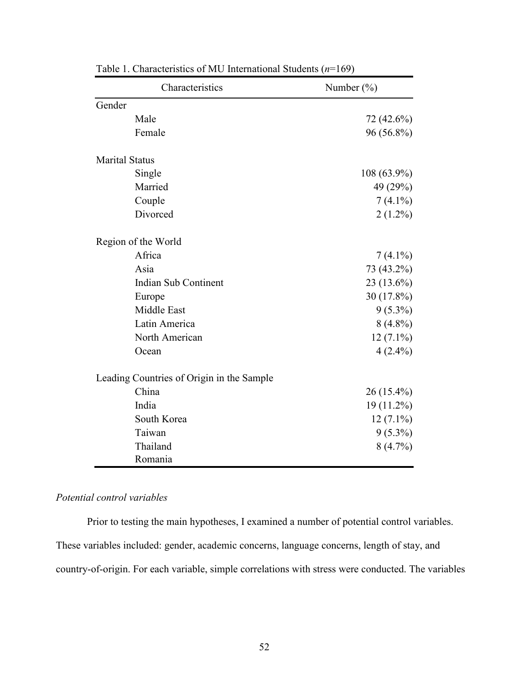|                       | Characteristics                           | Number $(\% )$ |
|-----------------------|-------------------------------------------|----------------|
| Gender                |                                           |                |
|                       | Male                                      | 72 (42.6%)     |
|                       | Female                                    | 96 (56.8%)     |
| <b>Marital Status</b> |                                           |                |
|                       | Single                                    | $108(63.9\%)$  |
|                       | Married                                   | 49 (29%)       |
|                       | Couple                                    | $7(4.1\%)$     |
|                       | Divorced                                  | $2(1.2\%)$     |
|                       | Region of the World                       |                |
|                       | Africa                                    | $7(4.1\%)$     |
|                       | Asia                                      | 73 (43.2%)     |
|                       | Indian Sub Continent                      | 23 (13.6%)     |
|                       | Europe                                    | 30 (17.8%)     |
|                       | Middle East                               | $9(5.3\%)$     |
|                       | Latin America                             | $8(4.8\%)$     |
|                       | North American                            | $12(7.1\%)$    |
|                       | Ocean                                     | $4(2.4\%)$     |
|                       | Leading Countries of Origin in the Sample |                |
|                       | China                                     | $26(15.4\%)$   |
|                       | India                                     | 19 (11.2%)     |
|                       | South Korea                               | $12(7.1\%)$    |
|                       | Taiwan                                    | $9(5.3\%)$     |
|                       | Thailand                                  | $8(4.7\%)$     |
|                       | Romania                                   |                |

Table 1. Characteristics of MU International Students (*n*=169)

# *Potential control variables*

Prior to testing the main hypotheses, I examined a number of potential control variables. These variables included: gender, academic concerns, language concerns, length of stay, and country-of-origin. For each variable, simple correlations with stress were conducted. The variables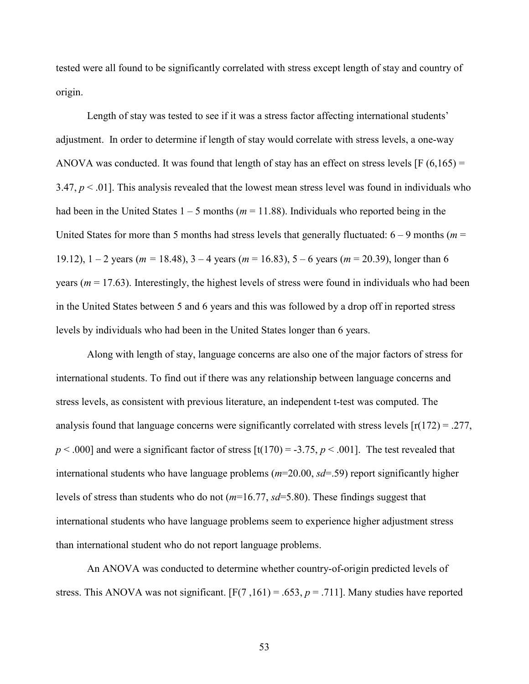tested were all found to be significantly correlated with stress except length of stay and country of origin.

Length of stay was tested to see if it was a stress factor affecting international students' adjustment. In order to determine if length of stay would correlate with stress levels, a one-way ANOVA was conducted. It was found that length of stay has an effect on stress levels  $[F (6, 165) =$ 3.47,  $p < 0.01$ . This analysis revealed that the lowest mean stress level was found in individuals who had been in the United States  $1 - 5$  months ( $m = 11.88$ ). Individuals who reported being in the United States for more than 5 months had stress levels that generally fluctuated:  $6 - 9$  months ( $m =$ 19.12), 1 – 2 years (*m =* 18.48), 3 – 4 years (*m* = 16.83), 5 – 6 years (*m* = 20.39), longer than 6 years ( $m = 17.63$ ). Interestingly, the highest levels of stress were found in individuals who had been in the United States between 5 and 6 years and this was followed by a drop off in reported stress levels by individuals who had been in the United States longer than 6 years.

Along with length of stay, language concerns are also one of the major factors of stress for international students. To find out if there was any relationship between language concerns and stress levels, as consistent with previous literature, an independent t-test was computed. The analysis found that language concerns were significantly correlated with stress levels  $[r(172) = .277,$  $p < .000$ ] and were a significant factor of stress  $[t(170) = -3.75, p < .001]$ . The test revealed that international students who have language problems (*m*=20.00, *sd*=.59) report significantly higher levels of stress than students who do not (*m*=16.77, *sd*=5.80). These findings suggest that international students who have language problems seem to experience higher adjustment stress than international student who do not report language problems.

An ANOVA was conducted to determine whether country-of-origin predicted levels of stress. This ANOVA was not significant.  $[F(7,161) = .653, p = .711]$ . Many studies have reported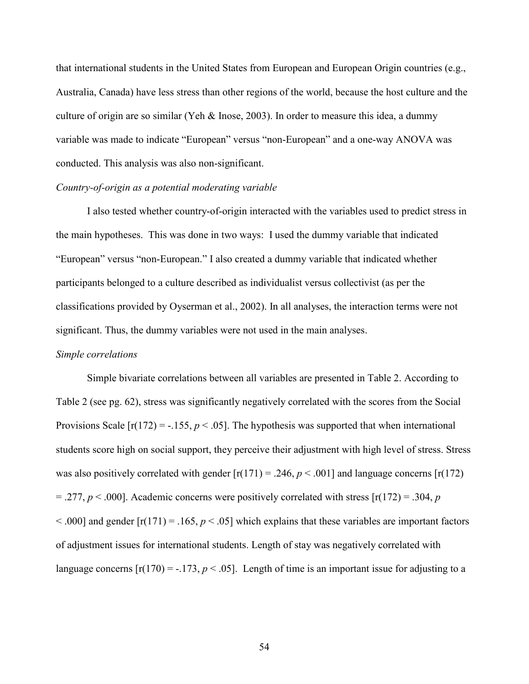that international students in the United States from European and European Origin countries (e.g., Australia, Canada) have less stress than other regions of the world, because the host culture and the culture of origin are so similar (Yeh & Inose, 2003). In order to measure this idea, a dummy variable was made to indicate "European" versus "non-European" and a one-way ANOVA was conducted. This analysis was also non-significant.

## *Country-of-origin as a potential moderating variable*

I also tested whether country-of-origin interacted with the variables used to predict stress in the main hypotheses. This was done in two ways: I used the dummy variable that indicated "European" versus "non-European." I also created a dummy variable that indicated whether participants belonged to a culture described as individualist versus collectivist (as per the classifications provided by Oyserman et al., 2002). In all analyses, the interaction terms were not significant. Thus, the dummy variables were not used in the main analyses.

#### *Simple correlations*

Simple bivariate correlations between all variables are presented in Table 2. According to Table 2 (see pg. 62), stress was significantly negatively correlated with the scores from the Social Provisions Scale  $[r(172) = -0.155, p < 0.05]$ . The hypothesis was supported that when international students score high on social support, they perceive their adjustment with high level of stress. Stress was also positively correlated with gender  $[r(171) = .246, p < .001]$  and language concerns  $[r(172)$  $=$  .277,  $p \le 0.000$ ]. Academic concerns were positively correlated with stress  $[r(172) = .304, p$  $\leq$  .000] and gender  $[r(171) = .165, p \leq .05]$  which explains that these variables are important factors of adjustment issues for international students. Length of stay was negatively correlated with language concerns  $[r(170) = -.173, p < .05]$ . Length of time is an important issue for adjusting to a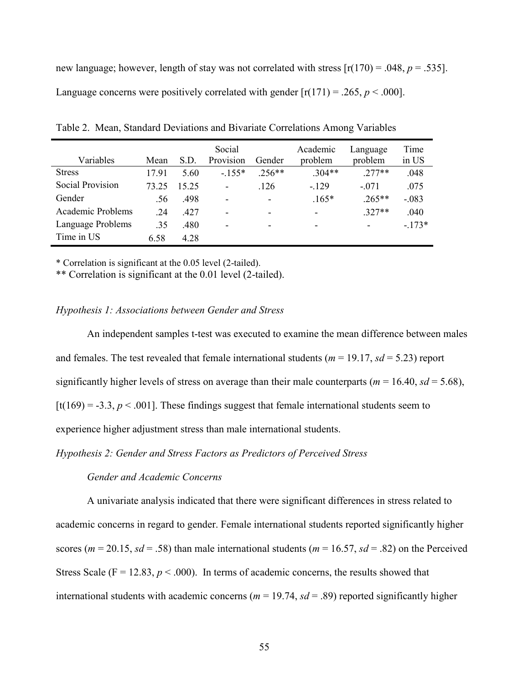new language; however, length of stay was not correlated with stress  $[r(170) = .048, p = .535]$ . Language concerns were positively correlated with gender  $[r(171) = .265, p < .000]$ .

| Variables         | Mean  | S.D.  | Social<br>Provision      | Gender                   | Academic<br>problem      | Language<br>problem      | Time<br>in US |
|-------------------|-------|-------|--------------------------|--------------------------|--------------------------|--------------------------|---------------|
| <b>Stress</b>     | 1791  | 5.60  | $-155*$                  | $.256**$                 | $.304**$                 | $277**$                  | .048          |
| Social Provision  | 73 25 | 15.25 | $\overline{\phantom{a}}$ | .126                     | $-129$                   | $-.071$                  | .075          |
| Gender            | .56   | .498  | $\overline{\phantom{a}}$ | $\overline{\phantom{a}}$ | $.165*$                  | $.265**$                 | $-.083$       |
| Academic Problems | .24   | 427   | $\overline{\phantom{a}}$ | $\overline{\phantom{0}}$ | $\overline{\phantom{0}}$ | $.327**$                 | .040          |
| Language Problems | .35   | .480  | $\overline{\phantom{a}}$ | $\overline{\phantom{0}}$ |                          | $\overline{\phantom{0}}$ | $-173*$       |
| Time in US        | 6.58  | 4.28  |                          |                          |                          |                          |               |

Table 2. Mean, Standard Deviations and Bivariate Correlations Among Variables

\* Correlation is significant at the 0.05 level (2-tailed).

\*\* Correlation is significant at the 0.01 level (2-tailed).

## *Hypothesis 1: Associations between Gender and Stress*

An independent samples t-test was executed to examine the mean difference between males and females. The test revealed that female international students ( $m = 19.17$ ,  $sd = 5.23$ ) report significantly higher levels of stress on average than their male counterparts ( $m = 16.40$ ,  $sd = 5.68$ ), [t(169) = -3.3,  $p < .001$ ]. These findings suggest that female international students seem to experience higher adjustment stress than male international students.

*Hypothesis 2: Gender and Stress Factors as Predictors of Perceived Stress* 

## *Gender and Academic Concerns*

A univariate analysis indicated that there were significant differences in stress related to academic concerns in regard to gender. Female international students reported significantly higher scores ( $m = 20.15$ ,  $sd = .58$ ) than male international students ( $m = 16.57$ ,  $sd = .82$ ) on the Perceived Stress Scale ( $F = 12.83$ ,  $p < .000$ ). In terms of academic concerns, the results showed that international students with academic concerns ( $m = 19.74$ ,  $sd = .89$ ) reported significantly higher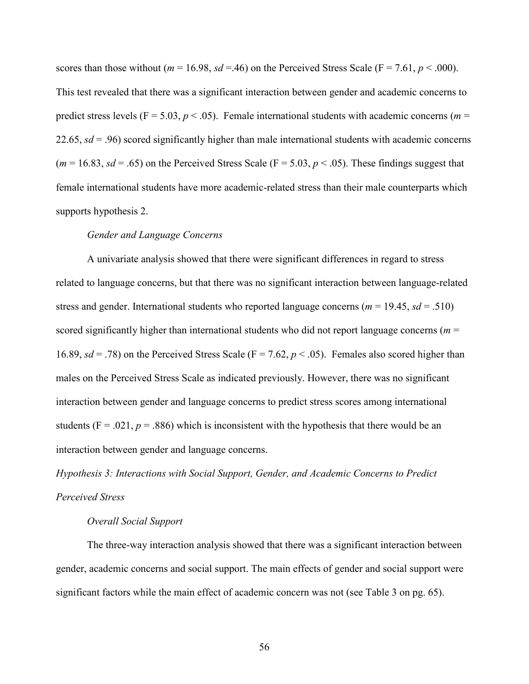scores than those without ( $m = 16.98$ ,  $sd = 46$ ) on the Perceived Stress Scale ( $F = 7.61$ ,  $p < .000$ ). This test revealed that there was a significant interaction between gender and academic concerns to predict stress levels ( $F = 5.03$ ,  $p < .05$ ). Female international students with academic concerns ( $m =$ 22.65, *sd* = .96) scored significantly higher than male international students with academic concerns  $(m = 16.83, sd = .65)$  on the Perceived Stress Scale ( $F = 5.03, p < .05$ ). These findings suggest that female international students have more academic-related stress than their male counterparts which supports hypothesis 2.

### *Gender and Language Concerns*

A univariate analysis showed that there were significant differences in regard to stress related to language concerns, but that there was no significant interaction between language-related stress and gender. International students who reported language concerns ( $m = 19.45$ ,  $sd = .510$ ) scored significantly higher than international students who did not report language concerns ( $m =$ 16.89,  $sd = .78$ ) on the Perceived Stress Scale (F = 7.62,  $p < .05$ ). Females also scored higher than males on the Perceived Stress Scale as indicated previously. However, there was no significant interaction between gender and language concerns to predict stress scores among international students ( $F = .021$ ,  $p = .886$ ) which is inconsistent with the hypothesis that there would be an interaction between gender and language concerns.

*Hypothesis 3: Interactions with Social Support, Gender, and Academic Concerns to Predict Perceived Stress* 

## *Overall Social Support*

The three-way interaction analysis showed that there was a significant interaction between gender, academic concerns and social support. The main effects of gender and social support were significant factors while the main effect of academic concern was not (see Table 3 on pg. 65).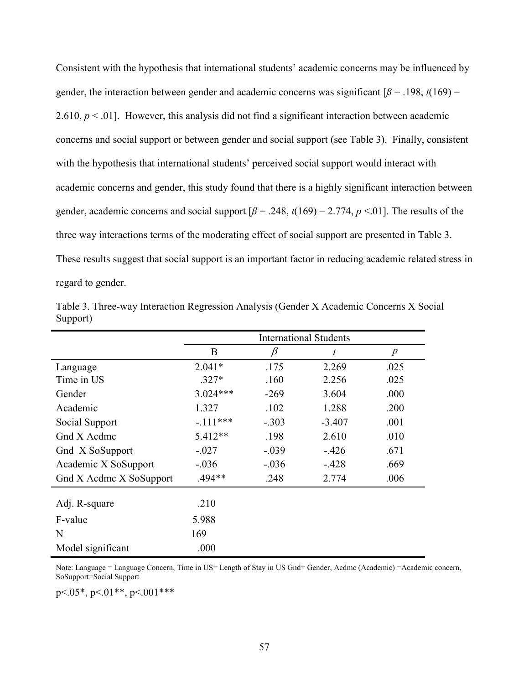Consistent with the hypothesis that international students' academic concerns may be influenced by gender, the interaction between gender and academic concerns was significant  $\beta$  = .198, *t*(169) = 2.610,  $p < 0.01$ . However, this analysis did not find a significant interaction between academic concerns and social support or between gender and social support (see Table 3). Finally, consistent with the hypothesis that international students' perceived social support would interact with academic concerns and gender, this study found that there is a highly significant interaction between gender, academic concerns and social support  $\beta$  = .248,  $t(169)$  = 2.774,  $p$  <.01]. The results of the three way interactions terms of the moderating effect of social support are presented in Table 3. These results suggest that social support is an important factor in reducing academic related stress in regard to gender.

|                         | <b>International Students</b> |         |          |                  |
|-------------------------|-------------------------------|---------|----------|------------------|
|                         | B                             | β       | t        | $\boldsymbol{p}$ |
| Language                | $2.041*$                      | .175    | 2.269    | .025             |
| Time in US              | $.327*$                       | .160    | 2.256    | .025             |
| Gender                  | $3.024***$                    | $-269$  | 3.604    | .000             |
| Academic                | 1.327                         | .102    | 1.288    | .200             |
| Social Support          | $-111***$                     | $-.303$ | $-3.407$ | .001             |
| Gnd X Acdmc             | $5.412**$                     | .198    | 2.610    | .010             |
| Gnd X SoSupport         | $-.027$                       | $-.039$ | $-426$   | .671             |
| Academic X SoSupport    | $-.036$                       | $-.036$ | $-428$   | .669             |
| Gnd X Acdmc X SoSupport | .494**                        | .248    | 2.774    | .006             |
| Adj. R-square           | .210                          |         |          |                  |
| F-value                 | 5.988                         |         |          |                  |
| N                       | 169                           |         |          |                  |
| Model significant       | .000                          |         |          |                  |

Table 3. Three-way Interaction Regression Analysis (Gender X Academic Concerns X Social Support)

Note: Language = Language Concern, Time in US= Length of Stay in US Gnd= Gender, Acdmc (Academic) =Academic concern, SoSupport=Social Support

p<.05\*, p<.01\*\*, p<.001\*\*\*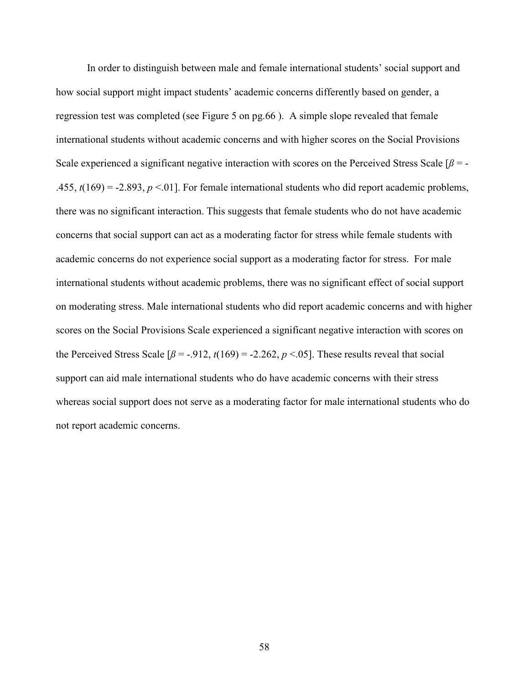In order to distinguish between male and female international students' social support and how social support might impact students' academic concerns differently based on gender, a regression test was completed (see Figure 5 on pg.66 ). A simple slope revealed that female international students without academic concerns and with higher scores on the Social Provisions Scale experienced a significant negative interaction with scores on the Perceived Stress Scale  $\beta$  = -.455,  $t(169) = -2.893$ ,  $p < 01$ ]. For female international students who did report academic problems, there was no significant interaction. This suggests that female students who do not have academic concerns that social support can act as a moderating factor for stress while female students with academic concerns do not experience social support as a moderating factor for stress. For male international students without academic problems, there was no significant effect of social support on moderating stress. Male international students who did report academic concerns and with higher scores on the Social Provisions Scale experienced a significant negative interaction with scores on the Perceived Stress Scale  $\lceil \beta = -0.912, t(169) = -2.262, p \le 0.05 \rceil$ . These results reveal that social support can aid male international students who do have academic concerns with their stress whereas social support does not serve as a moderating factor for male international students who do not report academic concerns.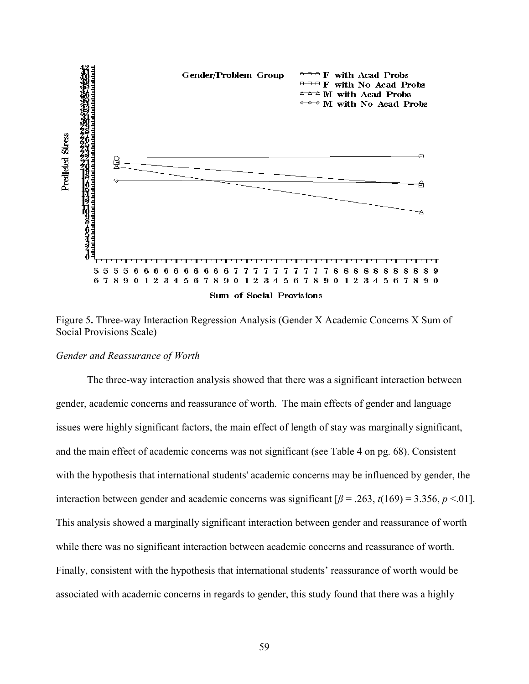

Figure 5**.** Three-way Interaction Regression Analysis (Gender X Academic Concerns X Sum of Social Provisions Scale)

#### *Gender and Reassurance of Worth*

The three-way interaction analysis showed that there was a significant interaction between gender, academic concerns and reassurance of worth. The main effects of gender and language issues were highly significant factors, the main effect of length of stay was marginally significant, and the main effect of academic concerns was not significant (see Table 4 on pg. 68). Consistent with the hypothesis that international students' academic concerns may be influenced by gender, the interaction between gender and academic concerns was significant  $\beta$  = .263,  $t(169)$  = 3.356, *p* <.01]. This analysis showed a marginally significant interaction between gender and reassurance of worth while there was no significant interaction between academic concerns and reassurance of worth. Finally, consistent with the hypothesis that international students' reassurance of worth would be associated with academic concerns in regards to gender, this study found that there was a highly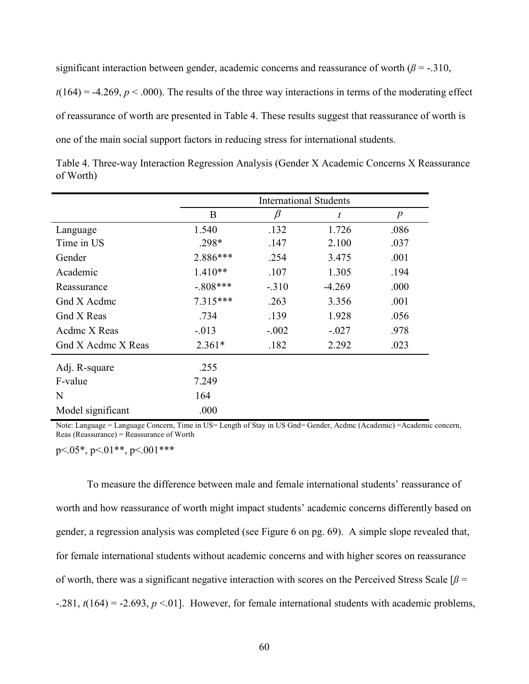significant interaction between gender, academic concerns and reassurance of worth  $(\beta = -0.310, \beta)$ 

 $t(164) = -4.269$ ,  $p < .000$ ). The results of the three way interactions in terms of the moderating effect of reassurance of worth are presented in Table 4. These results suggest that reassurance of worth is one of the main social support factors in reducing stress for international students.

|                    | <b>International Students</b> |         |                  |                  |
|--------------------|-------------------------------|---------|------------------|------------------|
|                    | B                             | β       | $\boldsymbol{t}$ | $\boldsymbol{p}$ |
| Language           | 1.540                         | .132    | 1.726            | .086             |
| Time in US         | $.298*$                       | .147    | 2.100            | .037             |
| Gender             | 2.886***                      | .254    | 3.475            | .001             |
| Academic           | $1.410**$                     | .107    | 1.305            | .194             |
| Reassurance        | $-.808***$                    | $-.310$ | $-4.269$         | .000             |
| Gnd X Acdmc        | $7.315***$                    | .263    | 3.356            | .001             |
| Gnd X Reas         | .734                          | .139    | 1.928            | .056             |
| Acdmc X Reas       | $-.013$                       | $-.002$ | $-.027$          | .978             |
| Gnd X Acdmc X Reas | $2.361*$                      | .182    | 2.292            | .023             |
| Adj. R-square      | .255                          |         |                  |                  |
| F-value            | 7.249                         |         |                  |                  |
| N                  | 164                           |         |                  |                  |
| Model significant  | .000                          |         |                  |                  |

Table 4. Three-way Interaction Regression Analysis (Gender X Academic Concerns X Reassurance of Worth)

Note: Language = Language Concern, Time in US= Length of Stay in US Gnd= Gender, Acdmc (Academic) =Academic concern, Reas (Reassurance) = Reassurance of Worth

p<.05\*, p<.01\*\*, p<.001\*\*\*

To measure the difference between male and female international students' reassurance of worth and how reassurance of worth might impact students' academic concerns differently based on gender, a regression analysis was completed (see Figure 6 on pg. 69). A simple slope revealed that, for female international students without academic concerns and with higher scores on reassurance of worth, there was a significant negative interaction with scores on the Perceived Stress Scale  $\beta$  =  $-281$ ,  $t(164) = -2.693$ ,  $p \le 01$ ]. However, for female international students with academic problems,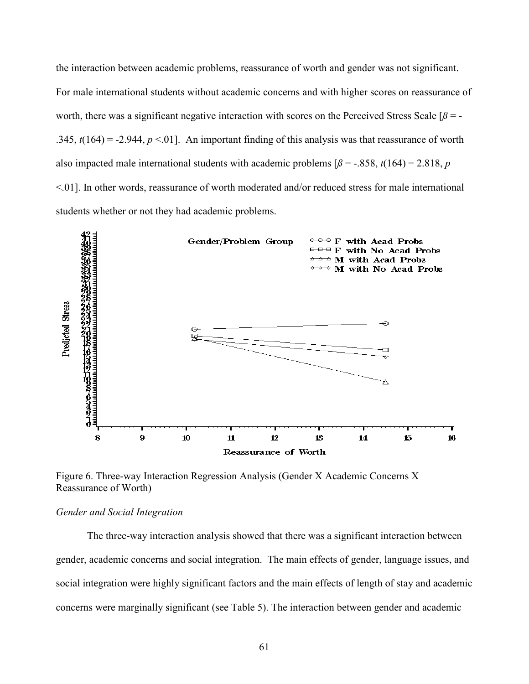the interaction between academic problems, reassurance of worth and gender was not significant. For male international students without academic concerns and with higher scores on reassurance of worth, there was a significant negative interaction with scores on the Perceived Stress Scale [ $\beta$  = -.345,  $t(164) = -2.944$ ,  $p < 0.01$ . An important finding of this analysis was that reassurance of worth also impacted male international students with academic problems  $\beta$  = -.858,  $t(164)$  = 2.818, *p* <.01]. In other words, reassurance of worth moderated and/or reduced stress for male international students whether or not they had academic problems.



Figure 6. Three-way Interaction Regression Analysis (Gender X Academic Concerns X Reassurance of Worth)

# *Gender and Social Integration*

The three-way interaction analysis showed that there was a significant interaction between gender, academic concerns and social integration. The main effects of gender, language issues, and social integration were highly significant factors and the main effects of length of stay and academic concerns were marginally significant (see Table 5). The interaction between gender and academic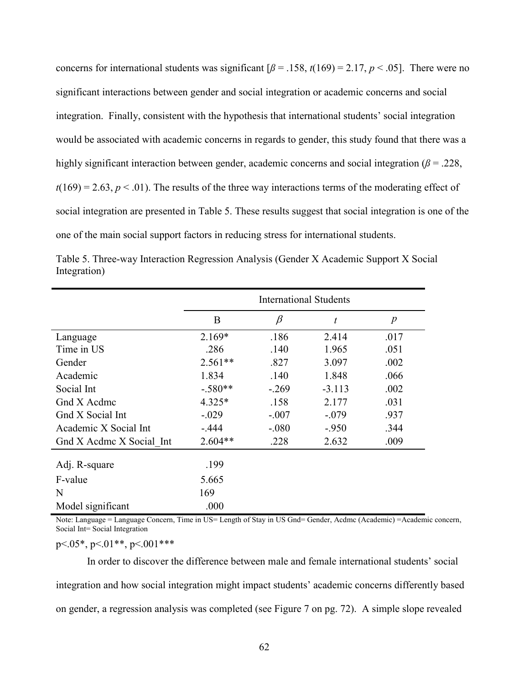concerns for international students was significant  $\beta$  = .158,  $t(169)$  = 2.17, *p* < .05]. There were no significant interactions between gender and social integration or academic concerns and social integration. Finally, consistent with the hypothesis that international students' social integration would be associated with academic concerns in regards to gender, this study found that there was a highly significant interaction between gender, academic concerns and social integration ( $\beta$  = .228,  $t(169) = 2.63$ ,  $p < .01$ ). The results of the three way interactions terms of the moderating effect of social integration are presented in Table 5. These results suggest that social integration is one of the one of the main social support factors in reducing stress for international students.

| Table 5. Three-way Interaction Regression Analysis (Gender X Academic Support X Social |  |  |  |
|----------------------------------------------------------------------------------------|--|--|--|
| Integration)                                                                           |  |  |  |

|                          | <b>International Students</b> |         |          |                  |
|--------------------------|-------------------------------|---------|----------|------------------|
|                          | B                             | $\beta$ | t        | $\boldsymbol{p}$ |
| Language                 | $2.169*$                      | .186    | 2.414    | .017             |
| Time in US               | .286                          | .140    | 1.965    | .051             |
| Gender                   | $2.561**$                     | .827    | 3.097    | .002             |
| Academic                 | 1.834                         | .140    | 1.848    | .066             |
| Social Int               | $-.580**$                     | $-269$  | $-3.113$ | .002             |
| Gnd X Acdmc              | $4.325*$                      | .158    | 2.177    | .031             |
| Gnd X Social Int         | $-.029$                       | $-.007$ | $-.079$  | .937             |
| Academic X Social Int    | $-.444$                       | $-.080$ | $-950$   | .344             |
| Gnd X Acdme X Social Int | $2.604**$                     | .228    | 2.632    | .009             |
| Adj. R-square            | .199                          |         |          |                  |
| F-value                  | 5.665                         |         |          |                  |
| N                        | 169                           |         |          |                  |
| Model significant        | .000                          |         |          |                  |

Note: Language = Language Concern, Time in US= Length of Stay in US Gnd= Gender, Acdmc (Academic) =Academic concern, Social Int= Social Integration

 $p<05^*$ ,  $p<01^{**}$ ,  $p<001^{***}$ 

In order to discover the difference between male and female international students' social integration and how social integration might impact students' academic concerns differently based on gender, a regression analysis was completed (see Figure 7 on pg. 72). A simple slope revealed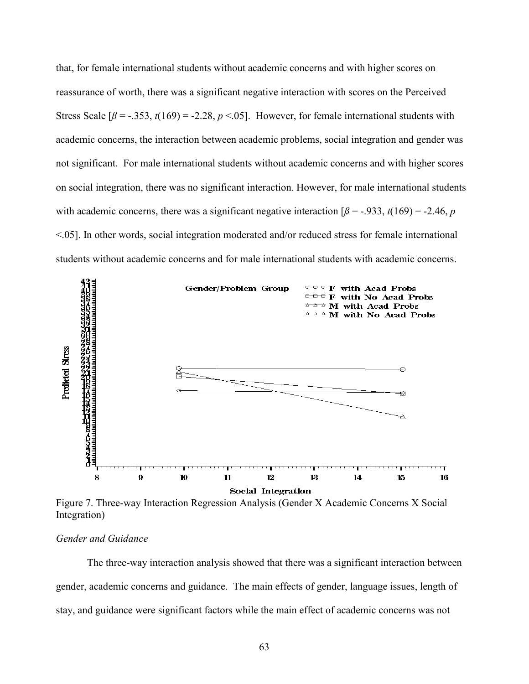that, for female international students without academic concerns and with higher scores on reassurance of worth, there was a significant negative interaction with scores on the Perceived Stress Scale  $\lceil \beta = -.353, t(169) = -2.28, p < .05 \rceil$ . However, for female international students with academic concerns, the interaction between academic problems, social integration and gender was not significant. For male international students without academic concerns and with higher scores on social integration, there was no significant interaction. However, for male international students with academic concerns, there was a significant negative interaction  $\beta$  = -.933, *t*(169) = -2.46, *p* <.05]. In other words, social integration moderated and/or reduced stress for female international students without academic concerns and for male international students with academic concerns.



Figure 7. Three-way Interaction Regression Analysis (Gender X Academic Concerns X Social Integration)

# *Gender and Guidance*

The three-way interaction analysis showed that there was a significant interaction between gender, academic concerns and guidance. The main effects of gender, language issues, length of stay, and guidance were significant factors while the main effect of academic concerns was not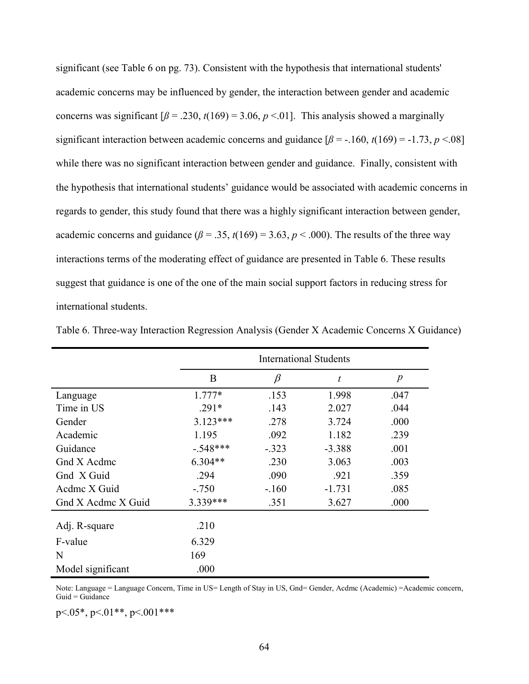significant (see Table 6 on pg. 73). Consistent with the hypothesis that international students' academic concerns may be influenced by gender, the interaction between gender and academic concerns was significant  $\lceil \beta = .230, t(169) = 3.06, p < .01 \rceil$ . This analysis showed a marginally significant interaction between academic concerns and guidance  $\lceil \beta = -160, t(169) = -1.73, p < 08 \rceil$ while there was no significant interaction between gender and guidance. Finally, consistent with the hypothesis that international students' guidance would be associated with academic concerns in regards to gender, this study found that there was a highly significant interaction between gender, academic concerns and guidance ( $\beta$  = .35,  $t(169)$  = 3.63,  $p$  < .000). The results of the three way interactions terms of the moderating effect of guidance are presented in Table 6. These results suggest that guidance is one of the one of the main social support factors in reducing stress for international students.

|                    | <b>International Students</b> |         |          |                  |
|--------------------|-------------------------------|---------|----------|------------------|
|                    | B                             | $\beta$ | t        | $\boldsymbol{p}$ |
| Language           | $1.777*$                      | .153    | 1.998    | .047             |
| Time in US         | $.291*$                       | .143    | 2.027    | .044             |
| Gender             | $3.123***$                    | .278    | 3.724    | .000             |
| Academic           | 1.195                         | .092    | 1.182    | .239             |
| Guidance           | $-.548***$                    | $-.323$ | $-3.388$ | .001             |
| Gnd X Acdmc        | $6.304**$                     | .230    | 3.063    | .003             |
| Gnd X Guid         | .294                          | .090    | .921     | .359             |
| Acdme X Guid       | $-.750$                       | $-.160$ | $-1.731$ | .085             |
| Gnd X Acdmc X Guid | 3.339 ***                     | .351    | 3.627    | .000             |
| Adj. R-square      | .210                          |         |          |                  |
| F-value            | 6.329                         |         |          |                  |
| N                  | 169                           |         |          |                  |
| Model significant  | .000                          |         |          |                  |

Table 6. Three-way Interaction Regression Analysis (Gender X Academic Concerns X Guidance)

Note: Language = Language Concern, Time in US= Length of Stay in US, Gnd= Gender, Acdmc (Academic) = Academic concern,  $Guid = Guidance$ 

p<.05\*, p<.01\*\*, p<.001\*\*\*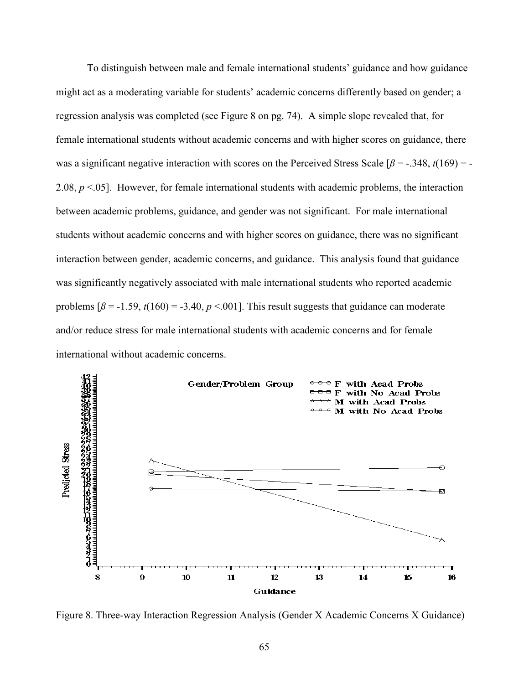To distinguish between male and female international students' guidance and how guidance might act as a moderating variable for students' academic concerns differently based on gender; a regression analysis was completed (see Figure 8 on pg. 74). A simple slope revealed that, for female international students without academic concerns and with higher scores on guidance, there was a significant negative interaction with scores on the Perceived Stress Scale  $\beta$  = -.348, *t*(169) = -2.08,  $p \le 0.05$ ]. However, for female international students with academic problems, the interaction between academic problems, guidance, and gender was not significant. For male international students without academic concerns and with higher scores on guidance, there was no significant interaction between gender, academic concerns, and guidance. This analysis found that guidance was significantly negatively associated with male international students who reported academic problems  $\beta$  = -1.59,  $t(160)$  = -3.40,  $p < .001$ . This result suggests that guidance can moderate and/or reduce stress for male international students with academic concerns and for female international without academic concerns.



Figure 8. Three-way Interaction Regression Analysis (Gender X Academic Concerns X Guidance)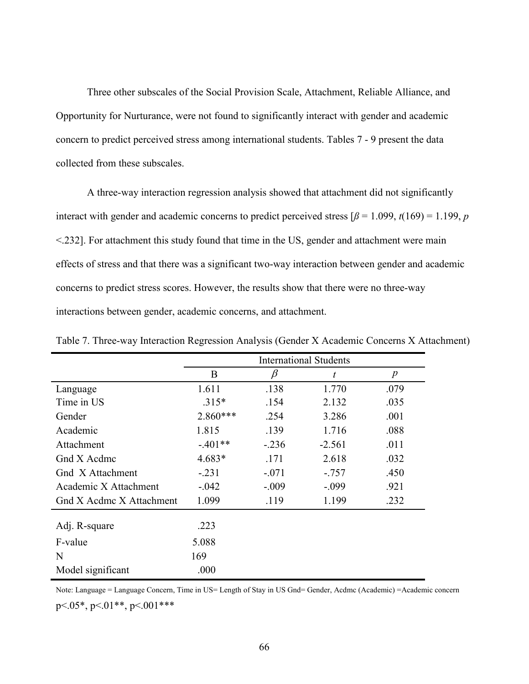Three other subscales of the Social Provision Scale, Attachment, Reliable Alliance, and Opportunity for Nurturance, were not found to significantly interact with gender and academic concern to predict perceived stress among international students. Tables 7 - 9 present the data collected from these subscales.

A three-way interaction regression analysis showed that attachment did not significantly interact with gender and academic concerns to predict perceived stress  $\beta = 1.099$ ,  $t(169) = 1.199$ , *p* <.232]. For attachment this study found that time in the US, gender and attachment were main effects of stress and that there was a significant two-way interaction between gender and academic concerns to predict stress scores. However, the results show that there were no three-way interactions between gender, academic concerns, and attachment.

|                          | <b>International Students</b> |         |          |                  |
|--------------------------|-------------------------------|---------|----------|------------------|
|                          | B                             | β       | t        | $\boldsymbol{p}$ |
| Language                 | 1.611                         | .138    | 1.770    | .079             |
| Time in US               | $.315*$                       | .154    | 2.132    | .035             |
| Gender                   | $2.860***$                    | .254    | 3.286    | .001             |
| Academic                 | 1.815                         | .139    | 1.716    | .088             |
| Attachment               | $-.401**$                     | $-.236$ | $-2.561$ | .011             |
| Gnd X Acdmc              | 4.683*                        | .171    | 2.618    | .032             |
| Gnd X Attachment         | $-.231$                       | $-.071$ | $-0.757$ | .450             |
| Academic X Attachment    | $-.042$                       | $-.009$ | $-.099$  | .921             |
| Gnd X Acdmc X Attachment | 1.099                         | .119    | 1.199    | .232             |
| Adj. R-square            | .223                          |         |          |                  |
| F-value                  | 5.088                         |         |          |                  |
| N                        | 169                           |         |          |                  |
| Model significant        | .000                          |         |          |                  |

Table 7. Three-way Interaction Regression Analysis (Gender X Academic Concerns X Attachment)

Note: Language = Language Concern, Time in US= Length of Stay in US Gnd= Gender, Acdmc (Academic) =Academic concern

 $p<.05^*$ ,  $p<.01^{**}$ ,  $p<.001^{***}$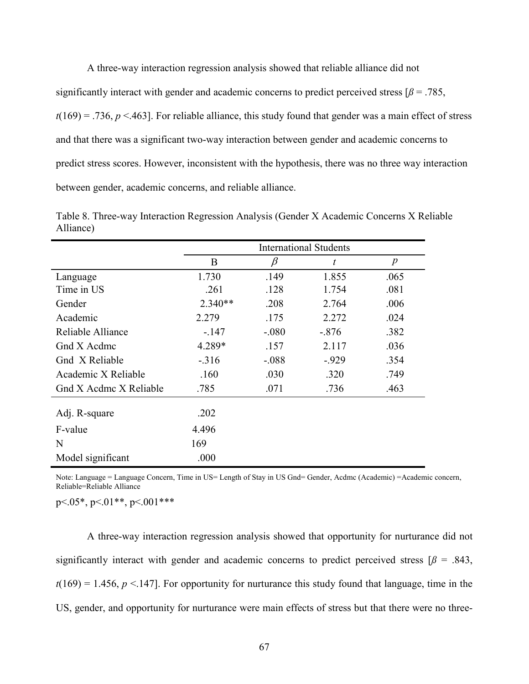A three-way interaction regression analysis showed that reliable alliance did not significantly interact with gender and academic concerns to predict perceived stress  $\beta$  = .785,  $t(169) = .736$ ,  $p \le .463$ . For reliable alliance, this study found that gender was a main effect of stress and that there was a significant two-way interaction between gender and academic concerns to predict stress scores. However, inconsistent with the hypothesis, there was no three way interaction between gender, academic concerns, and reliable alliance.

|                        | <b>International Students</b> |         |         |                  |
|------------------------|-------------------------------|---------|---------|------------------|
|                        | B                             | β       | t       | $\boldsymbol{p}$ |
| Language               | 1.730                         | .149    | 1.855   | .065             |
| Time in US             | .261                          | .128    | 1.754   | .081             |
| Gender                 | $2.340**$                     | .208    | 2.764   | .006             |
| Academic               | 2.279                         | .175    | 2.272   | .024             |
| Reliable Alliance      | $-147$                        | $-.080$ | $-.876$ | .382             |
| Gnd X Acdmc            | 4.289*                        | .157    | 2.117   | .036             |
| Gnd X Reliable         | $-.316$                       | $-.088$ | $-929$  | .354             |
| Academic X Reliable    | .160                          | .030    | .320    | .749             |
| Gnd X Acdmc X Reliable | .785                          | .071    | .736    | .463             |
| Adj. R-square          | .202                          |         |         |                  |
| F-value                | 4.496                         |         |         |                  |
| N                      | 169                           |         |         |                  |
| Model significant      | .000                          |         |         |                  |

Table 8. Three-way Interaction Regression Analysis (Gender X Academic Concerns X Reliable Alliance)

Note: Language = Language Concern, Time in US= Length of Stay in US Gnd= Gender, Acdmc (Academic) =Academic concern, Reliable=Reliable Alliance

p<.05\*, p<.01\*\*, p<.001\*\*\*

A three-way interaction regression analysis showed that opportunity for nurturance did not significantly interact with gender and academic concerns to predict perceived stress  $\beta$  = .843,  $t(169) = 1.456$ ,  $p < 147$ . For opportunity for nurturance this study found that language, time in the US, gender, and opportunity for nurturance were main effects of stress but that there were no three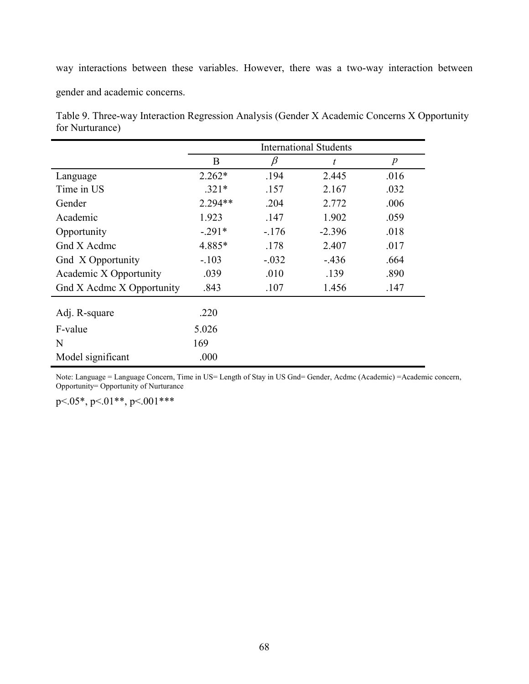way interactions between these variables. However, there was a two-way interaction between

gender and academic concerns.

Table 9. Three-way Interaction Regression Analysis (Gender X Academic Concerns X Opportunity for Nurturance)

|                           | <b>International Students</b> |         |          |                  |
|---------------------------|-------------------------------|---------|----------|------------------|
|                           | B                             | β       | t        | $\boldsymbol{p}$ |
| Language                  | $2.262*$                      | .194    | 2.445    | .016             |
| Time in US                | $.321*$                       | .157    | 2.167    | .032             |
| Gender                    | $2.294**$                     | .204    | 2.772    | .006             |
| Academic                  | 1.923                         | .147    | 1.902    | .059             |
| Opportunity               | $-.291*$                      | $-176$  | $-2.396$ | .018             |
| Gnd X Acdmc               | 4.885*                        | .178    | 2.407    | .017             |
| Gnd X Opportunity         | $-.103$                       | $-.032$ | $-436$   | .664             |
| Academic X Opportunity    | .039                          | .010    | .139     | .890             |
| Gnd X Acdmc X Opportunity | .843                          | .107    | 1.456    | .147             |
| Adj. R-square             | .220                          |         |          |                  |
|                           |                               |         |          |                  |
| F-value                   | 5.026                         |         |          |                  |
| N                         | 169                           |         |          |                  |
| Model significant         | .000                          |         |          |                  |

Note: Language = Language Concern, Time in US= Length of Stay in US Gnd= Gender, Acdmc (Academic) =Academic concern, Opportunity= Opportunity of Nurturance

p<.05\*, p<.01\*\*, p<.001\*\*\*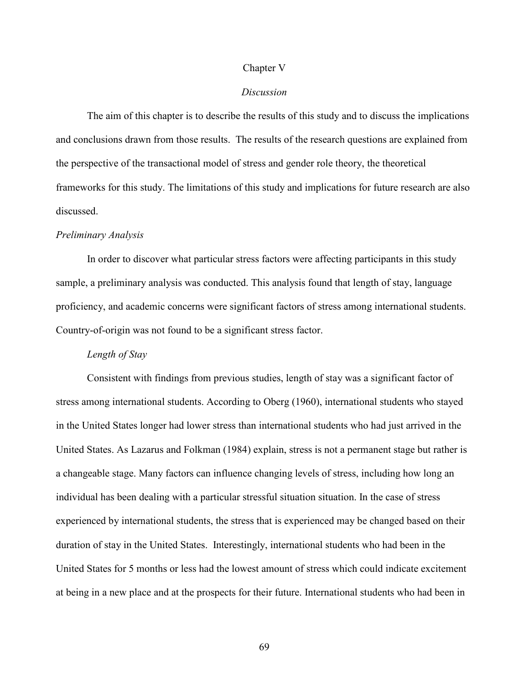#### Chapter V

#### *Discussion*

 The aim of this chapter is to describe the results of this study and to discuss the implications and conclusions drawn from those results. The results of the research questions are explained from the perspective of the transactional model of stress and gender role theory, the theoretical frameworks for this study. The limitations of this study and implications for future research are also discussed.

#### *Preliminary Analysis*

 In order to discover what particular stress factors were affecting participants in this study sample, a preliminary analysis was conducted. This analysis found that length of stay, language proficiency, and academic concerns were significant factors of stress among international students. Country-of-origin was not found to be a significant stress factor.

### *Length of Stay*

 Consistent with findings from previous studies, length of stay was a significant factor of stress among international students. According to Oberg (1960), international students who stayed in the United States longer had lower stress than international students who had just arrived in the United States. As Lazarus and Folkman (1984) explain, stress is not a permanent stage but rather is a changeable stage. Many factors can influence changing levels of stress, including how long an individual has been dealing with a particular stressful situation situation. In the case of stress experienced by international students, the stress that is experienced may be changed based on their duration of stay in the United States. Interestingly, international students who had been in the United States for 5 months or less had the lowest amount of stress which could indicate excitement at being in a new place and at the prospects for their future. International students who had been in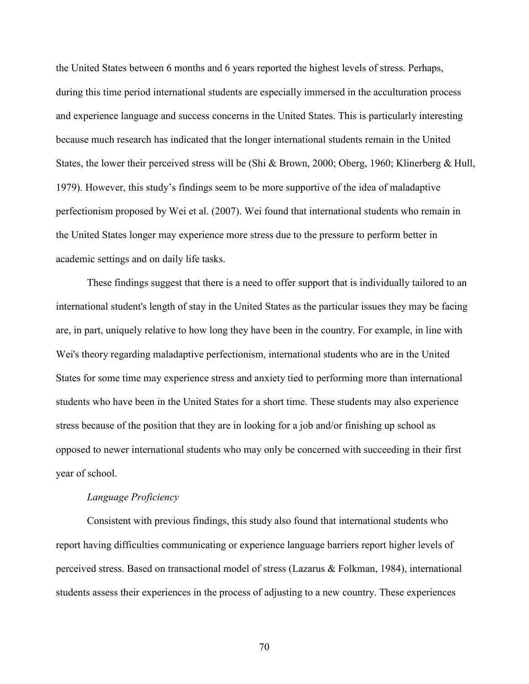the United States between 6 months and 6 years reported the highest levels of stress. Perhaps, during this time period international students are especially immersed in the acculturation process and experience language and success concerns in the United States. This is particularly interesting because much research has indicated that the longer international students remain in the United States, the lower their perceived stress will be (Shi & Brown, 2000; Oberg, 1960; Klinerberg & Hull, 1979). However, this study's findings seem to be more supportive of the idea of maladaptive perfectionism proposed by Wei et al. (2007). Wei found that international students who remain in the United States longer may experience more stress due to the pressure to perform better in academic settings and on daily life tasks.

These findings suggest that there is a need to offer support that is individually tailored to an international student's length of stay in the United States as the particular issues they may be facing are, in part, uniquely relative to how long they have been in the country. For example, in line with Wei's theory regarding maladaptive perfectionism, international students who are in the United States for some time may experience stress and anxiety tied to performing more than international students who have been in the United States for a short time. These students may also experience stress because of the position that they are in looking for a job and/or finishing up school as opposed to newer international students who may only be concerned with succeeding in their first year of school.

### *Language Proficiency*

Consistent with previous findings, this study also found that international students who report having difficulties communicating or experience language barriers report higher levels of perceived stress. Based on transactional model of stress (Lazarus & Folkman, 1984), international students assess their experiences in the process of adjusting to a new country. These experiences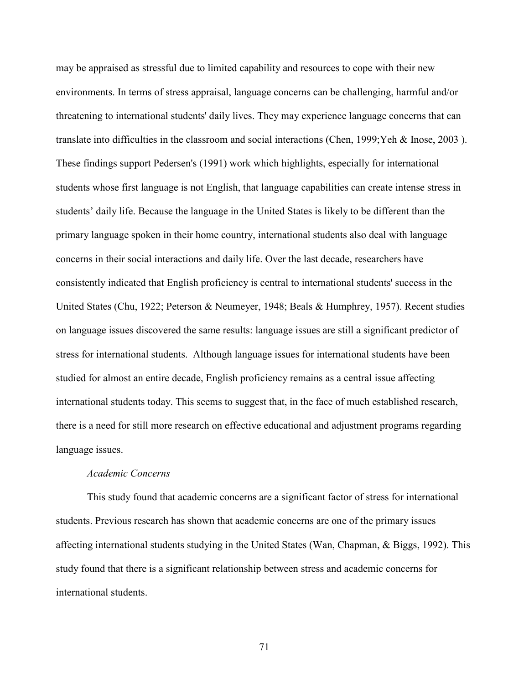may be appraised as stressful due to limited capability and resources to cope with their new environments. In terms of stress appraisal, language concerns can be challenging, harmful and/or threatening to international students' daily lives. They may experience language concerns that can translate into difficulties in the classroom and social interactions (Chen, 1999;Yeh & Inose, 2003 ). These findings support Pedersen's (1991) work which highlights, especially for international students whose first language is not English, that language capabilities can create intense stress in students' daily life. Because the language in the United States is likely to be different than the primary language spoken in their home country, international students also deal with language concerns in their social interactions and daily life. Over the last decade, researchers have consistently indicated that English proficiency is central to international students' success in the United States (Chu, 1922; Peterson & Neumeyer, 1948; Beals & Humphrey, 1957). Recent studies on language issues discovered the same results: language issues are still a significant predictor of stress for international students. Although language issues for international students have been studied for almost an entire decade, English proficiency remains as a central issue affecting international students today. This seems to suggest that, in the face of much established research, there is a need for still more research on effective educational and adjustment programs regarding language issues.

### *Academic Concerns*

 This study found that academic concerns are a significant factor of stress for international students. Previous research has shown that academic concerns are one of the primary issues affecting international students studying in the United States (Wan, Chapman, & Biggs, 1992). This study found that there is a significant relationship between stress and academic concerns for international students.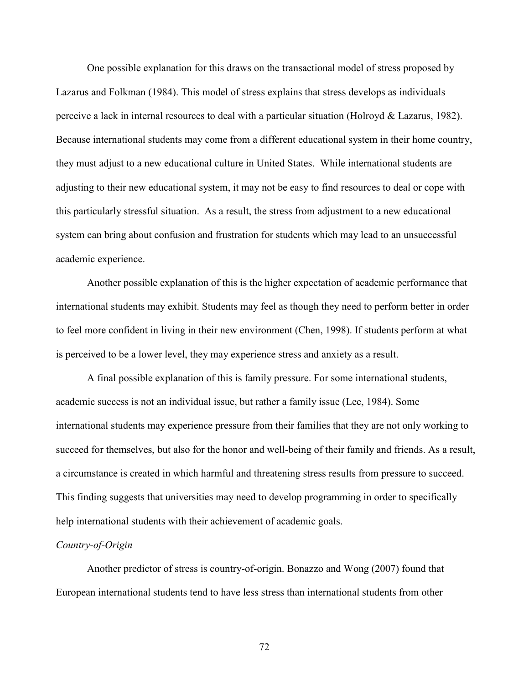One possible explanation for this draws on the transactional model of stress proposed by Lazarus and Folkman (1984). This model of stress explains that stress develops as individuals perceive a lack in internal resources to deal with a particular situation (Holroyd & Lazarus, 1982). Because international students may come from a different educational system in their home country, they must adjust to a new educational culture in United States. While international students are adjusting to their new educational system, it may not be easy to find resources to deal or cope with this particularly stressful situation. As a result, the stress from adjustment to a new educational system can bring about confusion and frustration for students which may lead to an unsuccessful academic experience.

Another possible explanation of this is the higher expectation of academic performance that international students may exhibit. Students may feel as though they need to perform better in order to feel more confident in living in their new environment (Chen, 1998). If students perform at what is perceived to be a lower level, they may experience stress and anxiety as a result.

A final possible explanation of this is family pressure. For some international students, academic success is not an individual issue, but rather a family issue (Lee, 1984). Some international students may experience pressure from their families that they are not only working to succeed for themselves, but also for the honor and well-being of their family and friends. As a result, a circumstance is created in which harmful and threatening stress results from pressure to succeed. This finding suggests that universities may need to develop programming in order to specifically help international students with their achievement of academic goals.

#### *Country-of-Origin*

 Another predictor of stress is country-of-origin. Bonazzo and Wong (2007) found that European international students tend to have less stress than international students from other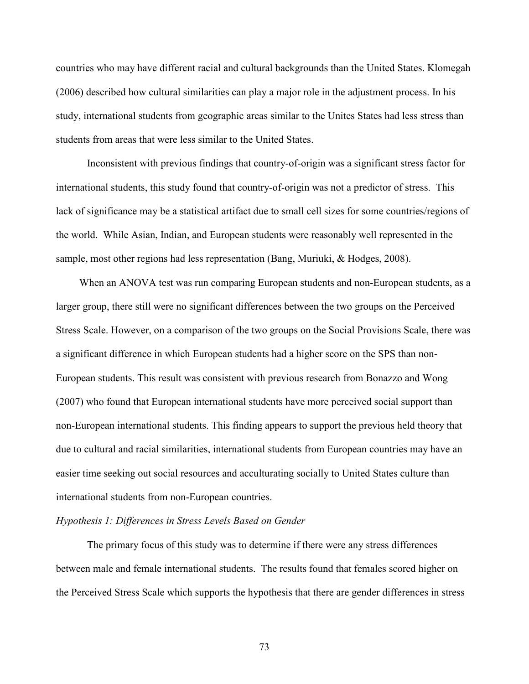countries who may have different racial and cultural backgrounds than the United States. Klomegah (2006) described how cultural similarities can play a major role in the adjustment process. In his study, international students from geographic areas similar to the Unites States had less stress than students from areas that were less similar to the United States.

 Inconsistent with previous findings that country-of-origin was a significant stress factor for international students, this study found that country-of-origin was not a predictor of stress. This lack of significance may be a statistical artifact due to small cell sizes for some countries/regions of the world. While Asian, Indian, and European students were reasonably well represented in the sample, most other regions had less representation (Bang, Muriuki, & Hodges, 2008).

When an ANOVA test was run comparing European students and non-European students, as a larger group, there still were no significant differences between the two groups on the Perceived Stress Scale. However, on a comparison of the two groups on the Social Provisions Scale, there was a significant difference in which European students had a higher score on the SPS than non-European students. This result was consistent with previous research from Bonazzo and Wong (2007) who found that European international students have more perceived social support than non-European international students. This finding appears to support the previous held theory that due to cultural and racial similarities, international students from European countries may have an easier time seeking out social resources and acculturating socially to United States culture than international students from non-European countries.

# *Hypothesis 1: Differences in Stress Levels Based on Gender*

The primary focus of this study was to determine if there were any stress differences between male and female international students. The results found that females scored higher on the Perceived Stress Scale which supports the hypothesis that there are gender differences in stress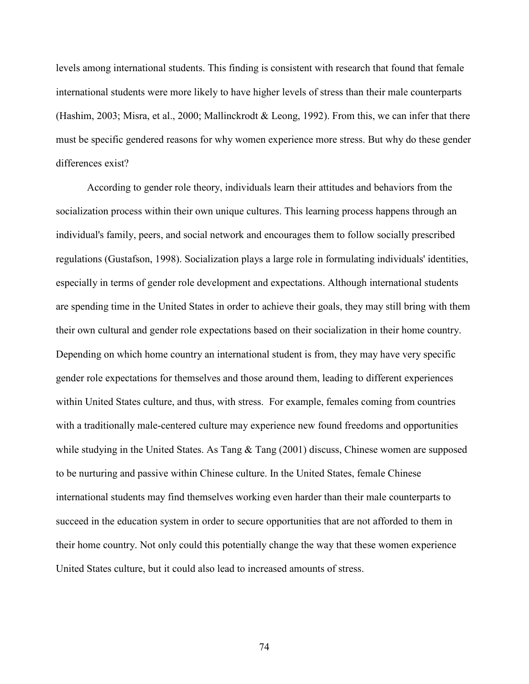levels among international students. This finding is consistent with research that found that female international students were more likely to have higher levels of stress than their male counterparts (Hashim, 2003; Misra, et al., 2000; Mallinckrodt & Leong, 1992). From this, we can infer that there must be specific gendered reasons for why women experience more stress. But why do these gender differences exist?

According to gender role theory, individuals learn their attitudes and behaviors from the socialization process within their own unique cultures. This learning process happens through an individual's family, peers, and social network and encourages them to follow socially prescribed regulations (Gustafson, 1998). Socialization plays a large role in formulating individuals' identities, especially in terms of gender role development and expectations. Although international students are spending time in the United States in order to achieve their goals, they may still bring with them their own cultural and gender role expectations based on their socialization in their home country. Depending on which home country an international student is from, they may have very specific gender role expectations for themselves and those around them, leading to different experiences within United States culture, and thus, with stress. For example, females coming from countries with a traditionally male-centered culture may experience new found freedoms and opportunities while studying in the United States. As Tang & Tang (2001) discuss, Chinese women are supposed to be nurturing and passive within Chinese culture. In the United States, female Chinese international students may find themselves working even harder than their male counterparts to succeed in the education system in order to secure opportunities that are not afforded to them in their home country. Not only could this potentially change the way that these women experience United States culture, but it could also lead to increased amounts of stress.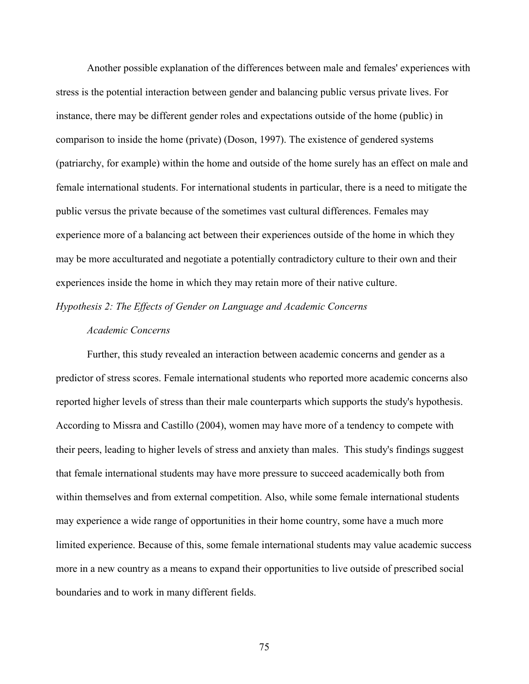Another possible explanation of the differences between male and females' experiences with stress is the potential interaction between gender and balancing public versus private lives. For instance, there may be different gender roles and expectations outside of the home (public) in comparison to inside the home (private) (Doson, 1997). The existence of gendered systems (patriarchy, for example) within the home and outside of the home surely has an effect on male and female international students. For international students in particular, there is a need to mitigate the public versus the private because of the sometimes vast cultural differences. Females may experience more of a balancing act between their experiences outside of the home in which they may be more acculturated and negotiate a potentially contradictory culture to their own and their experiences inside the home in which they may retain more of their native culture.

*Hypothesis 2: The Effects of Gender on Language and Academic Concerns* 

# *Academic Concerns*

 Further, this study revealed an interaction between academic concerns and gender as a predictor of stress scores. Female international students who reported more academic concerns also reported higher levels of stress than their male counterparts which supports the study's hypothesis. According to Missra and Castillo (2004), women may have more of a tendency to compete with their peers, leading to higher levels of stress and anxiety than males. This study's findings suggest that female international students may have more pressure to succeed academically both from within themselves and from external competition. Also, while some female international students may experience a wide range of opportunities in their home country, some have a much more limited experience. Because of this, some female international students may value academic success more in a new country as a means to expand their opportunities to live outside of prescribed social boundaries and to work in many different fields.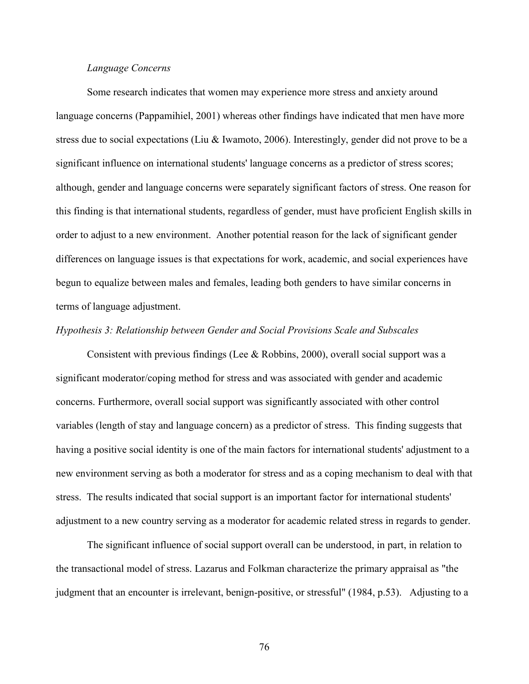# *Language Concerns*

Some research indicates that women may experience more stress and anxiety around language concerns (Pappamihiel, 2001) whereas other findings have indicated that men have more stress due to social expectations (Liu & Iwamoto, 2006). Interestingly, gender did not prove to be a significant influence on international students' language concerns as a predictor of stress scores; although, gender and language concerns were separately significant factors of stress. One reason for this finding is that international students, regardless of gender, must have proficient English skills in order to adjust to a new environment. Another potential reason for the lack of significant gender differences on language issues is that expectations for work, academic, and social experiences have begun to equalize between males and females, leading both genders to have similar concerns in terms of language adjustment.

# *Hypothesis 3: Relationship between Gender and Social Provisions Scale and Subscales*

Consistent with previous findings (Lee & Robbins, 2000), overall social support was a significant moderator/coping method for stress and was associated with gender and academic concerns. Furthermore, overall social support was significantly associated with other control variables (length of stay and language concern) as a predictor of stress. This finding suggests that having a positive social identity is one of the main factors for international students' adjustment to a new environment serving as both a moderator for stress and as a coping mechanism to deal with that stress. The results indicated that social support is an important factor for international students' adjustment to a new country serving as a moderator for academic related stress in regards to gender.

The significant influence of social support overall can be understood, in part, in relation to the transactional model of stress. Lazarus and Folkman characterize the primary appraisal as "the judgment that an encounter is irrelevant, benign-positive, or stressful" (1984, p.53). Adjusting to a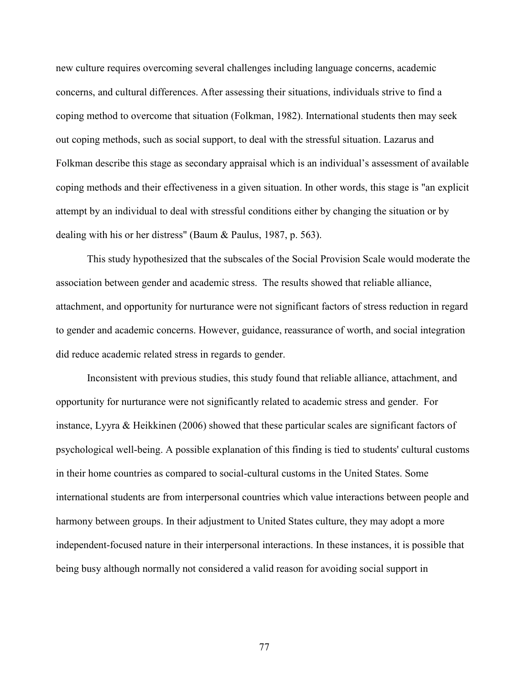new culture requires overcoming several challenges including language concerns, academic concerns, and cultural differences. After assessing their situations, individuals strive to find a coping method to overcome that situation (Folkman, 1982). International students then may seek out coping methods, such as social support, to deal with the stressful situation. Lazarus and Folkman describe this stage as secondary appraisal which is an individual's assessment of available coping methods and their effectiveness in a given situation. In other words, this stage is "an explicit attempt by an individual to deal with stressful conditions either by changing the situation or by dealing with his or her distress" (Baum & Paulus, 1987, p. 563).

This study hypothesized that the subscales of the Social Provision Scale would moderate the association between gender and academic stress. The results showed that reliable alliance, attachment, and opportunity for nurturance were not significant factors of stress reduction in regard to gender and academic concerns. However, guidance, reassurance of worth, and social integration did reduce academic related stress in regards to gender.

Inconsistent with previous studies, this study found that reliable alliance, attachment, and opportunity for nurturance were not significantly related to academic stress and gender. For instance, Lyyra & Heikkinen (2006) showed that these particular scales are significant factors of psychological well-being. A possible explanation of this finding is tied to students' cultural customs in their home countries as compared to social-cultural customs in the United States. Some international students are from interpersonal countries which value interactions between people and harmony between groups. In their adjustment to United States culture, they may adopt a more independent-focused nature in their interpersonal interactions. In these instances, it is possible that being busy although normally not considered a valid reason for avoiding social support in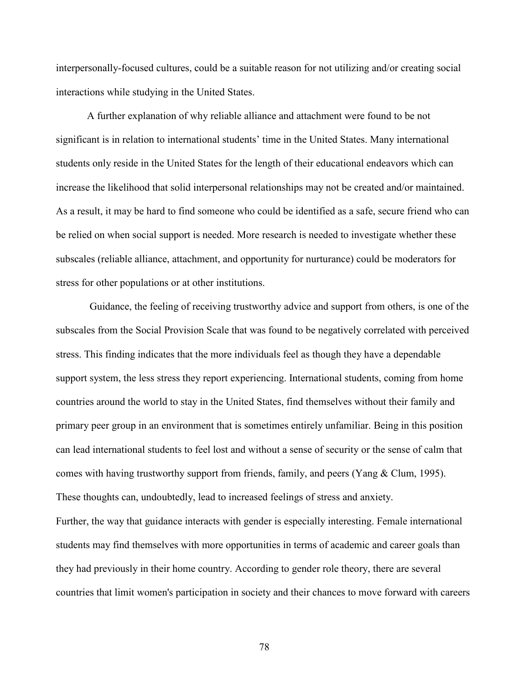interpersonally-focused cultures, could be a suitable reason for not utilizing and/or creating social interactions while studying in the United States.

A further explanation of why reliable alliance and attachment were found to be not significant is in relation to international students' time in the United States. Many international students only reside in the United States for the length of their educational endeavors which can increase the likelihood that solid interpersonal relationships may not be created and/or maintained. As a result, it may be hard to find someone who could be identified as a safe, secure friend who can be relied on when social support is needed. More research is needed to investigate whether these subscales (reliable alliance, attachment, and opportunity for nurturance) could be moderators for stress for other populations or at other institutions.

 Guidance, the feeling of receiving trustworthy advice and support from others, is one of the subscales from the Social Provision Scale that was found to be negatively correlated with perceived stress. This finding indicates that the more individuals feel as though they have a dependable support system, the less stress they report experiencing. International students, coming from home countries around the world to stay in the United States, find themselves without their family and primary peer group in an environment that is sometimes entirely unfamiliar. Being in this position can lead international students to feel lost and without a sense of security or the sense of calm that comes with having trustworthy support from friends, family, and peers (Yang & Clum, 1995). These thoughts can, undoubtedly, lead to increased feelings of stress and anxiety. Further, the way that guidance interacts with gender is especially interesting. Female international students may find themselves with more opportunities in terms of academic and career goals than they had previously in their home country. According to gender role theory, there are several countries that limit women's participation in society and their chances to move forward with careers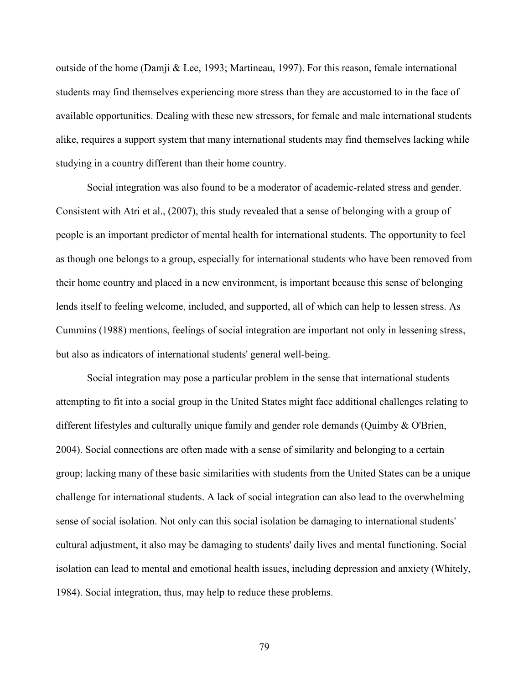outside of the home (Damji & Lee, 1993; Martineau, 1997). For this reason, female international students may find themselves experiencing more stress than they are accustomed to in the face of available opportunities. Dealing with these new stressors, for female and male international students alike, requires a support system that many international students may find themselves lacking while studying in a country different than their home country.

Social integration was also found to be a moderator of academic-related stress and gender. Consistent with Atri et al., (2007), this study revealed that a sense of belonging with a group of people is an important predictor of mental health for international students. The opportunity to feel as though one belongs to a group, especially for international students who have been removed from their home country and placed in a new environment, is important because this sense of belonging lends itself to feeling welcome, included, and supported, all of which can help to lessen stress. As Cummins (1988) mentions, feelings of social integration are important not only in lessening stress, but also as indicators of international students' general well-being.

Social integration may pose a particular problem in the sense that international students attempting to fit into a social group in the United States might face additional challenges relating to different lifestyles and culturally unique family and gender role demands (Quimby & O'Brien, 2004). Social connections are often made with a sense of similarity and belonging to a certain group; lacking many of these basic similarities with students from the United States can be a unique challenge for international students. A lack of social integration can also lead to the overwhelming sense of social isolation. Not only can this social isolation be damaging to international students' cultural adjustment, it also may be damaging to students' daily lives and mental functioning. Social isolation can lead to mental and emotional health issues, including depression and anxiety (Whitely, 1984). Social integration, thus, may help to reduce these problems.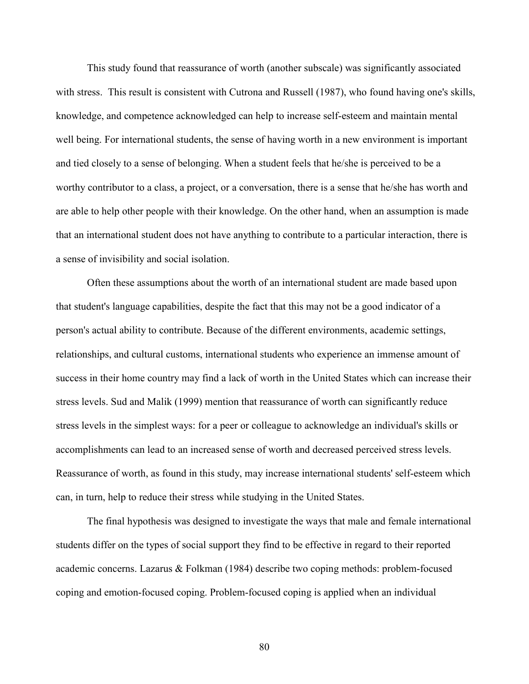This study found that reassurance of worth (another subscale) was significantly associated with stress. This result is consistent with Cutrona and Russell (1987), who found having one's skills, knowledge, and competence acknowledged can help to increase self-esteem and maintain mental well being. For international students, the sense of having worth in a new environment is important and tied closely to a sense of belonging. When a student feels that he/she is perceived to be a worthy contributor to a class, a project, or a conversation, there is a sense that he/she has worth and are able to help other people with their knowledge. On the other hand, when an assumption is made that an international student does not have anything to contribute to a particular interaction, there is a sense of invisibility and social isolation.

Often these assumptions about the worth of an international student are made based upon that student's language capabilities, despite the fact that this may not be a good indicator of a person's actual ability to contribute. Because of the different environments, academic settings, relationships, and cultural customs, international students who experience an immense amount of success in their home country may find a lack of worth in the United States which can increase their stress levels. Sud and Malik (1999) mention that reassurance of worth can significantly reduce stress levels in the simplest ways: for a peer or colleague to acknowledge an individual's skills or accomplishments can lead to an increased sense of worth and decreased perceived stress levels. Reassurance of worth, as found in this study, may increase international students' self-esteem which can, in turn, help to reduce their stress while studying in the United States.

The final hypothesis was designed to investigate the ways that male and female international students differ on the types of social support they find to be effective in regard to their reported academic concerns. Lazarus & Folkman (1984) describe two coping methods: problem-focused coping and emotion-focused coping. Problem-focused coping is applied when an individual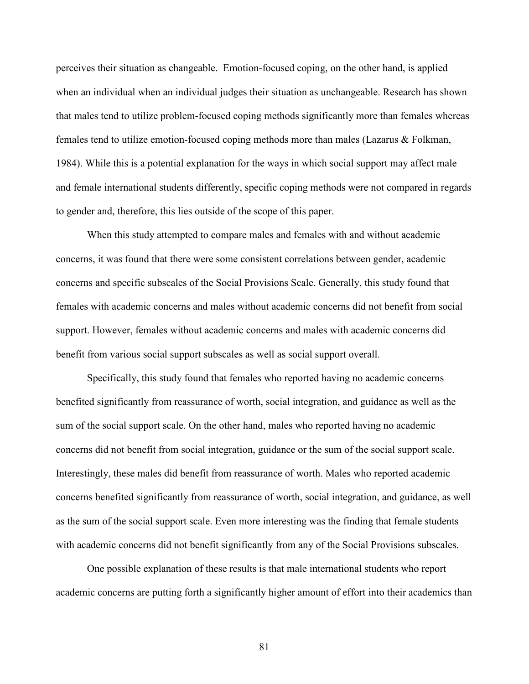perceives their situation as changeable. Emotion-focused coping, on the other hand, is applied when an individual when an individual judges their situation as unchangeable. Research has shown that males tend to utilize problem-focused coping methods significantly more than females whereas females tend to utilize emotion-focused coping methods more than males (Lazarus & Folkman, 1984). While this is a potential explanation for the ways in which social support may affect male and female international students differently, specific coping methods were not compared in regards to gender and, therefore, this lies outside of the scope of this paper.

When this study attempted to compare males and females with and without academic concerns, it was found that there were some consistent correlations between gender, academic concerns and specific subscales of the Social Provisions Scale. Generally, this study found that females with academic concerns and males without academic concerns did not benefit from social support. However, females without academic concerns and males with academic concerns did benefit from various social support subscales as well as social support overall.

Specifically, this study found that females who reported having no academic concerns benefited significantly from reassurance of worth, social integration, and guidance as well as the sum of the social support scale. On the other hand, males who reported having no academic concerns did not benefit from social integration, guidance or the sum of the social support scale. Interestingly, these males did benefit from reassurance of worth. Males who reported academic concerns benefited significantly from reassurance of worth, social integration, and guidance, as well as the sum of the social support scale. Even more interesting was the finding that female students with academic concerns did not benefit significantly from any of the Social Provisions subscales.

 One possible explanation of these results is that male international students who report academic concerns are putting forth a significantly higher amount of effort into their academics than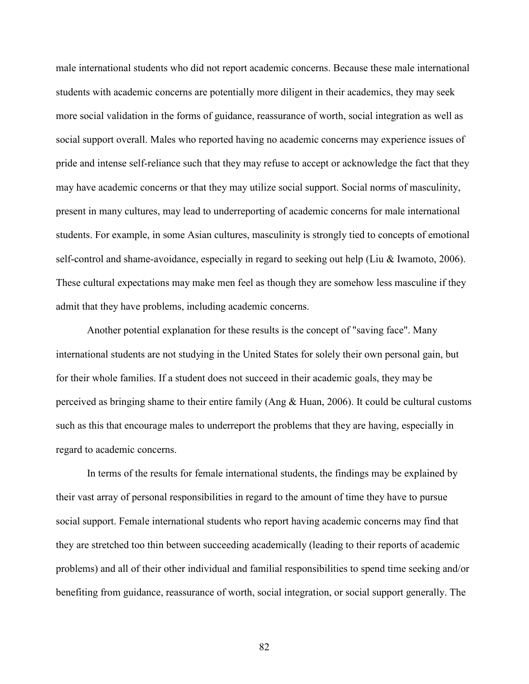male international students who did not report academic concerns. Because these male international students with academic concerns are potentially more diligent in their academics, they may seek more social validation in the forms of guidance, reassurance of worth, social integration as well as social support overall. Males who reported having no academic concerns may experience issues of pride and intense self-reliance such that they may refuse to accept or acknowledge the fact that they may have academic concerns or that they may utilize social support. Social norms of masculinity, present in many cultures, may lead to underreporting of academic concerns for male international students. For example, in some Asian cultures, masculinity is strongly tied to concepts of emotional self-control and shame-avoidance, especially in regard to seeking out help (Liu & Iwamoto, 2006). These cultural expectations may make men feel as though they are somehow less masculine if they admit that they have problems, including academic concerns.

 Another potential explanation for these results is the concept of "saving face". Many international students are not studying in the United States for solely their own personal gain, but for their whole families. If a student does not succeed in their academic goals, they may be perceived as bringing shame to their entire family (Ang  $\&$  Huan, 2006). It could be cultural customs such as this that encourage males to underreport the problems that they are having, especially in regard to academic concerns.

 In terms of the results for female international students, the findings may be explained by their vast array of personal responsibilities in regard to the amount of time they have to pursue social support. Female international students who report having academic concerns may find that they are stretched too thin between succeeding academically (leading to their reports of academic problems) and all of their other individual and familial responsibilities to spend time seeking and/or benefiting from guidance, reassurance of worth, social integration, or social support generally. The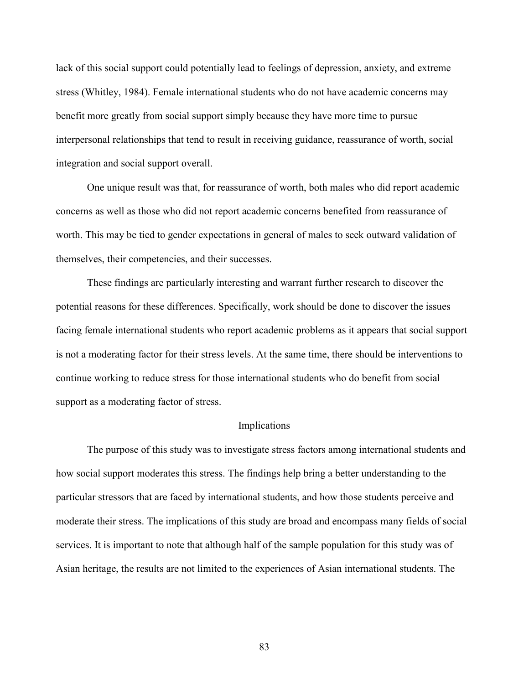lack of this social support could potentially lead to feelings of depression, anxiety, and extreme stress (Whitley, 1984). Female international students who do not have academic concerns may benefit more greatly from social support simply because they have more time to pursue interpersonal relationships that tend to result in receiving guidance, reassurance of worth, social integration and social support overall.

 One unique result was that, for reassurance of worth, both males who did report academic concerns as well as those who did not report academic concerns benefited from reassurance of worth. This may be tied to gender expectations in general of males to seek outward validation of themselves, their competencies, and their successes.

 These findings are particularly interesting and warrant further research to discover the potential reasons for these differences. Specifically, work should be done to discover the issues facing female international students who report academic problems as it appears that social support is not a moderating factor for their stress levels. At the same time, there should be interventions to continue working to reduce stress for those international students who do benefit from social support as a moderating factor of stress.

#### Implications

 The purpose of this study was to investigate stress factors among international students and how social support moderates this stress. The findings help bring a better understanding to the particular stressors that are faced by international students, and how those students perceive and moderate their stress. The implications of this study are broad and encompass many fields of social services. It is important to note that although half of the sample population for this study was of Asian heritage, the results are not limited to the experiences of Asian international students. The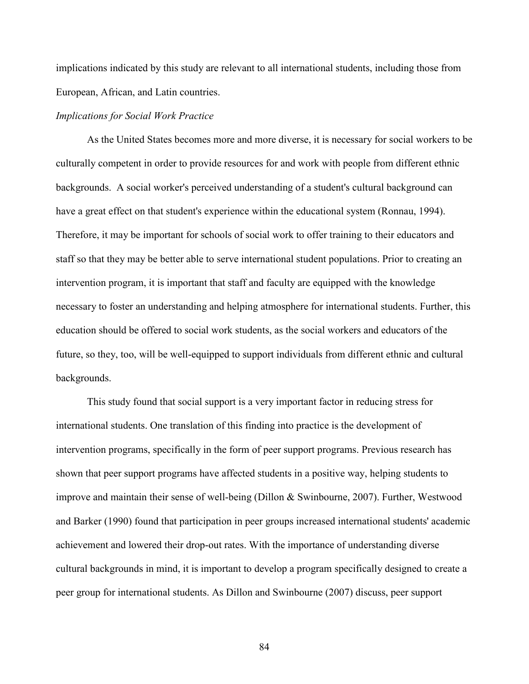implications indicated by this study are relevant to all international students, including those from European, African, and Latin countries.

# *Implications for Social Work Practice*

As the United States becomes more and more diverse, it is necessary for social workers to be culturally competent in order to provide resources for and work with people from different ethnic backgrounds. A social worker's perceived understanding of a student's cultural background can have a great effect on that student's experience within the educational system (Ronnau, 1994). Therefore, it may be important for schools of social work to offer training to their educators and staff so that they may be better able to serve international student populations. Prior to creating an intervention program, it is important that staff and faculty are equipped with the knowledge necessary to foster an understanding and helping atmosphere for international students. Further, this education should be offered to social work students, as the social workers and educators of the future, so they, too, will be well-equipped to support individuals from different ethnic and cultural backgrounds.

This study found that social support is a very important factor in reducing stress for international students. One translation of this finding into practice is the development of intervention programs, specifically in the form of peer support programs. Previous research has shown that peer support programs have affected students in a positive way, helping students to improve and maintain their sense of well-being (Dillon & Swinbourne, 2007). Further, Westwood and Barker (1990) found that participation in peer groups increased international students' academic achievement and lowered their drop-out rates. With the importance of understanding diverse cultural backgrounds in mind, it is important to develop a program specifically designed to create a peer group for international students. As Dillon and Swinbourne (2007) discuss, peer support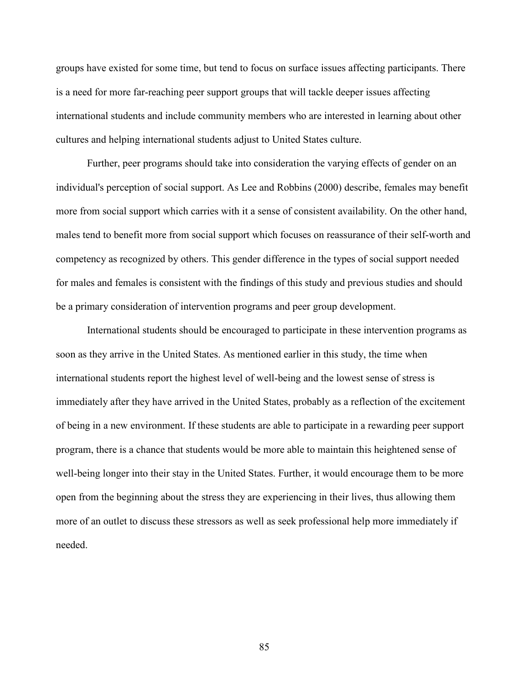groups have existed for some time, but tend to focus on surface issues affecting participants. There is a need for more far-reaching peer support groups that will tackle deeper issues affecting international students and include community members who are interested in learning about other cultures and helping international students adjust to United States culture.

Further, peer programs should take into consideration the varying effects of gender on an individual's perception of social support. As Lee and Robbins (2000) describe, females may benefit more from social support which carries with it a sense of consistent availability. On the other hand, males tend to benefit more from social support which focuses on reassurance of their self-worth and competency as recognized by others. This gender difference in the types of social support needed for males and females is consistent with the findings of this study and previous studies and should be a primary consideration of intervention programs and peer group development.

International students should be encouraged to participate in these intervention programs as soon as they arrive in the United States. As mentioned earlier in this study, the time when international students report the highest level of well-being and the lowest sense of stress is immediately after they have arrived in the United States, probably as a reflection of the excitement of being in a new environment. If these students are able to participate in a rewarding peer support program, there is a chance that students would be more able to maintain this heightened sense of well-being longer into their stay in the United States. Further, it would encourage them to be more open from the beginning about the stress they are experiencing in their lives, thus allowing them more of an outlet to discuss these stressors as well as seek professional help more immediately if needed.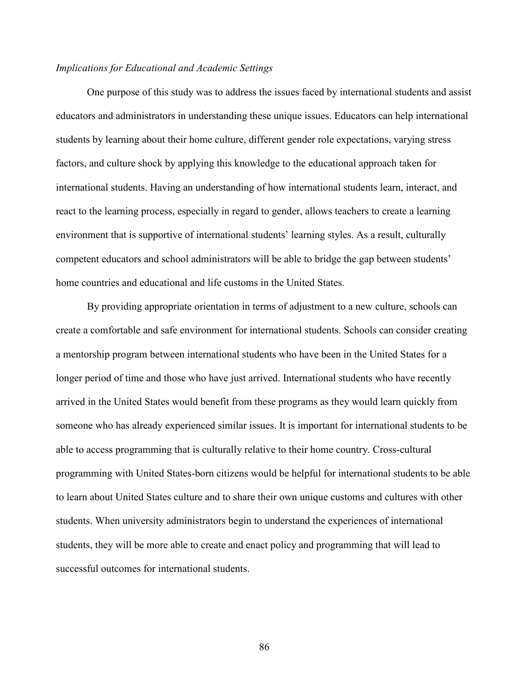# *Implications for Educational and Academic Settings*

 One purpose of this study was to address the issues faced by international students and assist educators and administrators in understanding these unique issues. Educators can help international students by learning about their home culture, different gender role expectations, varying stress factors, and culture shock by applying this knowledge to the educational approach taken for international students. Having an understanding of how international students learn, interact, and react to the learning process, especially in regard to gender, allows teachers to create a learning environment that is supportive of international students' learning styles. As a result, culturally competent educators and school administrators will be able to bridge the gap between students' home countries and educational and life customs in the United States.

 By providing appropriate orientation in terms of adjustment to a new culture, schools can create a comfortable and safe environment for international students. Schools can consider creating a mentorship program between international students who have been in the United States for a longer period of time and those who have just arrived. International students who have recently arrived in the United States would benefit from these programs as they would learn quickly from someone who has already experienced similar issues. It is important for international students to be able to access programming that is culturally relative to their home country. Cross-cultural programming with United States-born citizens would be helpful for international students to be able to learn about United States culture and to share their own unique customs and cultures with other students. When university administrators begin to understand the experiences of international students, they will be more able to create and enact policy and programming that will lead to successful outcomes for international students.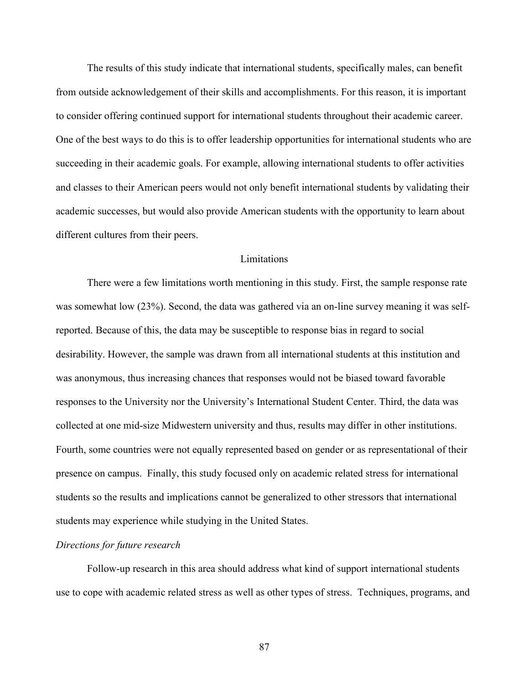The results of this study indicate that international students, specifically males, can benefit from outside acknowledgement of their skills and accomplishments. For this reason, it is important to consider offering continued support for international students throughout their academic career. One of the best ways to do this is to offer leadership opportunities for international students who are succeeding in their academic goals. For example, allowing international students to offer activities and classes to their American peers would not only benefit international students by validating their academic successes, but would also provide American students with the opportunity to learn about different cultures from their peers.

# **Limitations**

 There were a few limitations worth mentioning in this study. First, the sample response rate was somewhat low (23%). Second, the data was gathered via an on-line survey meaning it was selfreported. Because of this, the data may be susceptible to response bias in regard to social desirability. However, the sample was drawn from all international students at this institution and was anonymous, thus increasing chances that responses would not be biased toward favorable responses to the University nor the University's International Student Center. Third, the data was collected at one mid-size Midwestern university and thus, results may differ in other institutions. Fourth, some countries were not equally represented based on gender or as representational of their presence on campus. Finally, this study focused only on academic related stress for international students so the results and implications cannot be generalized to other stressors that international students may experience while studying in the United States.

#### *Directions for future research*

 Follow-up research in this area should address what kind of support international students use to cope with academic related stress as well as other types of stress. Techniques, programs, and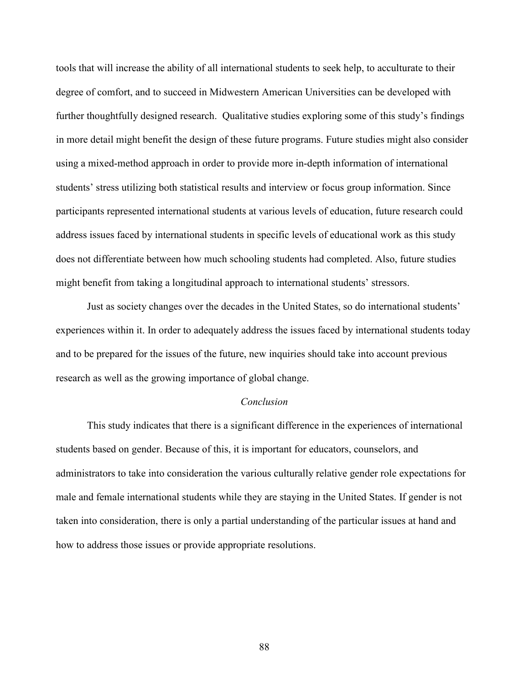tools that will increase the ability of all international students to seek help, to acculturate to their degree of comfort, and to succeed in Midwestern American Universities can be developed with further thoughtfully designed research. Qualitative studies exploring some of this study's findings in more detail might benefit the design of these future programs. Future studies might also consider using a mixed-method approach in order to provide more in-depth information of international students' stress utilizing both statistical results and interview or focus group information. Since participants represented international students at various levels of education, future research could address issues faced by international students in specific levels of educational work as this study does not differentiate between how much schooling students had completed. Also, future studies might benefit from taking a longitudinal approach to international students' stressors.

 Just as society changes over the decades in the United States, so do international students' experiences within it. In order to adequately address the issues faced by international students today and to be prepared for the issues of the future, new inquiries should take into account previous research as well as the growing importance of global change.

#### *Conclusion*

This study indicates that there is a significant difference in the experiences of international students based on gender. Because of this, it is important for educators, counselors, and administrators to take into consideration the various culturally relative gender role expectations for male and female international students while they are staying in the United States. If gender is not taken into consideration, there is only a partial understanding of the particular issues at hand and how to address those issues or provide appropriate resolutions.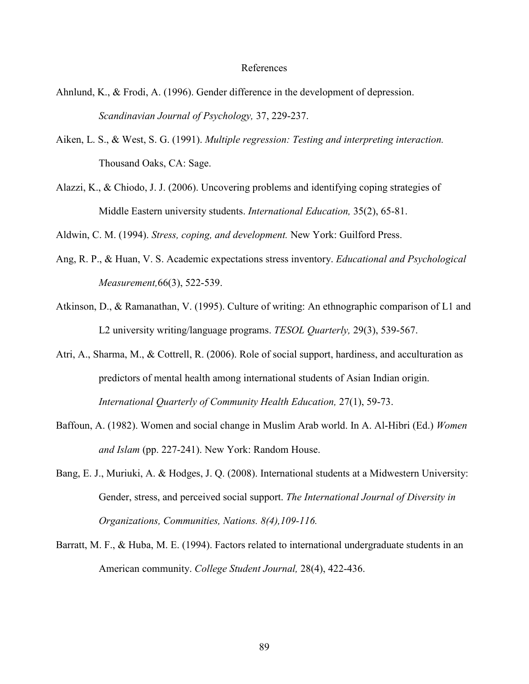#### References

- Ahnlund, K., & Frodi, A. (1996). Gender difference in the development of depression. *Scandinavian Journal of Psychology,* 37, 229-237.
- Aiken, L. S., & West, S. G. (1991). *Multiple regression: Testing and interpreting interaction.*  Thousand Oaks, CA: Sage.
- Alazzi, K., & Chiodo, J. J. (2006). Uncovering problems and identifying coping strategies of Middle Eastern university students. *International Education,* 35(2), 65-81.

Aldwin, C. M. (1994). *Stress, coping, and development.* New York: Guilford Press.

- Ang, R. P., & Huan, V. S. Academic expectations stress inventory. *Educational and Psychological Measurement,*66(3), 522-539.
- Atkinson, D., & Ramanathan, V. (1995). Culture of writing: An ethnographic comparison of L1 and L2 university writing/language programs. *TESOL Quarterly,* 29(3), 539-567.
- Atri, A., Sharma, M., & Cottrell, R. (2006). Role of social support, hardiness, and acculturation as predictors of mental health among international students of Asian Indian origin. *International Quarterly of Community Health Education,* 27(1), 59-73.
- Baffoun, A. (1982). Women and social change in Muslim Arab world. In A. Al-Hibri (Ed.) *Women and Islam* (pp. 227-241). New York: Random House.
- Bang, E. J., Muriuki, A. & Hodges, J. Q. (2008). International students at a Midwestern University: Gender, stress, and perceived social support. *The International Journal of Diversity in Organizations, Communities, Nations. 8(4),109-116.*
- Barratt, M. F., & Huba, M. E. (1994). Factors related to international undergraduate students in an American community. *College Student Journal,* 28(4), 422-436.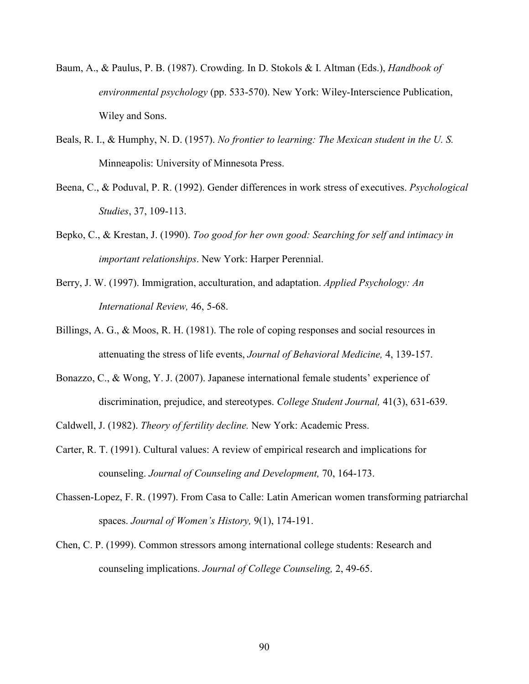- Baum, A., & Paulus, P. B. (1987). Crowding. In D. Stokols & I. Altman (Eds.), *Handbook of environmental psychology* (pp. 533-570). New York: Wiley-Interscience Publication, Wiley and Sons.
- Beals, R. I., & Humphy, N. D. (1957). *No frontier to learning: The Mexican student in the U. S.* Minneapolis: University of Minnesota Press.
- Beena, C., & Poduval, P. R. (1992). Gender differences in work stress of executives. *Psychological Studies*, 37, 109-113.
- Bepko, C., & Krestan, J. (1990). *Too good for her own good: Searching for self and intimacy in important relationships*. New York: Harper Perennial.
- Berry, J. W. (1997). Immigration, acculturation, and adaptation. *Applied Psychology: An International Review,* 46, 5-68.
- Billings, A. G., & Moos, R. H. (1981). The role of coping responses and social resources in attenuating the stress of life events, *Journal of Behavioral Medicine,* 4, 139-157.
- Bonazzo, C., & Wong, Y. J. (2007). Japanese international female students' experience of discrimination, prejudice, and stereotypes. *College Student Journal,* 41(3), 631-639.
- Caldwell, J. (1982). *Theory of fertility decline.* New York: Academic Press.
- Carter, R. T. (1991). Cultural values: A review of empirical research and implications for counseling. *Journal of Counseling and Development,* 70, 164-173.
- Chassen-Lopez, F. R. (1997). From Casa to Calle: Latin American women transforming patriarchal spaces. *Journal of Women's History,* 9(1), 174-191.
- Chen, C. P. (1999). Common stressors among international college students: Research and counseling implications. *Journal of College Counseling,* 2, 49-65.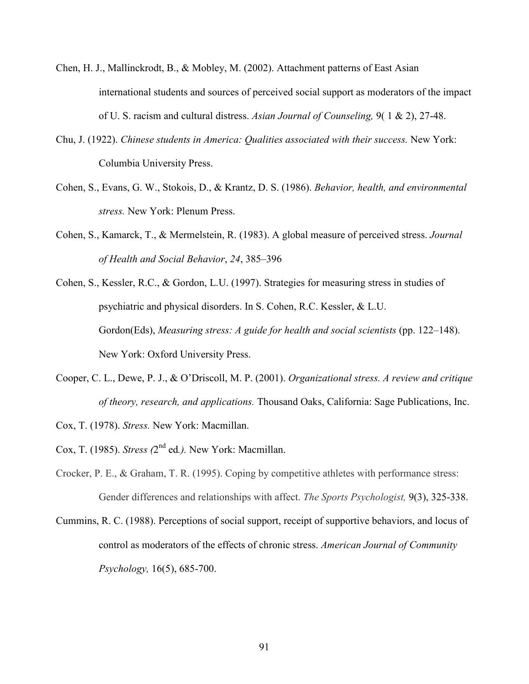- Chen, H. J., Mallinckrodt, B., & Mobley, M. (2002). Attachment patterns of East Asian international students and sources of perceived social support as moderators of the impact of U. S. racism and cultural distress. *Asian Journal of Counseling,* 9( 1 & 2), 27-48.
- Chu, J. (1922). *Chinese students in America: Qualities associated with their success.* New York: Columbia University Press.
- Cohen, S., Evans, G. W., Stokois, D., & Krantz, D. S. (1986). *Behavior, health, and environmental stress.* New York: Plenum Press.
- Cohen, S., Kamarck, T., & Mermelstein, R. (1983). A global measure of perceived stress. *Journal of Health and Social Behavior*, *24*, 385–396
- Cohen, S., Kessler, R.C., & Gordon, L.U. (1997). Strategies for measuring stress in studies of psychiatric and physical disorders. In S. Cohen, R.C. Kessler, & L.U. Gordon(Eds), *Measuring stress: A guide for health and social scientists* (pp. 122–148). New York: Oxford University Press.
- Cooper, C. L., Dewe, P. J., & O'Driscoll, M. P. (2001). *Organizational stress. A review and critique of theory, research, and applications.* Thousand Oaks, California: Sage Publications, Inc.
- Cox, T. (1978). *Stress.* New York: Macmillan.
- Cox, T. (1985). *Stress (*2 nd ed*.).* New York: Macmillan.
- Crocker, P. E., & Graham, T. R. (1995). Coping by competitive athletes with performance stress: Gender differences and relationships with affect. *The Sports Psychologist,* 9(3), 325-338.
- Cummins, R. C. (1988). Perceptions of social support, receipt of supportive behaviors, and locus of control as moderators of the effects of chronic stress. *American Journal of Community Psychology,* 16(5), 685-700.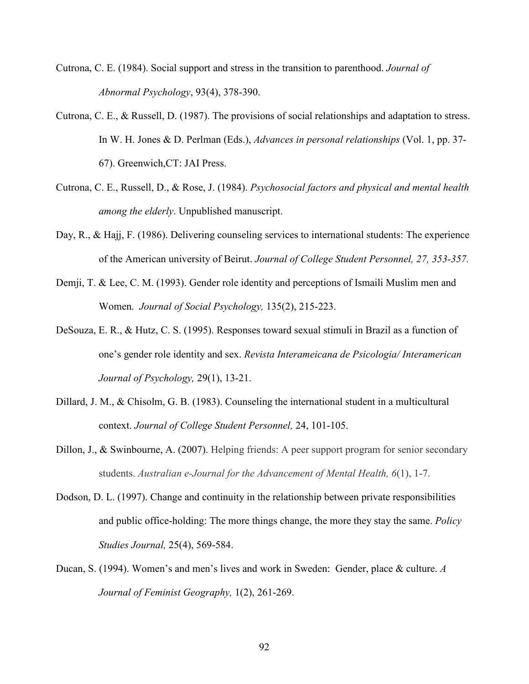- Cutrona, C. E. (1984). Social support and stress in the transition to parenthood. *Journal of Abnormal Psychology*, 93(4), 378-390.
- Cutrona, C. E., & Russell, D. (1987). The provisions of social relationships and adaptation to stress. In W. H. Jones & D. Perlman (Eds.), *Advances in personal relationships* (Vol. 1, pp. 37- 67). Greenwich,CT: JAI Press.
- Cutrona, C. E., Russell, D., & Rose, J. (1984). *Psychosocial factors and physical and mental health among the elderly*. Unpublished manuscript.
- Day, R., & Hajj, F. (1986). Delivering counseling services to international students: The experience of the American university of Beirut. *Journal of College Student Personnel, 27, 353-357.*
- Demji, T. & Lee, C. M. (1993). Gender role identity and perceptions of Ismaili Muslim men and Women. *Journal of Social Psychology,* 135(2), 215-223.
- DeSouza, E. R., & Hutz, C. S. (1995). Responses toward sexual stimuli in Brazil as a function of one's gender role identity and sex. *Revista Interameicana de Psicologia/ Interamerican Journal of Psychology,* 29(1), 13-21.
- Dillard, J. M., & Chisolm, G. B. (1983). Counseling the international student in a multicultural context. *Journal of College Student Personnel,* 24, 101-105.
- Dillon, J., & Swinbourne, A. (2007). Helping friends: A peer support program for senior secondary students. *Australian e-Journal for the Advancement of Mental Health, 6*(1), 1-7.
- Dodson, D. L. (1997). Change and continuity in the relationship between private responsibilities and public office-holding: The more things change, the more they stay the same. *Policy Studies Journal,* 25(4), 569-584.
- Ducan, S. (1994). Women's and men's lives and work in Sweden: Gender, place & culture. *A Journal of Feminist Geography,* 1(2), 261-269.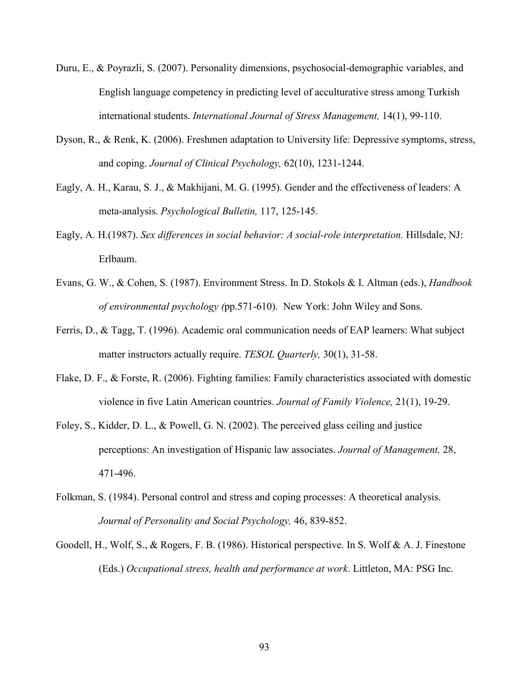- Duru, E., & Poyrazli, S. (2007). Personality dimensions, psychosocial-demographic variables, and English language competency in predicting level of acculturative stress among Turkish international students. *International Journal of Stress Management,* 14(1), 99-110.
- Dyson, R., & Renk, K. (2006). Freshmen adaptation to University life: Depressive symptoms, stress, and coping. *Journal of Clinical Psychology,* 62(10), 1231-1244.
- Eagly, A. H., Karau, S. J., & Makhijani, M. G. (1995). Gender and the effectiveness of leaders: A meta-analysis. *Psychological Bulletin,* 117, 125-145.
- Eagly, A. H.(1987). *Sex differences in social behavior: A social-role interpretation.* Hillsdale, NJ: Erlbaum.
- Evans, G. W., & Cohen, S. (1987). Environment Stress. In D. Stokols & I. Altman (eds.), *Handbook of environmental psychology (*pp.571-610). New York: John Wiley and Sons.
- Ferris, D., & Tagg, T. (1996). Academic oral communication needs of EAP learners: What subject matter instructors actually require. *TESOL Quarterly,* 30(1), 31-58.
- Flake, D. F., & Forste, R. (2006). Fighting families: Family characteristics associated with domestic violence in five Latin American countries. *Journal of Family Violence,* 21(1), 19-29.
- Foley, S., Kidder, D. L., & Powell, G. N. (2002). The perceived glass ceiling and justice perceptions: An investigation of Hispanic law associates. *Journal of Management,* 28, 471-496.
- Folkman, S. (1984). Personal control and stress and coping processes: A theoretical analysis. *Journal of Personality and Social Psychology,* 46, 839-852.
- Goodell, H., Wolf, S., & Rogers, F. B. (1986). Historical perspective. In S. Wolf & A. J. Finestone (Eds.) *Occupational stress, health and performance at work*. Littleton, MA: PSG Inc.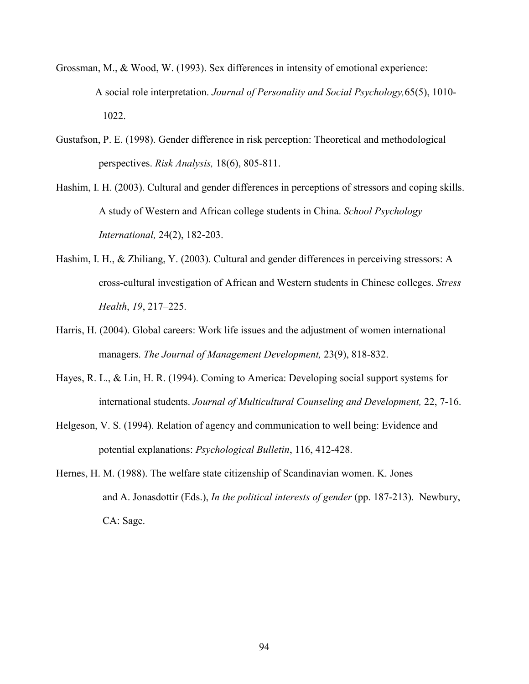- Grossman, M., & Wood, W. (1993). Sex differences in intensity of emotional experience: A social role interpretation. *Journal of Personality and Social Psychology,*65(5), 1010- 1022.
- Gustafson, P. E. (1998). Gender difference in risk perception: Theoretical and methodological perspectives. *Risk Analysis,* 18(6), 805-811.
- Hashim, I. H. (2003). Cultural and gender differences in perceptions of stressors and coping skills. A study of Western and African college students in China. *School Psychology International,* 24(2), 182-203.
- Hashim, I. H., & Zhiliang, Y. (2003). Cultural and gender differences in perceiving stressors: A cross-cultural investigation of African and Western students in Chinese colleges. *Stress Health*, *19*, 217–225.
- Harris, H. (2004). Global careers: Work life issues and the adjustment of women international managers. *The Journal of Management Development,* 23(9), 818-832.
- Hayes, R. L., & Lin, H. R. (1994). Coming to America: Developing social support systems for international students. *Journal of Multicultural Counseling and Development,* 22, 7-16.
- Helgeson, V. S. (1994). Relation of agency and communication to well being: Evidence and potential explanations: *Psychological Bulletin*, 116, 412-428.
- Hernes, H. M. (1988). The welfare state citizenship of Scandinavian women. K. Jones and A. Jonasdottir (Eds.), *In the political interests of gender* (pp. 187-213). Newbury, CA: Sage.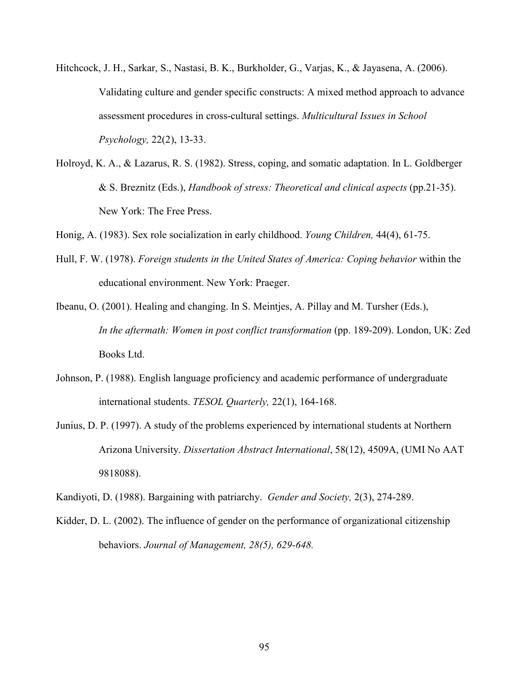- Hitchcock, J. H., Sarkar, S., Nastasi, B. K., Burkholder, G., Varjas, K., & Jayasena, A. (2006). Validating culture and gender specific constructs: A mixed method approach to advance assessment procedures in cross-cultural settings. *Multicultural Issues in School Psychology,* 22(2), 13-33.
- Holroyd, K. A., & Lazarus, R. S. (1982). Stress, coping, and somatic adaptation. In L. Goldberger & S. Breznitz (Eds.), *Handbook of stress: Theoretical and clinical aspects* (pp.21-35). New York: The Free Press.
- Honig, A. (1983). Sex role socialization in early childhood. *Young Children,* 44(4), 61-75.
- Hull, F. W. (1978). *Foreign students in the United States of America: Coping behavior* within the educational environment. New York: Praeger.
- Ibeanu, O. (2001). Healing and changing. In S. Meintjes, A. Pillay and M. Tursher (Eds.), *In the aftermath: Women in post conflict transformation* (pp. 189-209). London, UK: Zed Books Ltd.
- Johnson, P. (1988). English language proficiency and academic performance of undergraduate international students. *TESOL Quarterly,* 22(1), 164-168.
- Junius, D. P. (1997). A study of the problems experienced by international students at Northern Arizona University. *Dissertation Abstract International*, 58(12), 4509A, (UMI No AAT 9818088).
- Kandiyoti, D. (1988). Bargaining with patriarchy. *Gender and Society,* 2(3), 274-289.
- Kidder, D. L. (2002). The influence of gender on the performance of organizational citizenship behaviors. *Journal of Management, 28(5), 629-648.*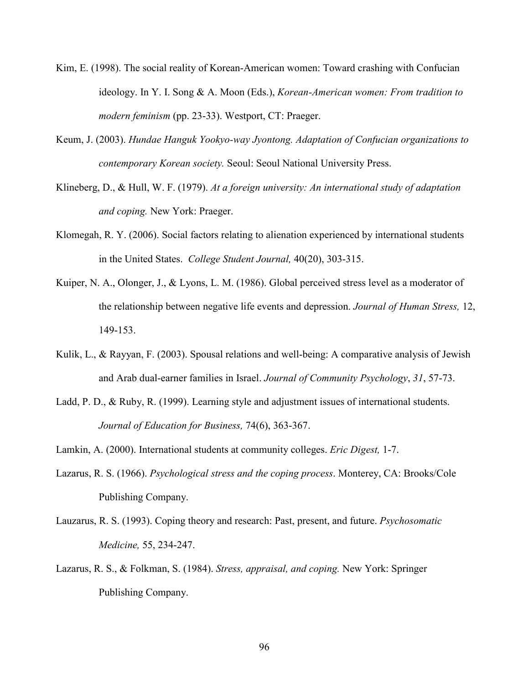- Kim, E. (1998). The social reality of Korean-American women: Toward crashing with Confucian ideology. In Y. I. Song & A. Moon (Eds.), *Korean-American women: From tradition to modern feminism* (pp. 23-33). Westport, CT: Praeger.
- Keum, J. (2003). *Hundae Hanguk Yookyo-way Jyontong. Adaptation of Confucian organizations to contemporary Korean society.* Seoul: Seoul National University Press.
- Klineberg, D., & Hull, W. F. (1979). *At a foreign university: An international study of adaptation and coping.* New York: Praeger.
- Klomegah, R. Y. (2006). Social factors relating to alienation experienced by international students in the United States. *College Student Journal,* 40(20), 303-315.
- Kuiper, N. A., Olonger, J., & Lyons, L. M. (1986). Global perceived stress level as a moderator of the relationship between negative life events and depression. *Journal of Human Stress,* 12, 149-153.
- Kulik, L., & Rayyan, F. (2003). Spousal relations and well-being: A comparative analysis of Jewish and Arab dual-earner families in Israel. *Journal of Community Psychology*, *31*, 57-73.
- Ladd, P. D., & Ruby, R. (1999). Learning style and adjustment issues of international students. *Journal of Education for Business,* 74(6), 363-367.

Lamkin, A. (2000). International students at community colleges. *Eric Digest,* 1-7.

- Lazarus, R. S. (1966). *Psychological stress and the coping process*. Monterey, CA: Brooks/Cole Publishing Company.
- Lauzarus, R. S. (1993). Coping theory and research: Past, present, and future. *Psychosomatic Medicine,* 55, 234-247.
- Lazarus, R. S., & Folkman, S. (1984). *Stress, appraisal, and coping.* New York: Springer Publishing Company.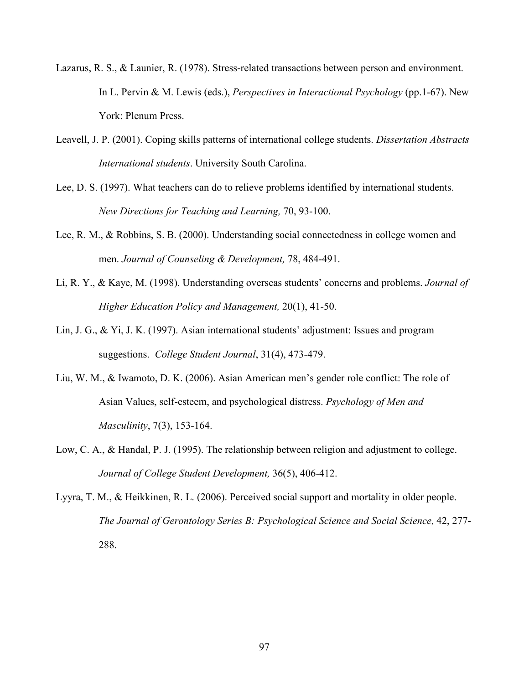- Lazarus, R. S., & Launier, R. (1978). Stress-related transactions between person and environment. In L. Pervin & M. Lewis (eds.), *Perspectives in Interactional Psychology* (pp.1-67). New York: Plenum Press.
- Leavell, J. P. (2001). Coping skills patterns of international college students. *Dissertation Abstracts International students*. University South Carolina.
- Lee, D. S. (1997). What teachers can do to relieve problems identified by international students. *New Directions for Teaching and Learning, 70, 93-100.*
- Lee, R. M., & Robbins, S. B. (2000). Understanding social connectedness in college women and men. *Journal of Counseling & Development,* 78, 484-491.
- Li, R. Y., & Kaye, M. (1998). Understanding overseas students' concerns and problems. *Journal of Higher Education Policy and Management,* 20(1), 41-50.
- Lin, J. G., & Yi, J. K. (1997). Asian international students' adjustment: Issues and program suggestions. *College Student Journal*, 31(4), 473-479.
- Liu, W. M., & Iwamoto, D. K. (2006). Asian American men's gender role conflict: The role of Asian Values, self-esteem, and psychological distress. *Psychology of Men and Masculinity*, 7(3), 153-164.
- Low, C. A., & Handal, P. J. (1995). The relationship between religion and adjustment to college. *Journal of College Student Development,* 36(5), 406-412.
- Lyyra, T. M., & Heikkinen, R. L. (2006). Perceived social support and mortality in older people. *The Journal of Gerontology Series B: Psychological Science and Social Science,* 42, 277- 288.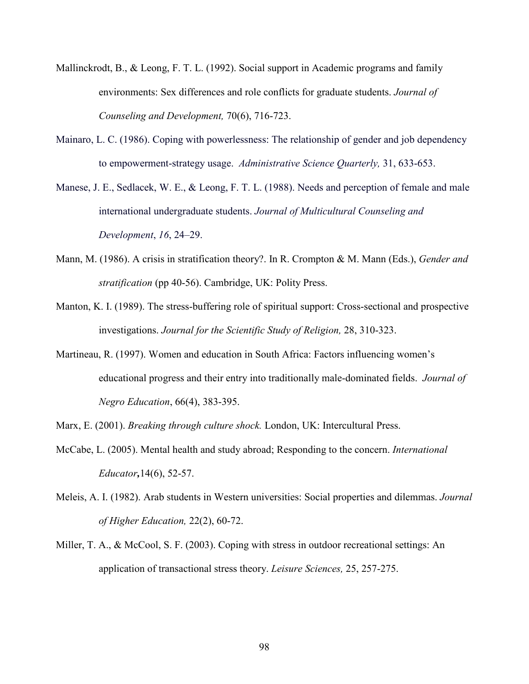- Mallinckrodt, B., & Leong, F. T. L. (1992). Social support in Academic programs and family environments: Sex differences and role conflicts for graduate students. *Journal of Counseling and Development,* 70(6), 716-723.
- Mainaro, L. C. (1986). Coping with powerlessness: The relationship of gender and job dependency to empowerment-strategy usage. *Administrative Science Quarterly,* 31, 633-653.
- Manese, J. E., Sedlacek, W. E., & Leong, F. T. L. (1988). Needs and perception of female and male international undergraduate students. *Journal of Multicultural Counseling and Development*, *16*, 24–29.
- Mann, M. (1986). A crisis in stratification theory?. In R. Crompton & M. Mann (Eds.), *Gender and stratification* (pp 40-56). Cambridge, UK: Polity Press.
- Manton, K. I. (1989). The stress-buffering role of spiritual support: Cross-sectional and prospective investigations. *Journal for the Scientific Study of Religion,* 28, 310-323.
- Martineau, R. (1997). Women and education in South Africa: Factors influencing women's educational progress and their entry into traditionally male-dominated fields. *Journal of Negro Education*, 66(4), 383-395.

Marx, E. (2001). *Breaking through culture shock.* London, UK: Intercultural Press.

- McCabe, L. (2005). Mental health and study abroad; Responding to the concern. *International Educator,*14(6), 52-57.
- Meleis, A. I. (1982). Arab students in Western universities: Social properties and dilemmas. *Journal of Higher Education,* 22(2), 60-72.
- Miller, T. A., & McCool, S. F. (2003). Coping with stress in outdoor recreational settings: An application of transactional stress theory. *Leisure Sciences,* 25, 257-275.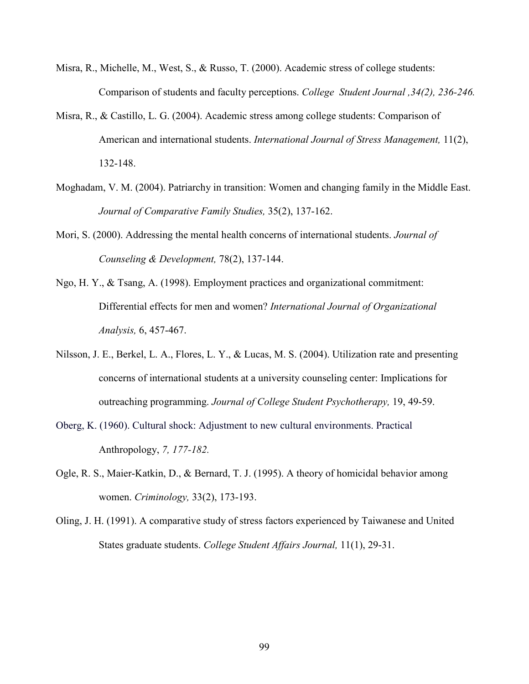- Misra, R., Michelle, M., West, S., & Russo, T. (2000). Academic stress of college students: Comparison of students and faculty perceptions. *College Student Journal ,34(2), 236-246.*
- Misra, R., & Castillo, L. G. (2004). Academic stress among college students: Comparison of American and international students. *International Journal of Stress Management,* 11(2), 132-148.
- Moghadam, V. M. (2004). Patriarchy in transition: Women and changing family in the Middle East. *Journal of Comparative Family Studies,* 35(2), 137-162.
- Mori, S. (2000). Addressing the mental health concerns of international students. *Journal of Counseling & Development,* 78(2), 137-144.
- Ngo, H. Y., & Tsang, A. (1998). Employment practices and organizational commitment: Differential effects for men and women? *International Journal of Organizational Analysis,* 6, 457-467.
- Nilsson, J. E., Berkel, L. A., Flores, L. Y., & Lucas, M. S. (2004). Utilization rate and presenting concerns of international students at a university counseling center: Implications for outreaching programming. *Journal of College Student Psychotherapy,* 19, 49-59.
- Oberg, K. (1960). Cultural shock: Adjustment to new cultural environments. Practical Anthropology, *7, 177-182.*
- Ogle, R. S., Maier-Katkin, D., & Bernard, T. J. (1995). A theory of homicidal behavior among women. *Criminology,* 33(2), 173-193.
- Oling, J. H. (1991). A comparative study of stress factors experienced by Taiwanese and United States graduate students. *College Student Affairs Journal,* 11(1), 29-31.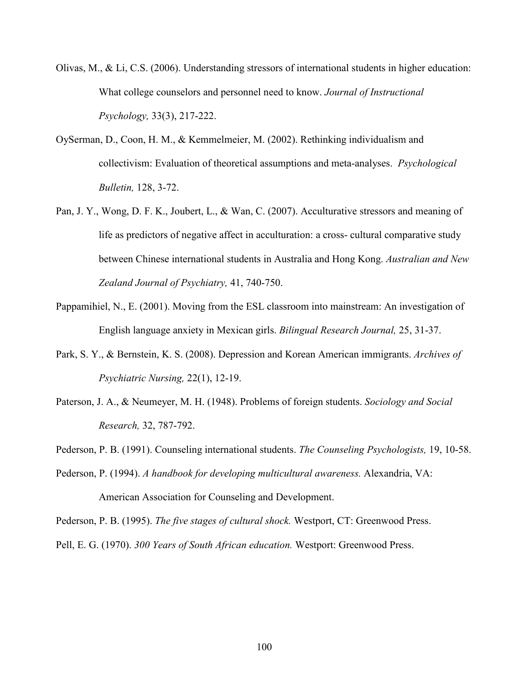Olivas, M., & Li, C.S. (2006). Understanding stressors of international students in higher education: What college counselors and personnel need to know. *Journal of Instructional Psychology,* 33(3), 217-222.

- OySerman, D., Coon, H. M., & Kemmelmeier, M. (2002). Rethinking individualism and collectivism: Evaluation of theoretical assumptions and meta-analyses. *Psychological Bulletin,* 128, 3-72.
- Pan, J. Y., Wong, D. F. K., Joubert, L., & Wan, C. (2007). Acculturative stressors and meaning of life as predictors of negative affect in acculturation: a cross- cultural comparative study between Chinese international students in Australia and Hong Kong. *Australian and New Zealand Journal of Psychiatry,* 41, 740-750.
- Pappamihiel, N., E. (2001). Moving from the ESL classroom into mainstream: An investigation of English language anxiety in Mexican girls. *Bilingual Research Journal,* 25, 31-37.
- Park, S. Y., & Bernstein, K. S. (2008). Depression and Korean American immigrants. *Archives of Psychiatric Nursing, 22(1), 12-19.*
- Paterson, J. A., & Neumeyer, M. H. (1948). Problems of foreign students. *Sociology and Social Research,* 32, 787-792.
- Pederson, P. B. (1991). Counseling international students. *The Counseling Psychologists,* 19, 10-58.
- Pederson, P. (1994). *A handbook for developing multicultural awareness.* Alexandria, VA: American Association for Counseling and Development.

Pederson, P. B. (1995). *The five stages of cultural shock.* Westport, CT: Greenwood Press. Pell, E. G. (1970). *300 Years of South African education.* Westport: Greenwood Press.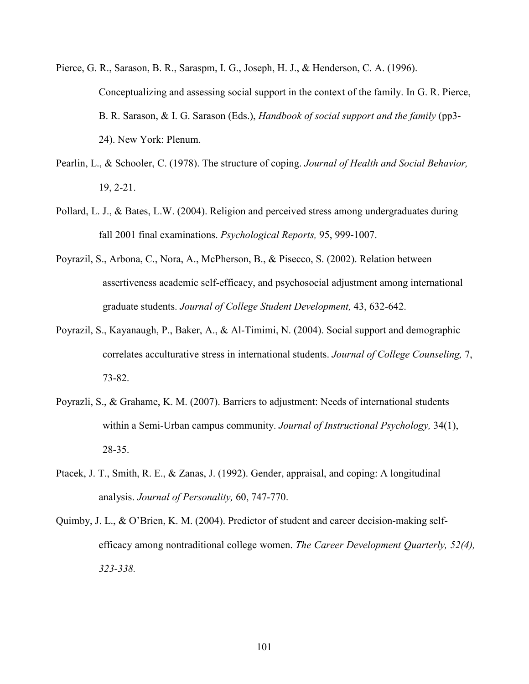- Pierce, G. R., Sarason, B. R., Saraspm, I. G., Joseph, H. J., & Henderson, C. A. (1996). Conceptualizing and assessing social support in the context of the family. In G. R. Pierce, B. R. Sarason, & I. G. Sarason (Eds.), *Handbook of social support and the family* (pp3- 24). New York: Plenum.
- Pearlin, L., & Schooler, C. (1978). The structure of coping. *Journal of Health and Social Behavior,*  19, 2-21.
- Pollard, L. J., & Bates, L.W. (2004). Religion and perceived stress among undergraduates during fall 2001 final examinations. *Psychological Reports,* 95, 999-1007.
- Poyrazil, S., Arbona, C., Nora, A., McPherson, B., & Pisecco, S. (2002). Relation between assertiveness academic self-efficacy, and psychosocial adjustment among international graduate students. *Journal of College Student Development,* 43, 632-642.
- Poyrazil, S., Kayanaugh, P., Baker, A., & Al-Timimi, N. (2004). Social support and demographic correlates acculturative stress in international students. *Journal of College Counseling,* 7, 73-82.
- Poyrazli, S., & Grahame, K. M. (2007). Barriers to adjustment: Needs of international students within a Semi-Urban campus community. *Journal of Instructional Psychology,* 34(1), 28-35.
- Ptacek, J. T., Smith, R. E., & Zanas, J. (1992). Gender, appraisal, and coping: A longitudinal analysis. *Journal of Personality,* 60, 747-770.
- Quimby, J. L., & O'Brien, K. M. (2004). Predictor of student and career decision-making selfefficacy among nontraditional college women. *The Career Development Quarterly, 52(4), 323-338.*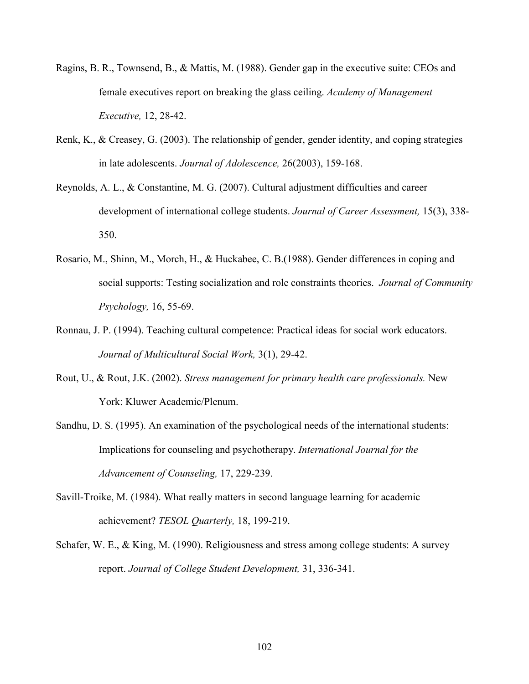- Ragins, B. R., Townsend, B., & Mattis, M. (1988). Gender gap in the executive suite: CEOs and female executives report on breaking the glass ceiling. *Academy of Management Executive,* 12, 28-42.
- Renk, K., & Creasey, G. (2003). The relationship of gender, gender identity, and coping strategies in late adolescents. *Journal of Adolescence,* 26(2003), 159-168.
- Reynolds, A. L., & Constantine, M. G. (2007). Cultural adjustment difficulties and career development of international college students. *Journal of Career Assessment,* 15(3), 338- 350.
- Rosario, M., Shinn, M., Morch, H., & Huckabee, C. B.(1988). Gender differences in coping and social supports: Testing socialization and role constraints theories. *Journal of Community Psychology,* 16, 55-69.
- Ronnau, J. P. (1994). Teaching cultural competence: Practical ideas for social work educators. *Journal of Multicultural Social Work,* 3(1), 29-42.
- Rout, U., & Rout, J.K. (2002). *Stress management for primary health care professionals.* New York: Kluwer Academic/Plenum.
- Sandhu, D. S. (1995). An examination of the psychological needs of the international students: Implications for counseling and psychotherapy. *International Journal for the Advancement of Counseling,* 17, 229-239.
- Savill-Troike, M. (1984). What really matters in second language learning for academic achievement? *TESOL Quarterly,* 18, 199-219.
- Schafer, W. E., & King, M. (1990). Religiousness and stress among college students: A survey report. *Journal of College Student Development,* 31, 336-341.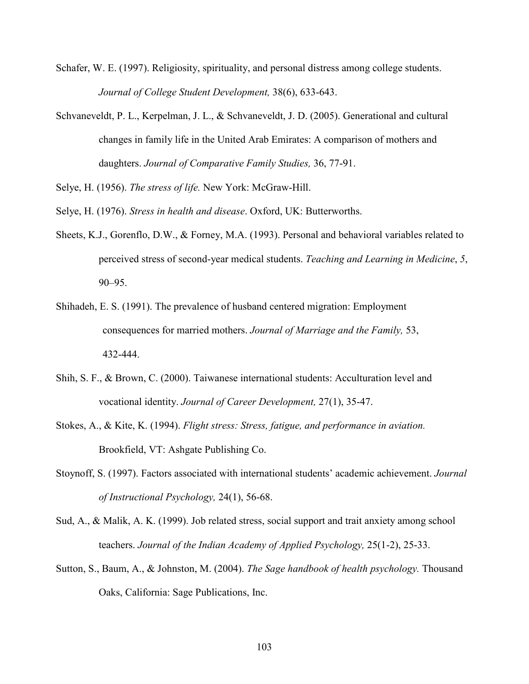- Schafer, W. E. (1997). Religiosity, spirituality, and personal distress among college students. *Journal of College Student Development,* 38(6), 633-643.
- Schvaneveldt, P. L., Kerpelman, J. L., & Schvaneveldt, J. D. (2005). Generational and cultural changes in family life in the United Arab Emirates: A comparison of mothers and daughters. *Journal of Comparative Family Studies,* 36, 77-91.
- Selye, H. (1956). *The stress of life.* New York: McGraw-Hill.
- Selye, H. (1976). *Stress in health and disease*. Oxford, UK: Butterworths.
- Sheets, K.J., Gorenflo, D.W., & Forney, M.A. (1993). Personal and behavioral variables related to perceived stress of second-year medical students. *Teaching and Learning in Medicine*, *5*, 90–95.
- Shihadeh, E. S. (1991). The prevalence of husband centered migration: Employment consequences for married mothers. *Journal of Marriage and the Family,* 53, 432-444.
- Shih, S. F., & Brown, C. (2000). Taiwanese international students: Acculturation level and vocational identity. *Journal of Career Development,* 27(1), 35-47.
- Stokes, A., & Kite, K. (1994). *Flight stress: Stress, fatigue, and performance in aviation.* Brookfield, VT: Ashgate Publishing Co.
- Stoynoff, S. (1997). Factors associated with international students' academic achievement. *Journal of Instructional Psychology,* 24(1), 56-68.
- Sud, A., & Malik, A. K. (1999). Job related stress, social support and trait anxiety among school teachers. *Journal of the Indian Academy of Applied Psychology,* 25(1-2), 25-33.
- Sutton, S., Baum, A., & Johnston, M. (2004). *The Sage handbook of health psychology.* Thousand Oaks, California: Sage Publications, Inc.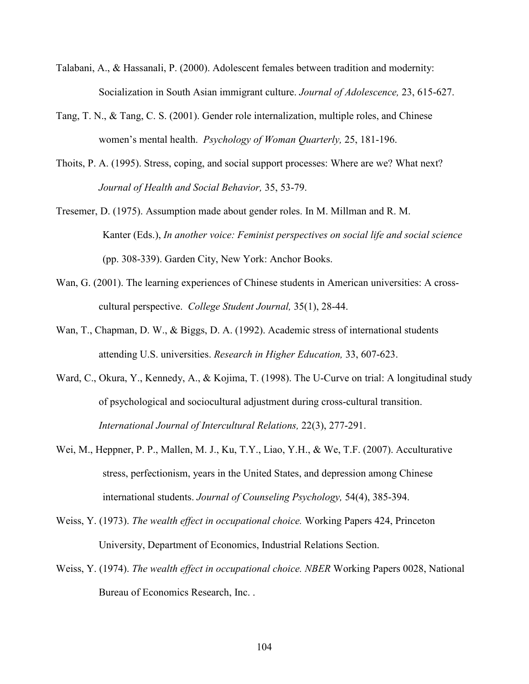- Talabani, A., & Hassanali, P. (2000). Adolescent females between tradition and modernity: Socialization in South Asian immigrant culture. *Journal of Adolescence,* 23, 615-627.
- Tang, T. N., & Tang, C. S. (2001). Gender role internalization, multiple roles, and Chinese women's mental health. *Psychology of Woman Quarterly,* 25, 181-196.
- Thoits, P. A. (1995). Stress, coping, and social support processes: Where are we? What next? *Journal of Health and Social Behavior,* 35, 53-79.
- Tresemer, D. (1975). Assumption made about gender roles. In M. Millman and R. M. Kanter (Eds.), *In another voice: Feminist perspectives on social life and social science* (pp. 308-339). Garden City, New York: Anchor Books.
- Wan, G. (2001). The learning experiences of Chinese students in American universities: A crosscultural perspective. *College Student Journal,* 35(1), 28-44.
- Wan, T., Chapman, D. W., & Biggs, D. A. (1992). Academic stress of international students attending U.S. universities. *Research in Higher Education,* 33, 607-623.
- Ward, C., Okura, Y., Kennedy, A., & Kojima, T. (1998). The U-Curve on trial: A longitudinal study of psychological and sociocultural adjustment during cross-cultural transition. *International Journal of Intercultural Relations,* 22(3), 277-291.
- Wei, M., Heppner, P. P., Mallen, M. J., Ku, T.Y., Liao, Y.H., & We, T.F. (2007). Acculturative stress, perfectionism, years in the United States, and depression among Chinese international students. *Journal of Counseling Psychology,* 54(4), 385-394.
- Weiss, Y. (1973). *The wealth effect in occupational choice.* Working Papers 424, Princeton University, Department of Economics, Industrial Relations Section.
- Weiss, Y. (1974). *The wealth effect in occupational choice. NBER* Working Papers 0028, National Bureau of Economics Research, Inc. .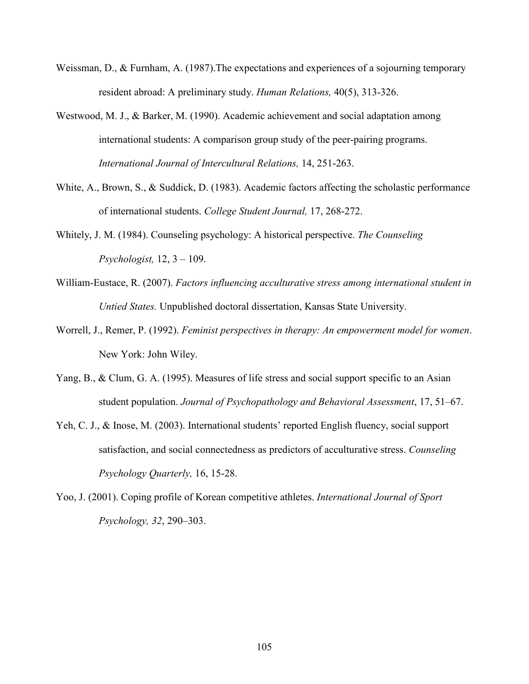- Weissman, D., & Furnham, A. (1987). The expectations and experiences of a sojourning temporary resident abroad: A preliminary study. *Human Relations,* 40(5), 313-326.
- Westwood, M. J., & Barker, M. (1990). Academic achievement and social adaptation among international students: A comparison group study of the peer-pairing programs. *International Journal of Intercultural Relations,* 14, 251-263.
- White, A., Brown, S., & Suddick, D. (1983). Academic factors affecting the scholastic performance of international students. *College Student Journal,* 17, 268-272.
- Whitely, J. M. (1984). Counseling psychology: A historical perspective. *The Counseling Psychologist,* 12, 3 – 109.
- William-Eustace, R. (2007). *Factors influencing acculturative stress among international student in Untied States.* Unpublished doctoral dissertation, Kansas State University.
- Worrell, J., Remer, P. (1992). *Feminist perspectives in therapy: An empowerment model for women*. New York: John Wiley.
- Yang, B., & Clum, G. A. (1995). Measures of life stress and social support specific to an Asian student population. *Journal of Psychopathology and Behavioral Assessment*, 17, 51–67.
- Yeh, C. J., & Inose, M. (2003). International students' reported English fluency, social support satisfaction, and social connectedness as predictors of acculturative stress. *Counseling Psychology Quarterly,* 16, 15-28.
- Yoo, J. (2001). Coping profile of Korean competitive athletes. *International Journal of Sport Psychology, 32*, 290–303.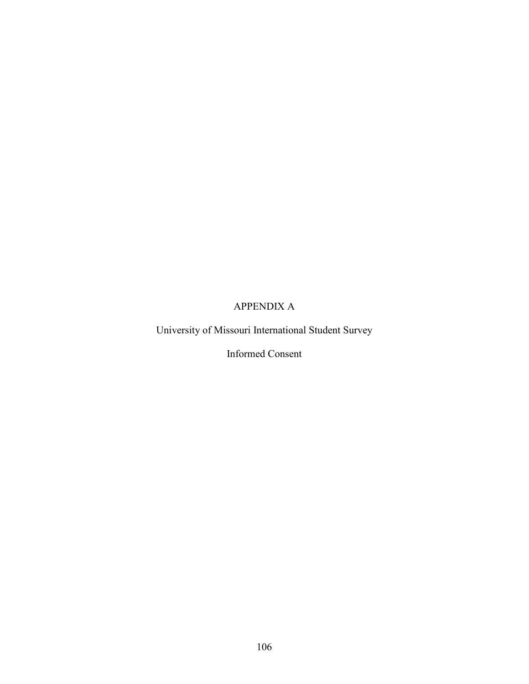# APPENDIX A

University of Missouri International Student Survey

Informed Consent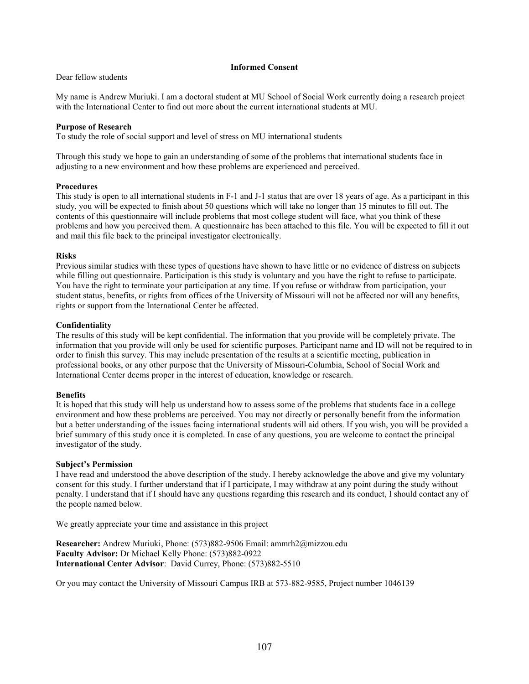#### **Informed Consent**

#### Dear fellow students

My name is Andrew Muriuki. I am a doctoral student at MU School of Social Work currently doing a research project with the International Center to find out more about the current international students at MU.

#### **Purpose of Research**

To study the role of social support and level of stress on MU international students

Through this study we hope to gain an understanding of some of the problems that international students face in adjusting to a new environment and how these problems are experienced and perceived.

#### **Procedures**

This study is open to all international students in F-1 and J-1 status that are over 18 years of age. As a participant in this study, you will be expected to finish about 50 questions which will take no longer than 15 minutes to fill out. The contents of this questionnaire will include problems that most college student will face, what you think of these problems and how you perceived them. A questionnaire has been attached to this file. You will be expected to fill it out and mail this file back to the principal investigator electronically.

#### **Risks**

Previous similar studies with these types of questions have shown to have little or no evidence of distress on subjects while filling out questionnaire. Participation is this study is voluntary and you have the right to refuse to participate. You have the right to terminate your participation at any time. If you refuse or withdraw from participation, your student status, benefits, or rights from offices of the University of Missouri will not be affected nor will any benefits, rights or support from the International Center be affected.

#### **Confidentiality**

The results of this study will be kept confidential. The information that you provide will be completely private. The information that you provide will only be used for scientific purposes. Participant name and ID will not be required to in order to finish this survey. This may include presentation of the results at a scientific meeting, publication in professional books, or any other purpose that the University of Missouri-Columbia, School of Social Work and International Center deems proper in the interest of education, knowledge or research.

#### **Benefits**

It is hoped that this study will help us understand how to assess some of the problems that students face in a college environment and how these problems are perceived. You may not directly or personally benefit from the information but a better understanding of the issues facing international students will aid others. If you wish, you will be provided a brief summary of this study once it is completed. In case of any questions, you are welcome to contact the principal investigator of the study.

#### **Subject's Permission**

I have read and understood the above description of the study. I hereby acknowledge the above and give my voluntary consent for this study. I further understand that if I participate, I may withdraw at any point during the study without penalty. I understand that if I should have any questions regarding this research and its conduct, I should contact any of the people named below.

We greatly appreciate your time and assistance in this project

**Researcher:** Andrew Muriuki, Phone: (573)882-9506 Email: ammrh2@mizzou.edu **Faculty Advisor:** Dr Michael Kelly Phone: (573)882-0922 **International Center Advisor**: David Currey, Phone: (573)882-5510

Or you may contact the University of Missouri Campus IRB at 573-882-9585, Project number 1046139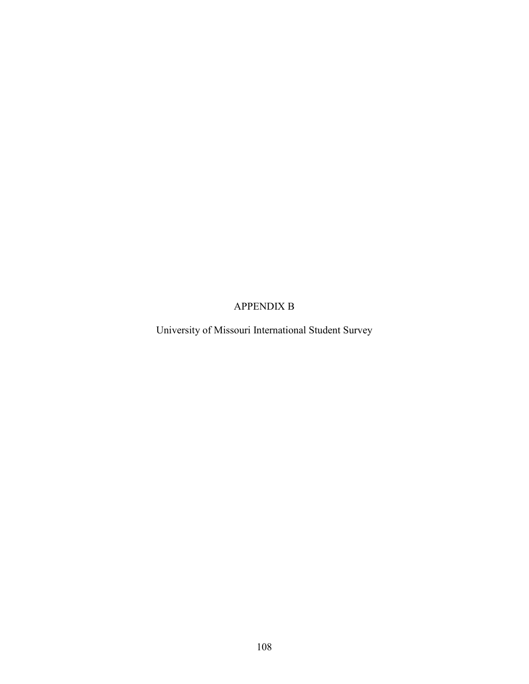### APPENDIX B

University of Missouri International Student Survey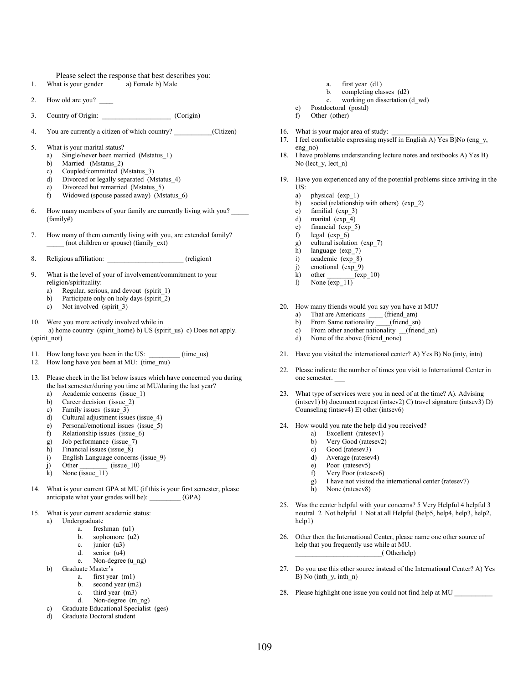Please select the response that best describes you:<br>
a Female b) Male

- 1. What is your gender
- 2. How old are you?
- 3. Country of Origin: Corigin: Corigin
- 4. You are currently a citizen of which country? \_\_\_\_\_\_\_\_\_\_\_(Citizen)
- 5. What is your marital status?
	- a) Single/never been married (Mstatus\_1)
	- b) Married (Mstatus\_2)
	- c) Coupled/committed (Mstatus\_3)
	- d) Divorced or legally separated (Mstatus\_4)
	- e) Divorced but remarried (Mstatus\_5)
	- f) Widowed (spouse passed away) (Mstatus\_6)
- 6. How many members of your family are currently living with you? (family#)
- 7. How many of them currently living with you, are extended family? \_\_\_\_\_ (not children or spouse) (family\_ext)
- 8. Religious affiliation: \_\_\_\_\_\_\_\_\_\_\_\_\_\_\_\_\_\_\_\_\_\_ (religion)
- 9. What is the level of your of involvement/commitment to your religion/spirituality:
	- a) Regular, serious, and devout (spirit\_1)
	- b) Participate only on holy days (spirit 2)
	- c) Not involved (spirit\_3)
- 10. Were you more actively involved while in a) home country (spirit\_home) b) US (spirit\_us) c) Does not apply. (spirit\_not)
- 11. How long have you been in the US: \_\_\_\_\_\_\_\_\_ (time\_us)
- 12. How long have you been at MU: (time\_mu)
- 13. Please check in the list below issues which have concerned you during the last semester/during you time at MU/during the last year?
	- a) Academic concerns (issue\_1)
	- b) Career decision (issue 2)
	- c) Family issues (issue\_3)
	- d) Cultural adjustment issues (issue\_4)
	- e) Personal/emotional issues (issue\_5)<br>f) Relationship issues (issue 6)
	- Relationship issues (issue 6)
	- g) Job performance (issue\_7)
	- h) Financial issues (issue 8)
	- i) English Language concerns (issue\_9)
	- j) Other  $\qquad$  (issue 10)
	- k) None (issue\_11)
- 14. What is your current GPA at MU (if this is your first semester, please anticipate what your grades will be): \_\_\_\_\_\_\_\_\_ (GPA)
- 15. What is your current academic status:
	- a) Undergraduate
		- a. freshman (u1)
		- b. sophomore (u2)
		- c. junior (u3)
		- d. senior (u4)
	- e. Non-degree (u\_ng) b) Graduate Master's
		- - a. first year (m1)
			- b. second year (m2) c. third year (m3)
			- d. Non-degree (m\_ng)
	- c) Graduate Educational Specialist (ges)
	- d) Graduate Doctoral student
- a. first year (d1)
- b. completing classes (d2)
- c. working on dissertation (d\_wd)
- e) Postdoctoral (postd)
- f) Other (other)
- 16. What is your major area of study:<br>17. I feel comfortable expressing myse
- I feel comfortable expressing myself in English A) Yes B)No (eng y, eng no)
- 18. I have problems understanding lecture notes and textbooks A) Yes B) No (lect y, lect n)
- 19. Have you experienced any of the potential problems since arriving in the US:
	- a) physical (exp\_1)<br>b) social (relationshi
	- social (relationship with others) (exp. 2)
	- c) familial (exp\_3)
	- d) marital (exp\_4)
	- e) financial (exp\_5)
	- f) legal (exp\_6)
	- g) cultural isolation  $(exp_7)$ <br>h) language (exp 7)
	- language (exp\_7)
	- i) academic (exp\_8) j) emotional (exp\_9)
	-
	- $k)$  other  $\frac{1}{\exp(10)}$
	- l) None (exp\_11)
- 20. How many friends would you say you have at MU?
	- a) That are Americans \_\_\_\_ (friend\_am)
	- b) From Same nationality \_\_\_\_(friend\_sn)
	- c) From other another nationality (friend an)
	- d) None of the above (friend\_none)
- 21. Have you visited the international center? A) Yes B) No (inty, intn)
- 22. Please indicate the number of times you visit to International Center in one semester.
- 23. What type of services were you in need of at the time? A). Advising (intsev1) b) document request (intsev2) C) travel signature (intsev3) D) Counseling (intsev4) E) other (intsev6)
- 24. How would you rate the help did you received?
	- a) Excellent (ratesev1)
	- b) Very Good (ratesev2)
	- c) Good (ratesev3)
	- d) Average (ratesev4) e) Poor (ratesev5)
	-
	- f) Very Poor (ratesev6)
	- g) I have not visited the international center (ratesev7)
	- h) None (ratesev8)
- 25. Was the center helpful with your concerns? 5 Very Helpful 4 helpful 3 neutral 2 Not helpful 1 Not at all Helpful (help5, help4, help3, help2, help1)
- 26. Other then the International Center, please name one other source of help that you frequently use while at MU. \_\_\_\_\_\_\_\_\_\_\_\_\_\_\_\_\_\_\_\_\_\_\_\_\_( Otherhelp)
- 27. Do you use this other source instead of the International Center? A) Yes B) No (inth y, inth n)
- 28. Please highlight one issue you could not find help at MU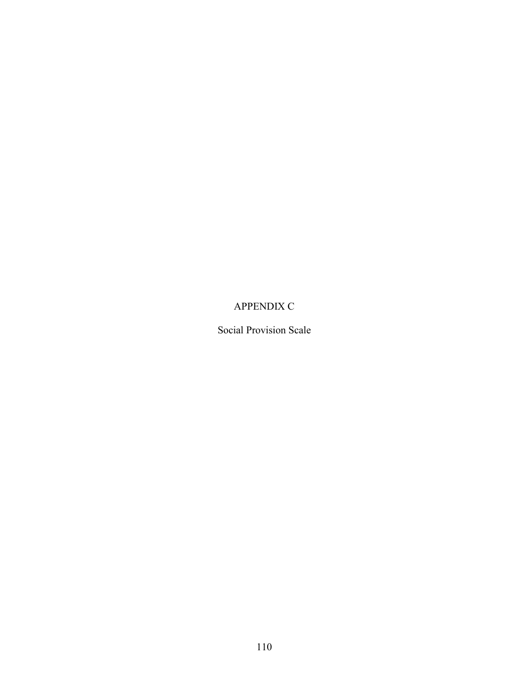# APPENDIX C

Social Provision Scale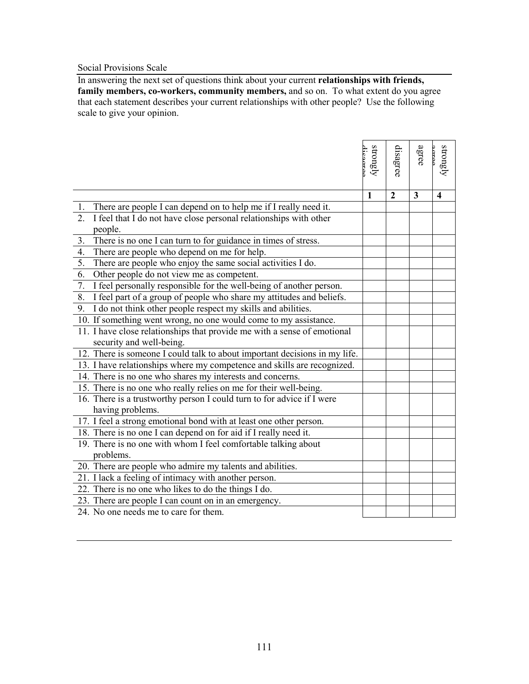### Social Provisions Scale

In answering the next set of questions think about your current **relationships with friends,**  family members, co-workers, community members, and so on. To what extent do you agree that each statement describes your current relationships with other people? Use the following scale to give your opinion.

|                                                                                                      | strongly<br>dicamee | disagree       | agree                   | strongly<br>acree       |
|------------------------------------------------------------------------------------------------------|---------------------|----------------|-------------------------|-------------------------|
|                                                                                                      |                     |                |                         |                         |
|                                                                                                      | $\mathbf{1}$        | $\overline{2}$ | $\overline{\mathbf{3}}$ | $\overline{\mathbf{4}}$ |
| There are people I can depend on to help me if I really need it.<br>1.                               |                     |                |                         |                         |
| 2.<br>I feel that I do not have close personal relationships with other                              |                     |                |                         |                         |
| people.                                                                                              |                     |                |                         |                         |
| 3.<br>There is no one I can turn to for guidance in times of stress.                                 |                     |                |                         |                         |
| 4.<br>There are people who depend on me for help.                                                    |                     |                |                         |                         |
| $\overline{5}$ .<br>There are people who enjoy the same social activities I do.                      |                     |                |                         |                         |
| 6.<br>Other people do not view me as competent.                                                      |                     |                |                         |                         |
| $\overline{7}$ .<br>I feel personally responsible for the well-being of another person.              |                     |                |                         |                         |
| 8.<br>I feel part of a group of people who share my attitudes and beliefs.                           |                     |                |                         |                         |
| I do not think other people respect my skills and abilities.<br>9.                                   |                     |                |                         |                         |
| 10. If something went wrong, no one would come to my assistance.                                     |                     |                |                         |                         |
| 11. I have close relationships that provide me with a sense of emotional<br>security and well-being. |                     |                |                         |                         |
| 12. There is someone I could talk to about important decisions in my life.                           |                     |                |                         |                         |
| 13. I have relationships where my competence and skills are recognized.                              |                     |                |                         |                         |
| 14. There is no one who shares my interests and concerns.                                            |                     |                |                         |                         |
| 15. There is no one who really relies on me for their well-being.                                    |                     |                |                         |                         |
| 16. There is a trustworthy person I could turn to for advice if I were                               |                     |                |                         |                         |
| having problems.                                                                                     |                     |                |                         |                         |
| 17. I feel a strong emotional bond with at least one other person.                                   |                     |                |                         |                         |
| 18. There is no one I can depend on for aid if I really need it.                                     |                     |                |                         |                         |
| 19. There is no one with whom I feel comfortable talking about                                       |                     |                |                         |                         |
| problems.                                                                                            |                     |                |                         |                         |
| 20. There are people who admire my talents and abilities.                                            |                     |                |                         |                         |
| 21. I lack a feeling of intimacy with another person.                                                |                     |                |                         |                         |
| 22. There is no one who likes to do the things I do.                                                 |                     |                |                         |                         |
| 23. There are people I can count on in an emergency.                                                 |                     |                |                         |                         |
| 24. No one needs me to care for them.                                                                |                     |                |                         |                         |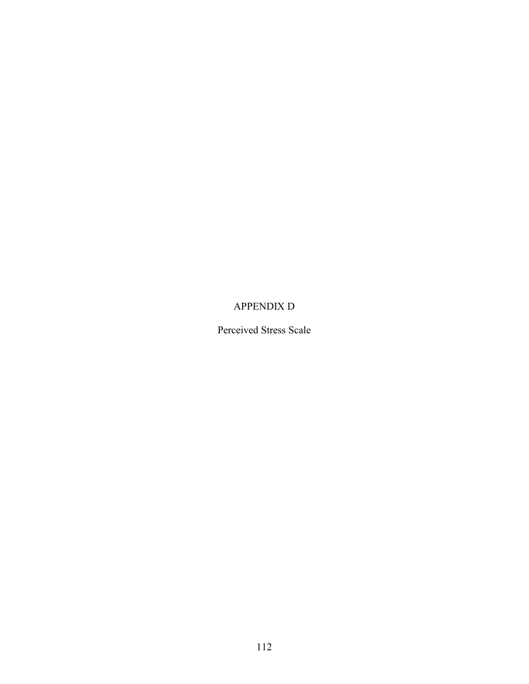### APPENDIX D

Perceived Stress Scale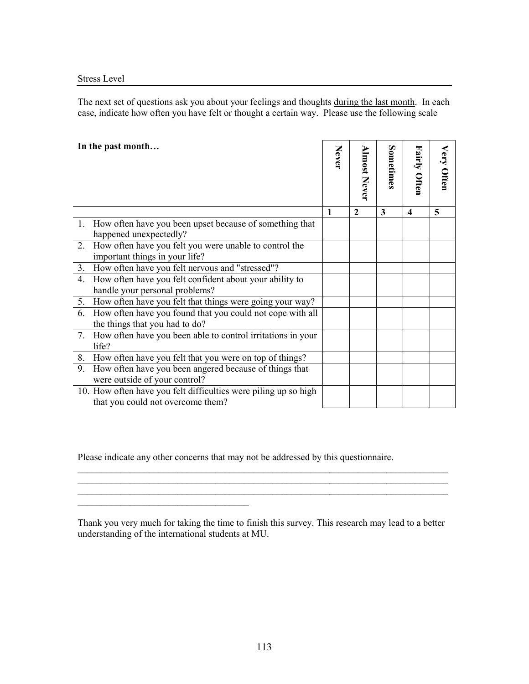The next set of questions ask you about your feelings and thoughts during the last month. In each case, indicate how often you have felt or thought a certain way. Please use the following scale

| In the past month                                                                                    |              |                     |           |                         |            |
|------------------------------------------------------------------------------------------------------|--------------|---------------------|-----------|-------------------------|------------|
|                                                                                                      | Never        |                     | Sometimes |                         | Very Often |
|                                                                                                      |              | <b>Almost Never</b> |           | Fairly Often            |            |
|                                                                                                      | $\mathbf{1}$ | $\mathbf{2}$        | 3         | $\overline{\mathbf{4}}$ | 5          |
| 1. How often have you been upset because of something that<br>happened unexpectedly?                 |              |                     |           |                         |            |
| 2. How often have you felt you were unable to control the<br>important things in your life?          |              |                     |           |                         |            |
| 3. How often have you felt nervous and "stressed"?                                                   |              |                     |           |                         |            |
| 4. How often have you felt confident about your ability to<br>handle your personal problems?         |              |                     |           |                         |            |
| 5. How often have you felt that things were going your way?                                          |              |                     |           |                         |            |
| How often have you found that you could not cope with all<br>6.<br>the things that you had to do?    |              |                     |           |                         |            |
| How often have you been able to control irritations in your<br>7.<br>life?                           |              |                     |           |                         |            |
| 8. How often have you felt that you were on top of things?                                           |              |                     |           |                         |            |
| How often have you been angered because of things that<br>9.<br>were outside of your control?        |              |                     |           |                         |            |
| 10. How often have you felt difficulties were piling up so high<br>that you could not overcome them? |              |                     |           |                         |            |

Please indicate any other concerns that may not be addressed by this questionnaire.

\_\_\_\_\_\_\_\_\_\_\_\_\_\_\_\_\_\_\_\_\_\_\_\_\_\_\_\_\_\_\_\_\_\_\_\_

Thank you very much for taking the time to finish this survey. This research may lead to a better understanding of the international students at MU.

\_\_\_\_\_\_\_\_\_\_\_\_\_\_\_\_\_\_\_\_\_\_\_\_\_\_\_\_\_\_\_\_\_\_\_\_\_\_\_\_\_\_\_\_\_\_\_\_\_\_\_\_\_\_\_\_\_\_\_\_\_\_\_\_\_\_\_\_\_\_\_\_\_\_\_\_\_\_  $\mathcal{L}_\text{max}$